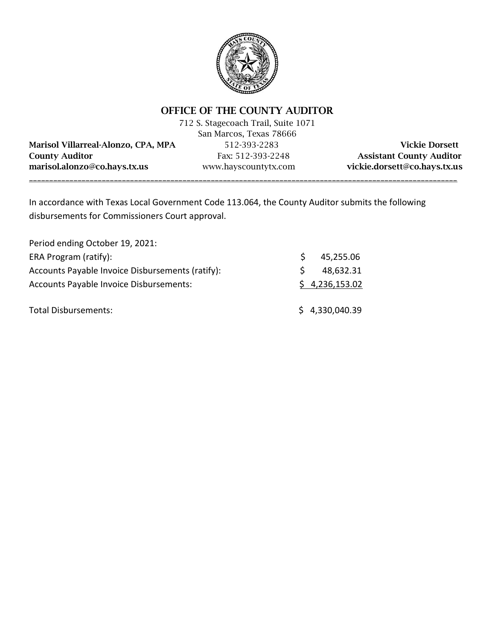

# OFFICE OF THE COUNTY AUDITOR

|                                     | 712 S. Stagecoach Trail, Suite 1071 |                                 |
|-------------------------------------|-------------------------------------|---------------------------------|
|                                     | San Marcos, Texas 78666             |                                 |
| Marisol Villarreal-Alonzo, CPA, MPA | 512-393-2283                        | <b>Vickie Dorsett</b>           |
| <b>County Auditor</b>               | Fax: 512-393-2248                   | <b>Assistant County Auditor</b> |
| marisol.alonzo@co.hays.tx.us        | www.hayscountytx.com                | vickie.dorsett@co.hays.tx.us    |
|                                     |                                     |                                 |

In accordance with Texas Local Government Code 113.064, the County Auditor submits the following disbursements for Commissioners Court approval.

| Period ending October 19, 2021:                  |             |                |
|--------------------------------------------------|-------------|----------------|
| ERA Program (ratify):                            | S.          | 45,255.06      |
| Accounts Payable Invoice Disbursements (ratify): | $\varsigma$ | 48,632.31      |
| <b>Accounts Payable Invoice Disbursements:</b>   |             | \$4,236,153.02 |
| <b>Total Disbursements:</b>                      |             | \$4,330,040.39 |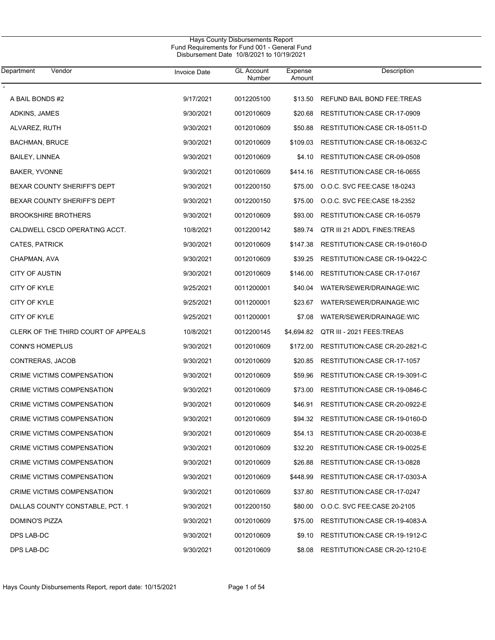| Department<br>Vendor                | <b>Invoice Date</b> | <b>GL Account</b><br>Number | Expense<br>Amount | Description                           |
|-------------------------------------|---------------------|-----------------------------|-------------------|---------------------------------------|
|                                     |                     |                             |                   |                                       |
| A BAIL BONDS #2                     | 9/17/2021           | 0012205100                  | \$13.50           | REFUND BAIL BOND FEE:TREAS            |
| ADKINS, JAMES                       | 9/30/2021           | 0012010609                  | \$20.68           | RESTITUTION: CASE CR-17-0909          |
| ALVAREZ, RUTH                       | 9/30/2021           | 0012010609                  | \$50.88           | RESTITUTION: CASE CR-18-0511-D        |
| <b>BACHMAN, BRUCE</b>               | 9/30/2021           | 0012010609                  | \$109.03          | RESTITUTION: CASE CR-18-0632-C        |
| <b>BAILEY, LINNEA</b>               | 9/30/2021           | 0012010609                  | \$4.10            | RESTITUTION: CASE CR-09-0508          |
| BAKER, YVONNE                       | 9/30/2021           | 0012010609                  | \$414.16          | RESTITUTION: CASE CR-16-0655          |
| BEXAR COUNTY SHERIFF'S DEPT         | 9/30/2021           | 0012200150                  | \$75.00           | O.O.C. SVC FEE CASE 18-0243           |
| BEXAR COUNTY SHERIFF'S DEPT         | 9/30/2021           | 0012200150                  | \$75.00           | O.O.C. SVC FEE:CASE 18-2352           |
| <b>BROOKSHIRE BROTHERS</b>          | 9/30/2021           | 0012010609                  | \$93.00           | RESTITUTION: CASE CR-16-0579          |
| CALDWELL CSCD OPERATING ACCT.       | 10/8/2021           | 0012200142                  | \$89.74           | QTR III 21 ADD'L FINES: TREAS         |
| CATES, PATRICK                      | 9/30/2021           | 0012010609                  | \$147.38          | RESTITUTION: CASE CR-19-0160-D        |
| CHAPMAN, AVA                        | 9/30/2021           | 0012010609                  | \$39.25           | RESTITUTION:CASE CR-19-0422-C         |
| CITY OF AUSTIN                      | 9/30/2021           | 0012010609                  | \$146.00          | RESTITUTION: CASE CR-17-0167          |
| <b>CITY OF KYLE</b>                 | 9/25/2021           | 0011200001                  | \$40.04           | WATER/SEWER/DRAINAGE:WIC              |
| CITY OF KYLE                        | 9/25/2021           | 0011200001                  | \$23.67           | WATER/SEWER/DRAINAGE:WIC              |
| <b>CITY OF KYLE</b>                 | 9/25/2021           | 0011200001                  | \$7.08            | WATER/SEWER/DRAINAGE:WIC              |
| CLERK OF THE THIRD COURT OF APPEALS | 10/8/2021           | 0012200145                  | \$4,694.82        | QTR III - 2021 FEES: TREAS            |
| CONN'S HOMEPLUS                     | 9/30/2021           | 0012010609                  | \$172.00          | RESTITUTION:CASE CR-20-2821-C         |
| CONTRERAS, JACOB                    | 9/30/2021           | 0012010609                  | \$20.85           | RESTITUTION: CASE CR-17-1057          |
| CRIME VICTIMS COMPENSATION          | 9/30/2021           | 0012010609                  | \$59.96           | RESTITUTION: CASE CR-19-3091-C        |
| CRIME VICTIMS COMPENSATION          | 9/30/2021           | 0012010609                  | \$73.00           | RESTITUTION: CASE CR-19-0846-C        |
| CRIME VICTIMS COMPENSATION          | 9/30/2021           | 0012010609                  | \$46.91           | RESTITUTION: CASE CR-20-0922-E        |
| CRIME VICTIMS COMPENSATION          | 9/30/2021           | 0012010609                  |                   | \$94.32 RESTITUTION:CASE CR-19-0160-D |
| CRIME VICTIMS COMPENSATION          | 9/30/2021           | 0012010609                  | \$54.13           | RESTITUTION: CASE CR-20-0038-E        |
| CRIME VICTIMS COMPENSATION          | 9/30/2021           | 0012010609                  | \$32.20           | RESTITUTION:CASE CR-19-0025-E         |
| CRIME VICTIMS COMPENSATION          | 9/30/2021           | 0012010609                  | \$26.88           | RESTITUTION: CASE CR-13-0828          |
| CRIME VICTIMS COMPENSATION          | 9/30/2021           | 0012010609                  | \$448.99          | RESTITUTION:CASE CR-17-0303-A         |
| CRIME VICTIMS COMPENSATION          | 9/30/2021           | 0012010609                  | \$37.80           | RESTITUTION: CASE CR-17-0247          |
| DALLAS COUNTY CONSTABLE, PCT. 1     | 9/30/2021           | 0012200150                  | \$80.00           | O.O.C. SVC FEE CASE 20-2105           |
| DOMINO'S PIZZA                      | 9/30/2021           | 0012010609                  | \$75.00           | RESTITUTION: CASE CR-19-4083-A        |
| DPS LAB-DC                          | 9/30/2021           | 0012010609                  | \$9.10            | RESTITUTION: CASE CR-19-1912-C        |
| DPS LAB-DC                          | 9/30/2021           | 0012010609                  | \$8.08            | RESTITUTION: CASE CR-20-1210-E        |
|                                     |                     |                             |                   |                                       |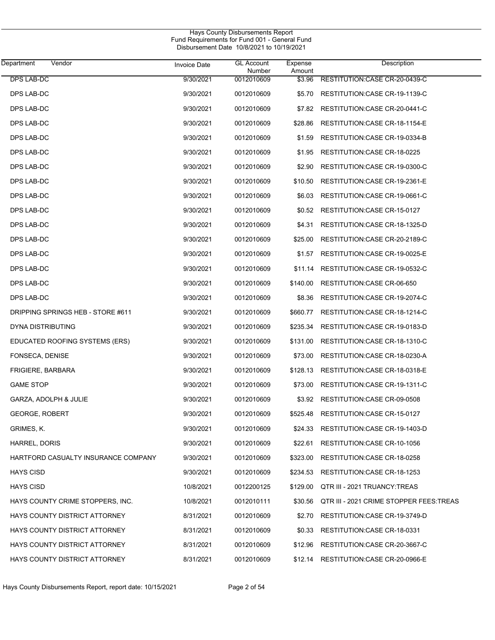| Vendor<br>Department                 | <b>Invoice Date</b> | <b>GL Account</b><br>Number | Expense<br>Amount | Description                             |
|--------------------------------------|---------------------|-----------------------------|-------------------|-----------------------------------------|
| <b>DPS LAB-DC</b>                    | 9/30/2021           | 0012010609                  | \$3.96            | RESTITUTION: CASE CR-20-0439-C          |
| DPS LAB-DC                           | 9/30/2021           | 0012010609                  | \$5.70            | RESTITUTION: CASE CR-19-1139-C          |
| DPS LAB-DC                           | 9/30/2021           | 0012010609                  | \$7.82            | RESTITUTION: CASE CR-20-0441-C          |
| DPS LAB-DC                           | 9/30/2021           | 0012010609                  | \$28.86           | RESTITUTION: CASE CR-18-1154-E          |
| DPS LAB-DC                           | 9/30/2021           | 0012010609                  | \$1.59            | RESTITUTION: CASE CR-19-0334-B          |
| DPS LAB-DC                           | 9/30/2021           | 0012010609                  | \$1.95            | RESTITUTION: CASE CR-18-0225            |
| DPS LAB-DC                           | 9/30/2021           | 0012010609                  | \$2.90            | RESTITUTION:CASE CR-19-0300-C           |
| DPS LAB-DC                           | 9/30/2021           | 0012010609                  | \$10.50           | RESTITUTION: CASE CR-19-2361-E          |
| DPS LAB-DC                           | 9/30/2021           | 0012010609                  | \$6.03            | RESTITUTION: CASE CR-19-0661-C          |
| DPS LAB-DC                           | 9/30/2021           | 0012010609                  | \$0.52            | RESTITUTION: CASE CR-15-0127            |
| DPS LAB-DC                           | 9/30/2021           | 0012010609                  | \$4.31            | RESTITUTION: CASE CR-18-1325-D          |
| DPS LAB-DC                           | 9/30/2021           | 0012010609                  | \$25.00           | RESTITUTION: CASE CR-20-2189-C          |
| <b>DPS LAB-DC</b>                    | 9/30/2021           | 0012010609                  | \$1.57            | RESTITUTION: CASE CR-19-0025-E          |
| DPS LAB-DC                           | 9/30/2021           | 0012010609                  | \$11.14           | RESTITUTION: CASE CR-19-0532-C          |
| DPS LAB-DC                           | 9/30/2021           | 0012010609                  | \$140.00          | RESTITUTION:CASE CR-06-650              |
| DPS LAB-DC                           | 9/30/2021           | 0012010609                  | \$8.36            | RESTITUTION: CASE CR-19-2074-C          |
| DRIPPING SPRINGS HEB - STORE #611    | 9/30/2021           | 0012010609                  | \$660.77          | RESTITUTION: CASE CR-18-1214-C          |
| DYNA DISTRIBUTING                    | 9/30/2021           | 0012010609                  | \$235.34          | RESTITUTION: CASE CR-19-0183-D          |
| EDUCATED ROOFING SYSTEMS (ERS)       | 9/30/2021           | 0012010609                  | \$131.00          | RESTITUTION: CASE CR-18-1310-C          |
| FONSECA, DENISE                      | 9/30/2021           | 0012010609                  | \$73.00           | RESTITUTION: CASE CR-18-0230-A          |
| <b>FRIGIERE, BARBARA</b>             | 9/30/2021           | 0012010609                  | \$128.13          | RESTITUTION: CASE CR-18-0318-E          |
| <b>GAME STOP</b>                     | 9/30/2021           | 0012010609                  | \$73.00           | RESTITUTION: CASE CR-19-1311-C          |
| GARZA, ADOLPH & JULIE                | 9/30/2021           | 0012010609                  | \$3.92            | RESTITUTION: CASE CR-09-0508            |
| <b>GEORGE, ROBERT</b>                | 9/30/2021           | 0012010609                  | \$525.48          | RESTITUTION: CASE CR-15-0127            |
| GRIMES, K.                           | 9/30/2021           | 0012010609                  | \$24.33           | RESTITUTION: CASE CR-19-1403-D          |
| HARREL, DORIS                        | 9/30/2021           | 0012010609                  | \$22.61           | RESTITUTION:CASE CR-10-1056             |
| HARTFORD CASUALTY INSURANCE COMPANY  | 9/30/2021           | 0012010609                  | \$323.00          | RESTITUTION: CASE CR-18-0258            |
| <b>HAYS CISD</b>                     | 9/30/2021           | 0012010609                  | \$234.53          | RESTITUTION: CASE CR-18-1253            |
| <b>HAYS CISD</b>                     | 10/8/2021           | 0012200125                  | \$129.00          | QTR III - 2021 TRUANCY: TREAS           |
| HAYS COUNTY CRIME STOPPERS, INC.     | 10/8/2021           | 0012010111                  | \$30.56           | QTR III - 2021 CRIME STOPPER FEES.TREAS |
| <b>HAYS COUNTY DISTRICT ATTORNEY</b> | 8/31/2021           | 0012010609                  | \$2.70            | RESTITUTION: CASE CR-19-3749-D          |
| HAYS COUNTY DISTRICT ATTORNEY        | 8/31/2021           | 0012010609                  | \$0.33            | RESTITUTION: CASE CR-18-0331            |
| HAYS COUNTY DISTRICT ATTORNEY        | 8/31/2021           | 0012010609                  | \$12.96           | RESTITUTION:CASE CR-20-3667-C           |
| HAYS COUNTY DISTRICT ATTORNEY        | 8/31/2021           | 0012010609                  |                   | \$12.14 RESTITUTION: CASE CR-20-0966-E  |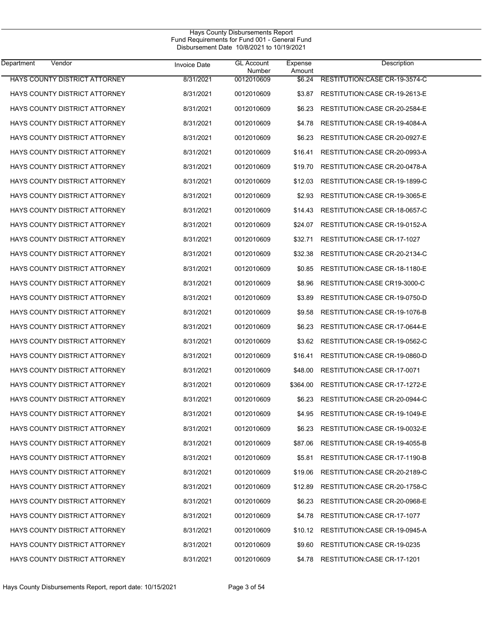| <b>Department</b><br>Vendor          | <b>Invoice Date</b> | <b>GL Account</b><br>Number | Expense<br>Amount | Description                        |
|--------------------------------------|---------------------|-----------------------------|-------------------|------------------------------------|
| HAYS COUNTY DISTRICT ATTORNEY        | 8/31/2021           | 0012010609                  | \$6.24            | RESTITUTION: CASE CR-19-3574-C     |
| HAYS COUNTY DISTRICT ATTORNEY        | 8/31/2021           | 0012010609                  | \$3.87            | RESTITUTION: CASE CR-19-2613-E     |
| <b>HAYS COUNTY DISTRICT ATTORNEY</b> | 8/31/2021           | 0012010609                  | \$6.23            | RESTITUTION: CASE CR-20-2584-E     |
| HAYS COUNTY DISTRICT ATTORNEY        | 8/31/2021           | 0012010609                  | \$4.78            | RESTITUTION: CASE CR-19-4084-A     |
| HAYS COUNTY DISTRICT ATTORNEY        | 8/31/2021           | 0012010609                  | \$6.23            | RESTITUTION: CASE CR-20-0927-E     |
| HAYS COUNTY DISTRICT ATTORNEY        | 8/31/2021           | 0012010609                  | \$16.41           | RESTITUTION: CASE CR-20-0993-A     |
| HAYS COUNTY DISTRICT ATTORNEY        | 8/31/2021           | 0012010609                  | \$19.70           | RESTITUTION: CASE CR-20-0478-A     |
| <b>HAYS COUNTY DISTRICT ATTORNEY</b> | 8/31/2021           | 0012010609                  | \$12.03           | RESTITUTION: CASE CR-19-1899-C     |
| HAYS COUNTY DISTRICT ATTORNEY        | 8/31/2021           | 0012010609                  | \$2.93            | RESTITUTION: CASE CR-19-3065-E     |
| HAYS COUNTY DISTRICT ATTORNEY        | 8/31/2021           | 0012010609                  | \$14.43           | RESTITUTION: CASE CR-18-0657-C     |
| <b>HAYS COUNTY DISTRICT ATTORNEY</b> | 8/31/2021           | 0012010609                  | \$24.07           | RESTITUTION: CASE CR-19-0152-A     |
| <b>HAYS COUNTY DISTRICT ATTORNEY</b> | 8/31/2021           | 0012010609                  | \$32.71           | <b>RESTITUTION:CASE CR-17-1027</b> |
| HAYS COUNTY DISTRICT ATTORNEY        | 8/31/2021           | 0012010609                  | \$32.38           | RESTITUTION: CASE CR-20-2134-C     |
| <b>HAYS COUNTY DISTRICT ATTORNEY</b> | 8/31/2021           | 0012010609                  | \$0.85            | RESTITUTION: CASE CR-18-1180-E     |
| HAYS COUNTY DISTRICT ATTORNEY        | 8/31/2021           | 0012010609                  | \$8.96            | RESTITUTION: CASE CR19-3000-C      |
| <b>HAYS COUNTY DISTRICT ATTORNEY</b> | 8/31/2021           | 0012010609                  | \$3.89            | RESTITUTION: CASE CR-19-0750-D     |
| HAYS COUNTY DISTRICT ATTORNEY        | 8/31/2021           | 0012010609                  | \$9.58            | RESTITUTION: CASE CR-19-1076-B     |
| HAYS COUNTY DISTRICT ATTORNEY        | 8/31/2021           | 0012010609                  | \$6.23            | RESTITUTION: CASE CR-17-0644-E     |
| HAYS COUNTY DISTRICT ATTORNEY        | 8/31/2021           | 0012010609                  | \$3.62            | RESTITUTION: CASE CR-19-0562-C     |
| HAYS COUNTY DISTRICT ATTORNEY        | 8/31/2021           | 0012010609                  | \$16.41           | RESTITUTION: CASE CR-19-0860-D     |
| <b>HAYS COUNTY DISTRICT ATTORNEY</b> | 8/31/2021           | 0012010609                  | \$48.00           | RESTITUTION: CASE CR-17-0071       |
| <b>HAYS COUNTY DISTRICT ATTORNEY</b> | 8/31/2021           | 0012010609                  | \$364.00          | RESTITUTION: CASE CR-17-1272-E     |
| <b>HAYS COUNTY DISTRICT ATTORNEY</b> | 8/31/2021           | 0012010609                  | \$6.23            | RESTITUTION:CASE CR-20-0944-C      |
| <b>HAYS COUNTY DISTRICT ATTORNEY</b> | 8/31/2021           | 0012010609                  | \$4.95            | RESTITUTION: CASE CR-19-1049-E     |
| HAYS COUNTY DISTRICT ATTORNEY        | 8/31/2021           | 0012010609                  | \$6.23            | RESTITUTION: CASE CR-19-0032-E     |
| HAYS COUNTY DISTRICT ATTORNEY        | 8/31/2021           | 0012010609                  | \$87.06           | RESTITUTION: CASE CR-19-4055-B     |
| HAYS COUNTY DISTRICT ATTORNEY        | 8/31/2021           | 0012010609                  | \$5.81            | RESTITUTION: CASE CR-17-1190-B     |
| <b>HAYS COUNTY DISTRICT ATTORNEY</b> | 8/31/2021           | 0012010609                  | \$19.06           | RESTITUTION: CASE CR-20-2189-C     |
| HAYS COUNTY DISTRICT ATTORNEY        | 8/31/2021           | 0012010609                  | \$12.89           | RESTITUTION: CASE CR-20-1758-C     |
| HAYS COUNTY DISTRICT ATTORNEY        | 8/31/2021           | 0012010609                  | \$6.23            | RESTITUTION: CASE CR-20-0968-E     |
| HAYS COUNTY DISTRICT ATTORNEY        | 8/31/2021           | 0012010609                  | \$4.78            | RESTITUTION: CASE CR-17-1077       |
| HAYS COUNTY DISTRICT ATTORNEY        | 8/31/2021           | 0012010609                  | \$10.12           | RESTITUTION: CASE CR-19-0945-A     |
| HAYS COUNTY DISTRICT ATTORNEY        | 8/31/2021           | 0012010609                  | \$9.60            | RESTITUTION: CASE CR-19-0235       |
| HAYS COUNTY DISTRICT ATTORNEY        | 8/31/2021           | 0012010609                  | \$4.78            | RESTITUTION: CASE CR-17-1201       |
|                                      |                     |                             |                   |                                    |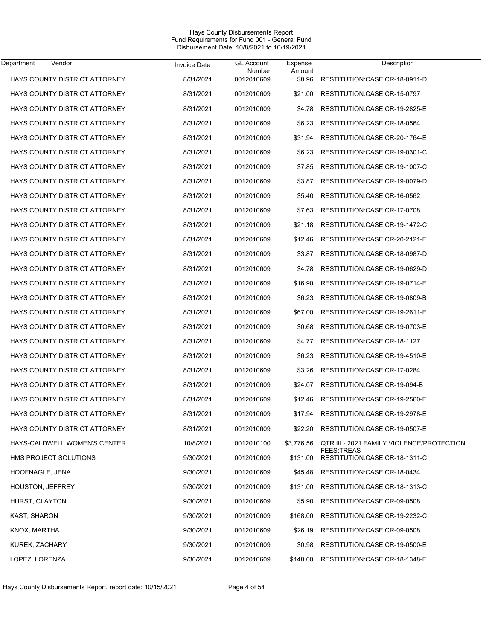$\overline{\phantom{0}}$ 

| <b>Department</b><br>Vendor          | <b>Invoice Date</b> | <b>GL Account</b><br>Number | Expense<br>Amount | Description                                                    |
|--------------------------------------|---------------------|-----------------------------|-------------------|----------------------------------------------------------------|
| HAYS COUNTY DISTRICT ATTORNEY        | 8/31/2021           | 0012010609                  | \$8.96            | RESTITUTION: CASE CR-18-0911-D                                 |
| HAYS COUNTY DISTRICT ATTORNEY        | 8/31/2021           | 0012010609                  | \$21.00           | RESTITUTION: CASE CR-15-0797                                   |
| HAYS COUNTY DISTRICT ATTORNEY        | 8/31/2021           | 0012010609                  | \$4.78            | RESTITUTION: CASE CR-19-2825-E                                 |
| HAYS COUNTY DISTRICT ATTORNEY        | 8/31/2021           | 0012010609                  | \$6.23            | RESTITUTION: CASE CR-18-0564                                   |
| <b>HAYS COUNTY DISTRICT ATTORNEY</b> | 8/31/2021           | 0012010609                  | \$31.94           | RESTITUTION: CASE CR-20-1764-E                                 |
| HAYS COUNTY DISTRICT ATTORNEY        | 8/31/2021           | 0012010609                  | \$6.23            | RESTITUTION: CASE CR-19-0301-C                                 |
| HAYS COUNTY DISTRICT ATTORNEY        | 8/31/2021           | 0012010609                  | \$7.85            | RESTITUTION: CASE CR-19-1007-C                                 |
| HAYS COUNTY DISTRICT ATTORNEY        | 8/31/2021           | 0012010609                  | \$3.87            | RESTITUTION: CASE CR-19-0079-D                                 |
| HAYS COUNTY DISTRICT ATTORNEY        | 8/31/2021           | 0012010609                  | \$5.40            | RESTITUTION: CASE CR-16-0562                                   |
| HAYS COUNTY DISTRICT ATTORNEY        | 8/31/2021           | 0012010609                  | \$7.63            | RESTITUTION: CASE CR-17-0708                                   |
| HAYS COUNTY DISTRICT ATTORNEY        | 8/31/2021           | 0012010609                  | \$21.18           | RESTITUTION: CASE CR-19-1472-C                                 |
| HAYS COUNTY DISTRICT ATTORNEY        | 8/31/2021           | 0012010609                  | \$12.46           | RESTITUTION: CASE CR-20-2121-E                                 |
| <b>HAYS COUNTY DISTRICT ATTORNEY</b> | 8/31/2021           | 0012010609                  | \$3.87            | RESTITUTION: CASE CR-18-0987-D                                 |
| HAYS COUNTY DISTRICT ATTORNEY        | 8/31/2021           | 0012010609                  | \$4.78            | RESTITUTION: CASE CR-19-0629-D                                 |
| HAYS COUNTY DISTRICT ATTORNEY        | 8/31/2021           | 0012010609                  | \$16.90           | RESTITUTION: CASE CR-19-0714-E                                 |
| HAYS COUNTY DISTRICT ATTORNEY        | 8/31/2021           | 0012010609                  | \$6.23            | RESTITUTION: CASE CR-19-0809-B                                 |
| HAYS COUNTY DISTRICT ATTORNEY        | 8/31/2021           | 0012010609                  | \$67.00           | RESTITUTION: CASE CR-19-2611-E                                 |
| HAYS COUNTY DISTRICT ATTORNEY        | 8/31/2021           | 0012010609                  | \$0.68            | RESTITUTION: CASE CR-19-0703-E                                 |
| HAYS COUNTY DISTRICT ATTORNEY        | 8/31/2021           | 0012010609                  | \$4.77            | RESTITUTION: CASE CR-18-1127                                   |
| HAYS COUNTY DISTRICT ATTORNEY        | 8/31/2021           | 0012010609                  | \$6.23            | RESTITUTION: CASE CR-19-4510-E                                 |
| HAYS COUNTY DISTRICT ATTORNEY        | 8/31/2021           | 0012010609                  | \$3.26            | RESTITUTION: CASE CR-17-0284                                   |
| HAYS COUNTY DISTRICT ATTORNEY        | 8/31/2021           | 0012010609                  | \$24.07           | RESTITUTION: CASE CR-19-094-B                                  |
| HAYS COUNTY DISTRICT ATTORNEY        | 8/31/2021           | 0012010609                  | \$12.46           | RESTITUTION: CASE CR-19-2560-E                                 |
| HAYS COUNTY DISTRICT ATTORNEY        | 8/31/2021           | 0012010609                  | \$17.94           | RESTITUTION: CASE CR-19-2978-E                                 |
| HAYS COUNTY DISTRICT ATTORNEY        | 8/31/2021           | 0012010609                  |                   | \$22.20 RESTITUTION: CASE CR-19-0507-E                         |
| HAYS-CALDWELL WOMEN'S CENTER         | 10/8/2021           | 0012010100                  | \$3,776.56        | QTR III - 2021 FAMILY VIOLENCE/PROTECTION<br><b>FEES:TREAS</b> |
| HMS PROJECT SOLUTIONS                | 9/30/2021           | 0012010609                  | \$131.00          | RESTITUTION: CASE CR-18-1311-C                                 |
| HOOFNAGLE, JENA                      | 9/30/2021           | 0012010609                  | \$45.48           | RESTITUTION: CASE CR-18-0434                                   |
| <b>HOUSTON, JEFFREY</b>              | 9/30/2021           | 0012010609                  | \$131.00          | RESTITUTION: CASE CR-18-1313-C                                 |
| HURST, CLAYTON                       | 9/30/2021           | 0012010609                  | \$5.90            | RESTITUTION: CASE CR-09-0508                                   |
| <b>KAST, SHARON</b>                  | 9/30/2021           | 0012010609                  | \$168.00          | RESTITUTION:CASE CR-19-2232-C                                  |
| KNOX, MARTHA                         | 9/30/2021           | 0012010609                  | \$26.19           | RESTITUTION: CASE CR-09-0508                                   |
| KUREK, ZACHARY                       | 9/30/2021           | 0012010609                  | \$0.98            | RESTITUTION: CASE CR-19-0500-E                                 |
| LOPEZ, LORENZA                       | 9/30/2021           | 0012010609                  | \$148.00          | RESTITUTION: CASE CR-18-1348-E                                 |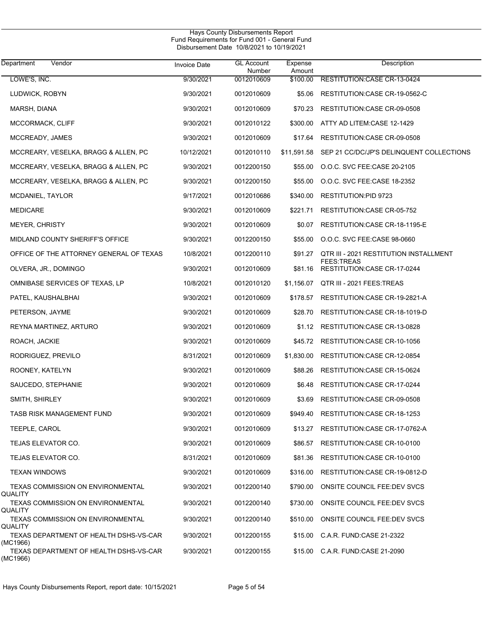| Department<br>Vendor                                | <b>Invoice Date</b> | <b>GL Account</b><br>Number | Expense<br>Amount | Description                                       |
|-----------------------------------------------------|---------------------|-----------------------------|-------------------|---------------------------------------------------|
| LOWE'S, INC.                                        | 9/30/2021           | 0012010609                  | \$100.00          | RESTITUTION: CASE CR-13-0424                      |
| LUDWICK, ROBYN                                      | 9/30/2021           | 0012010609                  | \$5.06            | RESTITUTION: CASE CR-19-0562-C                    |
| MARSH, DIANA                                        | 9/30/2021           | 0012010609                  | \$70.23           | RESTITUTION:CASE CR-09-0508                       |
| MCCORMACK, CLIFF                                    | 9/30/2021           | 0012010122                  | \$300.00          | ATTY AD LITEM:CASE 12-1429                        |
| MCCREADY, JAMES                                     | 9/30/2021           | 0012010609                  | \$17.64           | RESTITUTION:CASE CR-09-0508                       |
| MCCREARY, VESELKA, BRAGG & ALLEN, PC                | 10/12/2021          | 0012010110                  | \$11,591.58       | SEP 21 CC/DC/JP'S DELINQUENT COLLECTIONS          |
| MCCREARY, VESELKA, BRAGG & ALLEN, PC                | 9/30/2021           | 0012200150                  | \$55.00           | O.O.C. SVC FEE CASE 20-2105                       |
| MCCREARY, VESELKA, BRAGG & ALLEN, PC                | 9/30/2021           | 0012200150                  | \$55.00           | O.O.C. SVC FEE.CASE 18-2352                       |
| MCDANIEL, TAYLOR                                    | 9/17/2021           | 0012010686                  | \$340.00          | <b>RESTITUTION:PID 9723</b>                       |
| <b>MEDICARE</b>                                     | 9/30/2021           | 0012010609                  | \$221.71          | RESTITUTION: CASE CR-05-752                       |
| <b>MEYER, CHRISTY</b>                               | 9/30/2021           | 0012010609                  | \$0.07            | RESTITUTION:CASE CR-18-1195-E                     |
| MIDLAND COUNTY SHERIFF'S OFFICE                     | 9/30/2021           | 0012200150                  | \$55.00           | O.O.C. SVC FEE CASE 98-0660                       |
| OFFICE OF THE ATTORNEY GENERAL OF TEXAS             | 10/8/2021           | 0012200110                  | \$91.27           | QTR III - 2021 RESTITUTION INSTALLMENT            |
| OLVERA, JR., DOMINGO                                | 9/30/2021           | 0012010609                  | \$81.16           | <b>FEES:TREAS</b><br>RESTITUTION: CASE CR-17-0244 |
| OMNIBASE SERVICES OF TEXAS, LP                      | 10/8/2021           | 0012010120                  | \$1,156.07        | QTR III - 2021 FEES: TREAS                        |
| PATEL, KAUSHALBHAI                                  | 9/30/2021           | 0012010609                  | \$178.57          | RESTITUTION: CASE CR-19-2821-A                    |
| PETERSON, JAYME                                     | 9/30/2021           | 0012010609                  | \$28.70           | RESTITUTION:CASE CR-18-1019-D                     |
| REYNA MARTINEZ, ARTURO                              | 9/30/2021           | 0012010609                  | \$1.12            | RESTITUTION: CASE CR-13-0828                      |
| ROACH, JACKIE                                       | 9/30/2021           | 0012010609                  | \$45.72           | RESTITUTION: CASE CR-10-1056                      |
| RODRIGUEZ, PREVILO                                  | 8/31/2021           | 0012010609                  | \$1,830.00        | RESTITUTION: CASE CR-12-0854                      |
| ROONEY, KATELYN                                     | 9/30/2021           | 0012010609                  | \$88.26           | RESTITUTION:CASE CR-15-0624                       |
| SAUCEDO, STEPHANIE                                  | 9/30/2021           | 0012010609                  | \$6.48            | RESTITUTION: CASE CR-17-0244                      |
| SMITH, SHIRLEY                                      | 9/30/2021           | 0012010609                  | \$3.69            | RESTITUTION: CASE CR-09-0508                      |
| TASB RISK MANAGEMENT FUND                           | 9/30/2021           | 0012010609                  | \$949.40          | RESTITUTION: CASE CR-18-1253                      |
| TEEPLE, CAROL                                       | 9/30/2021           | 0012010609                  | \$13.27           | RESTITUTION: CASE CR-17-0762-A                    |
| TEJAS ELEVATOR CO.                                  | 9/30/2021           | 0012010609                  | \$86.57           | RESTITUTION: CASE CR-10-0100                      |
| TEJAS ELEVATOR CO.                                  | 8/31/2021           | 0012010609                  | \$81.36           | RESTITUTION: CASE CR-10-0100                      |
| <b>TEXAN WINDOWS</b>                                | 9/30/2021           | 0012010609                  | \$316.00          | RESTITUTION: CASE CR-19-0812-D                    |
| TEXAS COMMISSION ON ENVIRONMENTAL<br>QUALITY        | 9/30/2021           | 0012200140                  | \$790.00          | ONSITE COUNCIL FEE:DEV SVCS                       |
| <b>TEXAS COMMISSION ON ENVIRONMENTAL</b><br>QUALITY | 9/30/2021           | 0012200140                  | \$730.00          | ONSITE COUNCIL FEE:DEV SVCS                       |
| TEXAS COMMISSION ON ENVIRONMENTAL<br>QUALITY        | 9/30/2021           | 0012200140                  | \$510.00          | ONSITE COUNCIL FEE:DEV SVCS                       |
| TEXAS DEPARTMENT OF HEALTH DSHS-VS-CAR<br>(MC1966)  | 9/30/2021           | 0012200155                  | \$15.00           | C.A.R. FUND.CASE 21-2322                          |
| TEXAS DEPARTMENT OF HEALTH DSHS-VS-CAR<br>(MC1966)  | 9/30/2021           | 0012200155                  | \$15.00           | C.A.R. FUND:CASE 21-2090                          |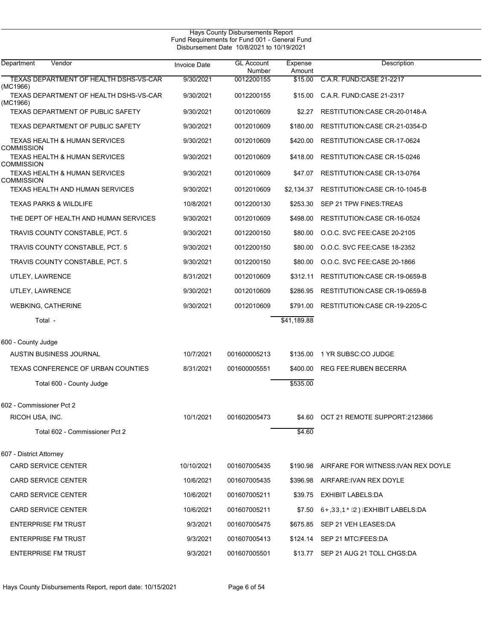|                                                                |                     | Hays County Disbursements Report<br>Fund Requirements for Fund 001 - General Fund<br>Disbursement Date 10/8/2021 to 10/19/2021 |                   |                                              |  |
|----------------------------------------------------------------|---------------------|--------------------------------------------------------------------------------------------------------------------------------|-------------------|----------------------------------------------|--|
| Vendor<br>Department                                           | <b>Invoice Date</b> | <b>GL Account</b><br>Number                                                                                                    | Expense<br>Amount | Description                                  |  |
| TEXAS DEPARTMENT OF HEALTH DSHS-VS-CAR                         | 9/30/2021           | 0012200155                                                                                                                     | \$15.00           | C.A.R. FUND CASE 21-2217                     |  |
| (MC1966)<br>TEXAS DEPARTMENT OF HEALTH DSHS-VS-CAR<br>(MC1966) | 9/30/2021           | 0012200155                                                                                                                     | \$15.00           | C.A.R. FUND:CASE 21-2317                     |  |
| <b>TEXAS DEPARTMENT OF PUBLIC SAFETY</b>                       | 9/30/2021           | 0012010609                                                                                                                     | \$2.27            | RESTITUTION: CASE CR-20-0148-A               |  |
| TEXAS DEPARTMENT OF PUBLIC SAFETY                              | 9/30/2021           | 0012010609                                                                                                                     | \$180.00          | RESTITUTION: CASE CR-21-0354-D               |  |
| TEXAS HEALTH & HUMAN SERVICES<br>COMMISSION                    | 9/30/2021           | 0012010609                                                                                                                     | \$420.00          | RESTITUTION: CASE CR-17-0624                 |  |
| TEXAS HEALTH & HUMAN SERVICES<br>COMMISSION                    | 9/30/2021           | 0012010609                                                                                                                     | \$418.00          | RESTITUTION: CASE CR-15-0246                 |  |
| TEXAS HEALTH & HUMAN SERVICES<br>COMMISSION                    | 9/30/2021           | 0012010609                                                                                                                     | \$47.07           | RESTITUTION: CASE CR-13-0764                 |  |
| TEXAS HEALTH AND HUMAN SERVICES                                | 9/30/2021           | 0012010609                                                                                                                     | \$2,134.37        | RESTITUTION: CASE CR-10-1045-B               |  |
| <b>TEXAS PARKS &amp; WILDLIFE</b>                              | 10/8/2021           | 0012200130                                                                                                                     | \$253.30          | SEP 21 TPW FINES: TREAS                      |  |
| THE DEPT OF HEALTH AND HUMAN SERVICES                          | 9/30/2021           | 0012010609                                                                                                                     | \$498.00          | RESTITUTION: CASE CR-16-0524                 |  |
| TRAVIS COUNTY CONSTABLE, PCT. 5                                | 9/30/2021           | 0012200150                                                                                                                     | \$80.00           | O.O.C. SVC FEE CASE 20-2105                  |  |
| TRAVIS COUNTY CONSTABLE, PCT. 5                                | 9/30/2021           | 0012200150                                                                                                                     | \$80.00           | O.O.C. SVC FEE CASE 18-2352                  |  |
| TRAVIS COUNTY CONSTABLE, PCT. 5                                | 9/30/2021           | 0012200150                                                                                                                     | \$80.00           | O.O.C. SVC FEE CASE 20-1866                  |  |
| UTLEY, LAWRENCE                                                | 8/31/2021           | 0012010609                                                                                                                     | \$312.11          | RESTITUTION: CASE CR-19-0659-B               |  |
| UTLEY, LAWRENCE                                                | 9/30/2021           | 0012010609                                                                                                                     | \$286.95          | RESTITUTION: CASE CR-19-0659-B               |  |
| <b>WEBKING, CATHERINE</b>                                      | 9/30/2021           | 0012010609                                                                                                                     | \$791.00          | RESTITUTION: CASE CR-19-2205-C               |  |
| Total -                                                        |                     |                                                                                                                                | \$41,189.88       |                                              |  |
| 600 - County Judge                                             |                     |                                                                                                                                |                   |                                              |  |
| <b>AUSTIN BUSINESS JOURNAL</b>                                 | 10/7/2021           | 001600005213                                                                                                                   | \$135.00          | 1 YR SUBSC:CO JUDGE                          |  |
| TEXAS CONFERENCE OF URBAN COUNTIES                             | 8/31/2021           | 001600005551                                                                                                                   | \$400.00          | <b>REG FEE: RUBEN BECERRA</b>                |  |
| Total 600 - County Judge                                       |                     |                                                                                                                                | \$535.00          |                                              |  |
| 602 - Commissioner Pct 2                                       |                     |                                                                                                                                |                   |                                              |  |
| RICOH USA, INC.                                                | 10/1/2021           | 001602005473                                                                                                                   |                   | \$4.60 OCT 21 REMOTE SUPPORT:2123866         |  |
| Total 602 - Commissioner Pct 2                                 |                     |                                                                                                                                | \$4.60            |                                              |  |
| 607 - District Attorney                                        |                     |                                                                                                                                |                   |                                              |  |
| <b>CARD SERVICE CENTER</b>                                     | 10/10/2021          | 001607005435                                                                                                                   |                   | \$190.98 AIRFARE FOR WITNESS: IVAN REX DOYLE |  |
| <b>CARD SERVICE CENTER</b>                                     | 10/6/2021           | 001607005435                                                                                                                   |                   | \$396.98 AIRFARE: IVAN REX DOYLE             |  |
| <b>CARD SERVICE CENTER</b>                                     | 10/6/2021           | 001607005211                                                                                                                   |                   | \$39.75 EXHIBIT LABELS:DA                    |  |
| <b>CARD SERVICE CENTER</b>                                     | 10/6/2021           | 001607005211                                                                                                                   | \$7.50            | ÙPQÚQÞÕÁUØÆXHIBIT LABELS:DA                  |  |
| <b>ENTERPRISE FM TRUST</b>                                     | 9/3/2021            | 001607005475                                                                                                                   |                   | \$675.85 SEP 21 VEH LEASES:DA                |  |
| <b>ENTERPRISE FM TRUST</b>                                     | 9/3/2021            | 001607005413                                                                                                                   |                   | \$124.14 SEP 21 MTC FEES DA                  |  |
| <b>ENTERPRISE FM TRUST</b>                                     | 9/3/2021            | 001607005501                                                                                                                   |                   | \$13.77 SEP 21 AUG 21 TOLL CHGS:DA           |  |

Hays County Disbursements Report, report date: 10/15/2021 Page 6 of 54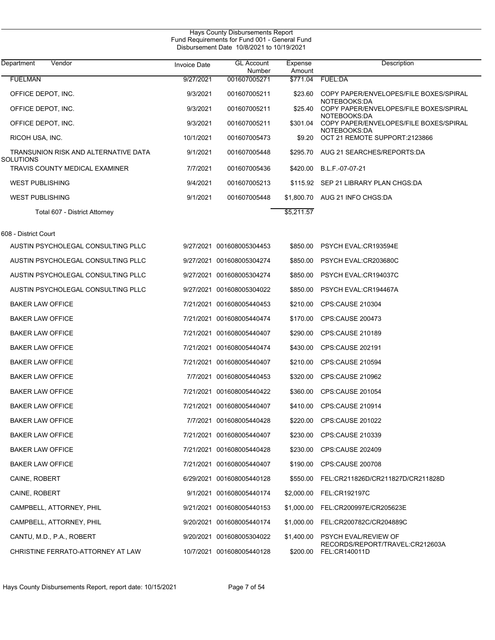L

| Department<br>Vendor                              | <b>Invoice Date</b> | <b>GL Account</b><br>Number | Expense<br>Amount | Description                                                    |
|---------------------------------------------------|---------------------|-----------------------------|-------------------|----------------------------------------------------------------|
| <b>FUELMAN</b>                                    | 9/27/2021           | 001607005271                | \$771.04          | FUEL:DA                                                        |
| OFFICE DEPOT, INC.                                | 9/3/2021            | 001607005211                | \$23.60           | COPY PAPER/ENVELOPES/FILE BOXES/SPIRAL                         |
| OFFICE DEPOT, INC.                                | 9/3/2021            | 001607005211                | \$25.40           | NOTEBOOKS:DA<br>COPY PAPER/ENVELOPES/FILE BOXES/SPIRAL         |
| OFFICE DEPOT, INC.                                | 9/3/2021            | 001607005211                | \$301.04          | NOTEBOOKS:DA<br>COPY PAPER/ENVELOPES/FILE BOXES/SPIRAL         |
| RICOH USA, INC.                                   | 10/1/2021           | 001607005473                | \$9.20            | NOTEBOOKS:DA<br>OCT 21 REMOTE SUPPORT:2123866                  |
| TRANSUNION RISK AND ALTERNATIVE DATA<br>SOLUTIONS | 9/1/2021            | 001607005448                |                   | \$295.70 AUG 21 SEARCHES/REPORTS:DA                            |
| TRAVIS COUNTY MEDICAL EXAMINER                    | 7/7/2021            | 001607005436                | \$420.00          | B.L.F.-07-07-21                                                |
| <b>WEST PUBLISHING</b>                            | 9/4/2021            | 001607005213                |                   | \$115.92 SEP 21 LIBRARY PLAN CHGS:DA                           |
| <b>WEST PUBLISHING</b>                            | 9/1/2021            | 001607005448                |                   | \$1,800.70 AUG 21 INFO CHGS:DA                                 |
| Total 607 - District Attorney                     |                     |                             | \$5,211.57        |                                                                |
| 608 - District Court                              |                     |                             |                   |                                                                |
| AUSTIN PSYCHOLEGAL CONSULTING PLLC                |                     | 9/27/2021 001608005304453   |                   | \$850.00 PSYCH EVAL:CR193594E                                  |
| AUSTIN PSYCHOLEGAL CONSULTING PLLC                |                     | 9/27/2021 001608005304274   |                   | \$850.00 PSYCH EVAL:CR203680C                                  |
| AUSTIN PSYCHOLEGAL CONSULTING PLLC                |                     | 9/27/2021 001608005304274   | \$850.00          | PSYCH EVAL:CR194037C                                           |
| AUSTIN PSYCHOLEGAL CONSULTING PLLC                |                     | 9/27/2021 001608005304022   | \$850.00          | PSYCH EVAL:CR194467A                                           |
| <b>BAKER LAW OFFICE</b>                           |                     | 7/21/2021 001608005440453   | \$210.00          | CPS:CAUSE 210304                                               |
| <b>BAKER LAW OFFICE</b>                           |                     | 7/21/2021 001608005440474   |                   | \$170.00 CPS:CAUSE 200473                                      |
| <b>BAKER LAW OFFICE</b>                           |                     | 7/21/2021 001608005440407   | \$290.00          | CPS:CAUSE 210189                                               |
| <b>BAKER LAW OFFICE</b>                           |                     | 7/21/2021 001608005440474   | \$430.00          | CPS:CAUSE 202191                                               |
| <b>BAKER LAW OFFICE</b>                           |                     | 7/21/2021 001608005440407   | \$210.00          | CPS:CAUSE 210594                                               |
| <b>BAKER LAW OFFICE</b>                           |                     | 7/7/2021 001608005440453    |                   | \$320.00 CPS:CAUSE 210962                                      |
| <b>BAKER LAW OFFICE</b>                           |                     | 7/21/2021 001608005440422   | \$360.00          | <b>CPS:CAUSE 201054</b>                                        |
| <b>BAKER LAW OFFICE</b>                           |                     | 7/21/2021 001608005440407   |                   | \$410.00 CPS:CAUSE 210914                                      |
| <b>BAKER LAW OFFICE</b>                           |                     | 7/7/2021 001608005440428    | \$220.00          | CPS:CAUSE 201022                                               |
| <b>BAKER LAW OFFICE</b>                           |                     | 7/21/2021 001608005440407   |                   | \$230.00 CPS:CAUSE 210339                                      |
| <b>BAKER LAW OFFICE</b>                           |                     | 7/21/2021 001608005440428   |                   | \$230.00 CPS:CAUSE 202409                                      |
| <b>BAKER LAW OFFICE</b>                           |                     | 7/21/2021 001608005440407   |                   | \$190.00 CPS:CAUSE 200708                                      |
| CAINE, ROBERT                                     |                     | 6/29/2021 001608005440128   |                   | \$550.00 FEL:CR211826D/CR211827D/CR211828D                     |
| CAINE, ROBERT                                     |                     | 9/1/2021 001608005440174    |                   | \$2,000.00 FEL:CR192197C                                       |
| CAMPBELL, ATTORNEY, PHIL                          |                     | 9/21/2021 001608005440153   |                   | \$1,000.00 FEL:CR200997E/CR205623E                             |
| CAMPBELL, ATTORNEY, PHIL                          |                     | 9/20/2021 001608005440174   |                   | \$1,000.00 FEL:CR200782C/CR204889C                             |
| CANTU, M.D., P.A., ROBERT                         |                     | 9/20/2021 001608005304022   | \$1,400.00        | <b>PSYCH EVAL/REVIEW OF</b><br>RECORDS/REPORT/TRAVEL:CR212603A |
| CHRISTINE FERRATO-ATTORNEY AT LAW                 |                     | 10/7/2021 001608005440128   | \$200.00          | FEL:CR140011D                                                  |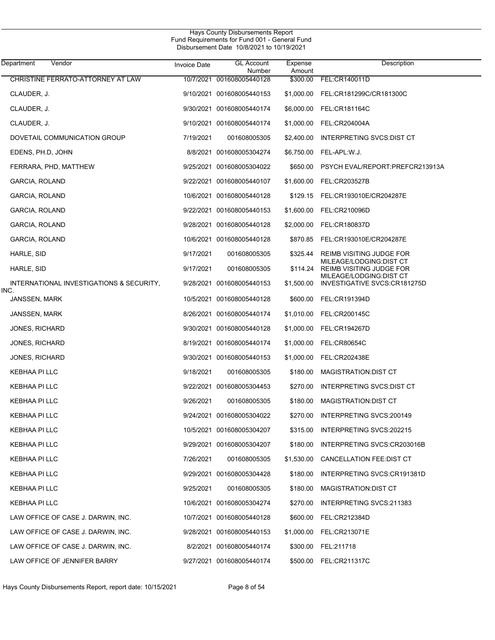| Department<br>Vendor                     | <b>Invoice Date</b> | <b>GL Account</b><br>Number | Expense<br>Amount | Description                                                |
|------------------------------------------|---------------------|-----------------------------|-------------------|------------------------------------------------------------|
| CHRISTINE FERRATO-ATTORNEY AT LAW        | 10/7/2021           | 001608005440128             | \$300.00          | FEL:CR140011D                                              |
| CLAUDER, J.                              |                     | 9/10/2021 001608005440153   | \$1,000.00        | FEL:CR181299C/CR181300C                                    |
| CLAUDER, J.                              |                     | 9/30/2021 001608005440174   | \$6,000.00        | FEL:CR181164C                                              |
| CLAUDER, J.                              |                     | 9/10/2021 001608005440174   | \$1,000.00        | FEL:CR204004A                                              |
| DOVETAIL COMMUNICATION GROUP             | 7/19/2021           | 001608005305                | \$2,400.00        | INTERPRETING SVCS:DIST CT                                  |
| EDENS, PH.D. JOHN                        |                     | 8/8/2021 001608005304274    | \$6,750.00        | FEL-APL:W.J.                                               |
| FERRARA, PHD, MATTHEW                    |                     | 9/25/2021 001608005304022   | \$650.00          | PSYCH EVAL/REPORT:PREFCR213913A                            |
| GARCIA, ROLAND                           |                     | 9/22/2021 001608005440107   | \$1,600.00        | FEL:CR203527B                                              |
| GARCIA, ROLAND                           |                     | 10/6/2021 001608005440128   | \$129.15          | FEL:CR193010E/CR204287E                                    |
| GARCIA, ROLAND                           |                     | 9/22/2021 001608005440153   | \$1,600.00        | FEL:CR210096D                                              |
| GARCIA, ROLAND                           |                     | 9/28/2021 001608005440128   | \$2,000.00        | FEL:CR180837D                                              |
| GARCIA, ROLAND                           |                     | 10/6/2021 001608005440128   | \$870.85          | FEL:CR193010E/CR204287E                                    |
| HARLE, SID                               | 9/17/2021           | 001608005305                | \$325.44          | REIMB VISITING JUDGE FOR                                   |
| HARLE, SID                               | 9/17/2021           | 001608005305                | \$114.24          | MILEAGE/LODGING:DIST CT<br><b>REIMB VISITING JUDGE FOR</b> |
| INTERNATIONAL INVESTIGATIONS & SECURITY, |                     | 9/28/2021 001608005440153   | \$1,500.00        | MILEAGE/LODGING:DIST CT<br>INVESTIGATIVE SVCS:CR181275D    |
| INC.<br>JANSSEN, MARK                    |                     | 10/5/2021 001608005440128   | \$600.00          | FEL:CR191394D                                              |
| JANSSEN, MARK                            |                     | 8/26/2021 001608005440174   | \$1,010.00        | FEL:CR200145C                                              |
| <b>JONES, RICHARD</b>                    |                     | 9/30/2021 001608005440128   | \$1,000.00        | FEL:CR194267D                                              |
| <b>JONES, RICHARD</b>                    |                     | 8/19/2021 001608005440174   | \$1,000.00        | <b>FEL:CR80654C</b>                                        |
| <b>JONES, RICHARD</b>                    |                     | 9/30/2021 001608005440153   | \$1,000.00        | FEL:CR202438E                                              |
| KEBHAA PI LLC                            | 9/18/2021           | 001608005305                | \$180.00          | MAGISTRATION DIST CT                                       |
| KEBHAA PI LLC                            |                     | 9/22/2021 001608005304453   | \$270.00          | INTERPRETING SVCS: DIST CT                                 |
| KEBHAA PI LLC                            | 9/26/2021           | 001608005305                | \$180.00          | MAGISTRATION: DIST CT                                      |
| KEBHAA PI LLC                            |                     | 9/24/2021 001608005304022   | \$270.00          | INTERPRETING SVCS: 200149                                  |
| KEBHAA PI LLC                            |                     | 10/5/2021 001608005304207   |                   | \$315.00 INTERPRETING SVCS:202215                          |
| KEBHAA PI LLC                            |                     | 9/29/2021 001608005304207   | \$180.00          | INTERPRETING SVCS:CR203016B                                |
| KEBHAA PI LLC                            | 7/26/2021           | 001608005305                | \$1,530.00        | CANCELLATION FEE:DIST CT                                   |
| KEBHAA PI LLC                            |                     | 9/29/2021 001608005304428   | \$180.00          | INTERPRETING SVCS:CR191381D                                |
| KEBHAA PI LLC                            | 9/25/2021           | 001608005305                | \$180.00          | MAGISTRATION: DIST CT                                      |
| KEBHAA PI LLC                            |                     | 10/6/2021 001608005304274   | \$270.00          | INTERPRETING SVCS:211383                                   |
| LAW OFFICE OF CASE J. DARWIN, INC.       |                     | 10/7/2021 001608005440128   | \$600.00          | FEL:CR212384D                                              |
| LAW OFFICE OF CASE J. DARWIN, INC.       |                     | 9/28/2021 001608005440153   | \$1,000.00        | FEL:CR213071E                                              |
| LAW OFFICE OF CASE J. DARWIN, INC.       |                     | 8/2/2021 001608005440174    | \$300.00          | FEL:211718                                                 |
| LAW OFFICE OF JENNIFER BARRY             |                     | 9/27/2021 001608005440174   |                   | \$500.00 FEL:CR211317C                                     |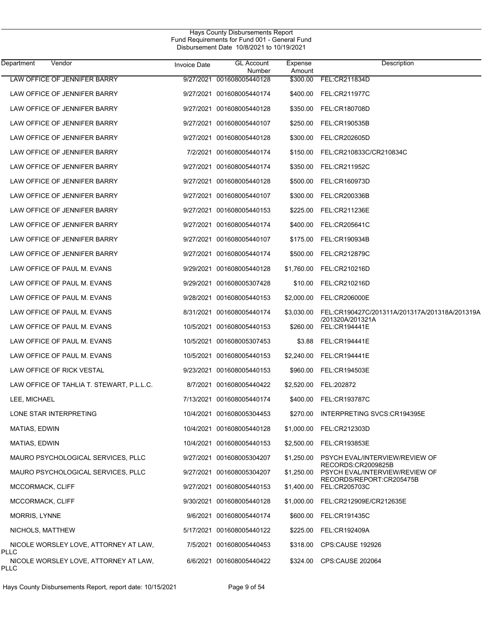| Department       | Vendor                                    | <b>Invoice Date</b> | <b>GL Account</b><br>Number | Expense<br>Amount | Description                                                       |
|------------------|-------------------------------------------|---------------------|-----------------------------|-------------------|-------------------------------------------------------------------|
|                  | LAW OFFICE OF JENNIFER BARRY              |                     | 9/27/2021 001608005440128   | \$300.00          | FEL:CR211834D                                                     |
|                  | LAW OFFICE OF JENNIFER BARRY              |                     | 9/27/2021 001608005440174   | \$400.00          | FEL:CR211977C                                                     |
|                  | LAW OFFICE OF JENNIFER BARRY              |                     | 9/27/2021 001608005440128   | \$350.00          | FEL:CR180708D                                                     |
|                  | LAW OFFICE OF JENNIFER BARRY              |                     | 9/27/2021 001608005440107   | \$250.00          | FEL:CR190535B                                                     |
|                  | LAW OFFICE OF JENNIFER BARRY              |                     | 9/27/2021 001608005440128   | \$300.00          | FEL:CR202605D                                                     |
|                  | LAW OFFICE OF JENNIFER BARRY              |                     | 7/2/2021 001608005440174    | \$150.00          | FEL:CR210833C/CR210834C                                           |
|                  | LAW OFFICE OF JENNIFER BARRY              |                     | 9/27/2021 001608005440174   | \$350.00          | FEL:CR211952C                                                     |
|                  | LAW OFFICE OF JENNIFER BARRY              |                     | 9/27/2021 001608005440128   | \$500.00          | FEL:CR160973D                                                     |
|                  | LAW OFFICE OF JENNIFER BARRY              |                     | 9/27/2021 001608005440107   | \$300.00          | FEL:CR200336B                                                     |
|                  | LAW OFFICE OF JENNIFER BARRY              |                     | 9/27/2021 001608005440153   | \$225.00          | FEL:CR211236E                                                     |
|                  | LAW OFFICE OF JENNIFER BARRY              |                     | 9/27/2021 001608005440174   | \$400.00          | FEL:CR205641C                                                     |
|                  | LAW OFFICE OF JENNIFER BARRY              |                     | 9/27/2021 001608005440107   | \$175.00          | FEL:CR190934B                                                     |
|                  | LAW OFFICE OF JENNIFER BARRY              |                     | 9/27/2021 001608005440174   | \$500.00          | FEL:CR212879C                                                     |
|                  | LAW OFFICE OF PAUL M. EVANS               |                     | 9/29/2021 001608005440128   | \$1,760.00        | FEL:CR210216D                                                     |
|                  | LAW OFFICE OF PAUL M. EVANS               |                     | 9/29/2021 001608005307428   | \$10.00           | FEL:CR210216D                                                     |
|                  | LAW OFFICE OF PAUL M. EVANS               |                     | 9/28/2021 001608005440153   | \$2,000.00        | FEL:CR206000E                                                     |
|                  | LAW OFFICE OF PAUL M. EVANS               |                     | 8/31/2021 001608005440174   | \$3,030.00        | FEL:CR190427C/201311A/201317A/201318A/201319A<br>/201320A/201321A |
|                  | LAW OFFICE OF PAUL M. EVANS               |                     | 10/5/2021 001608005440153   | \$260.00          | <b>FEL:CR194441E</b>                                              |
|                  | LAW OFFICE OF PAUL M. EVANS               |                     | 10/5/2021 001608005307453   | \$3.88            | FEL:CR194441E                                                     |
|                  | LAW OFFICE OF PAUL M. EVANS               |                     | 10/5/2021 001608005440153   | \$2,240.00        | FEL:CR194441E                                                     |
|                  | LAW OFFICE OF RICK VESTAL                 |                     | 9/23/2021 001608005440153   | \$960.00          | FEL:CR194503E                                                     |
|                  | LAW OFFICE OF TAHLIA T. STEWART, P.L.L.C. |                     | 8/7/2021 001608005440422    | \$2,520.00        | FEL:202872                                                        |
| LEE, MICHAEL     |                                           |                     | 7/13/2021 001608005440174   | \$400.00          | FEL:CR193787C                                                     |
|                  | LONE STAR INTERPRETING                    |                     | 10/4/2021 001608005304453   | \$270.00          | INTERPRETING SVCS:CR194395E                                       |
| MATIAS, EDWIN    |                                           |                     | 10/4/2021 001608005440128   |                   | \$1,000.00 FEL:CR212303D                                          |
| MATIAS, EDWIN    |                                           |                     | 10/4/2021 001608005440153   | \$2,500.00        | FEL:CR193853E                                                     |
|                  | MAURO PSYCHOLOGICAL SERVICES, PLLC        |                     | 9/27/2021 001608005304207   | \$1,250.00        | PSYCH EVAL/INTERVIEW/REVIEW OF<br>RECORDS:CR2009825B              |
|                  | MAURO PSYCHOLOGICAL SERVICES, PLLC        |                     | 9/27/2021 001608005304207   | \$1,250.00        | PSYCH EVAL/INTERVIEW/REVIEW OF<br>RECORDS/REPORT:CR205475B        |
| MCCORMACK, CLIFF |                                           |                     | 9/27/2021 001608005440153   | \$1,400.00        | FEL:CR205703C                                                     |
| MCCORMACK, CLIFF |                                           |                     | 9/30/2021 001608005440128   | \$1,000.00        | FEL:CR212909E/CR212635E                                           |
| MORRIS, LYNNE    |                                           |                     | 9/6/2021 001608005440174    | \$600.00          | FEL:CR191435C                                                     |
| NICHOLS, MATTHEW |                                           |                     | 5/17/2021 001608005440122   | \$225.00          | FEL:CR192409A                                                     |
| <b>PLLC</b>      | NICOLE WORSLEY LOVE, ATTORNEY AT LAW,     |                     | 7/5/2021 001608005440453    | \$318.00          | CPS:CAUSE 192926                                                  |
| <b>PLLC</b>      | NICOLE WORSLEY LOVE, ATTORNEY AT LAW,     |                     | 6/6/2021 001608005440422    |                   | \$324.00 CPS:CAUSE 202064                                         |

Hays County Disbursements Report, report date: 10/15/2021 Page 9 of 54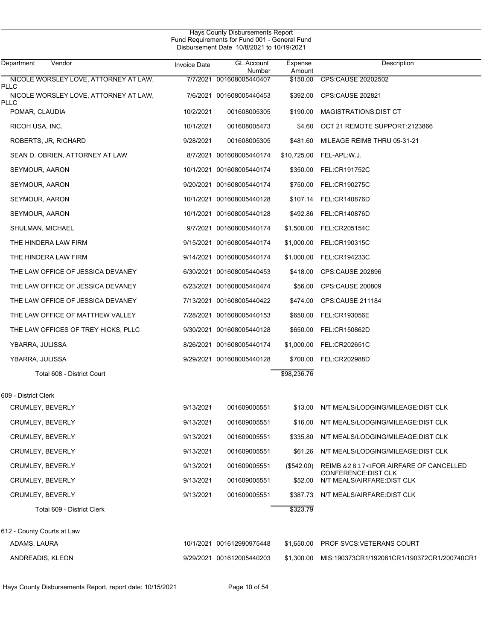| Hays County Disbursements Report<br>Fund Requirements for Fund 001 - General Fund<br>Disbursement Date 10/8/2021 to 10/19/2021 |                     |                             |                   |                                                     |  |  |
|--------------------------------------------------------------------------------------------------------------------------------|---------------------|-----------------------------|-------------------|-----------------------------------------------------|--|--|
| Vendor<br>Department                                                                                                           | <b>Invoice Date</b> | <b>GL Account</b><br>Number | Expense<br>Amount | Description                                         |  |  |
| NICOLE WORSLEY LOVE, ATTORNEY AT LAW,<br>PLLC                                                                                  |                     | 7/7/2021 001608005440407    | \$150.00          | CPS:CAUSE 20202502                                  |  |  |
| NICOLE WORSLEY LOVE, ATTORNEY AT LAW,                                                                                          |                     | 7/6/2021 001608005440453    | \$392.00          | CPS:CAUSE 202821                                    |  |  |
| PLLC<br>POMAR, CLAUDIA                                                                                                         | 10/2/2021           | 001608005305                | \$190.00          | MAGISTRATIONS:DIST CT                               |  |  |
| RICOH USA, INC.                                                                                                                | 10/1/2021           | 001608005473                | \$4.60            | OCT 21 REMOTE SUPPORT:2123866                       |  |  |
| ROBERTS, JR, RICHARD                                                                                                           | 9/28/2021           | 001608005305                | \$481.60          | MILEAGE REIMB THRU 05-31-21                         |  |  |
| SEAN D. OBRIEN, ATTORNEY AT LAW                                                                                                |                     | 8/7/2021 001608005440174    | \$10,725.00       | FEL-APL:W.J.                                        |  |  |
| SEYMOUR, AARON                                                                                                                 |                     | 10/1/2021 001608005440174   | \$350.00          | FEL:CR191752C                                       |  |  |
| SEYMOUR, AARON                                                                                                                 |                     | 9/20/2021 001608005440174   | \$750.00          | FEL:CR190275C                                       |  |  |
| SEYMOUR, AARON                                                                                                                 |                     | 10/1/2021 001608005440128   | \$107.14          | <b>FEL:CR140876D</b>                                |  |  |
| SEYMOUR, AARON                                                                                                                 |                     | 10/1/2021 001608005440128   | \$492.86          | <b>FEL:CR140876D</b>                                |  |  |
| SHULMAN, MICHAEL                                                                                                               |                     | 9/7/2021 001608005440174    | \$1,500.00        | FEL:CR205154C                                       |  |  |
| THE HINDERA LAW FIRM                                                                                                           |                     | 9/15/2021 001608005440174   | \$1,000.00        | FEL:CR190315C                                       |  |  |
| THE HINDERA LAW FIRM                                                                                                           |                     | 9/14/2021 001608005440174   | \$1,000.00        | FEL:CR194233C                                       |  |  |
| THE LAW OFFICE OF JESSICA DEVANEY                                                                                              |                     | 6/30/2021 001608005440453   | \$418.00          | CPS:CAUSE 202896                                    |  |  |
| THE LAW OFFICE OF JESSICA DEVANEY                                                                                              |                     | 6/23/2021 001608005440474   | \$56.00           | <b>CPS:CAUSE 200809</b>                             |  |  |
| THE LAW OFFICE OF JESSICA DEVANEY                                                                                              |                     | 7/13/2021 001608005440422   | \$474.00          | CPS:CAUSE 211184                                    |  |  |
| THE LAW OFFICE OF MATTHEW VALLEY                                                                                               |                     | 7/28/2021 001608005440153   | \$650.00          | FEL:CR193056E                                       |  |  |
| THE LAW OFFICES OF TREY HICKS, PLLC                                                                                            |                     | 9/30/2021 001608005440128   | \$650.00          | FEL:CR150862D                                       |  |  |
| YBARRA, JULISSA                                                                                                                |                     | 8/26/2021 001608005440174   | \$1,000.00        | FEL:CR202651C                                       |  |  |
| YBARRA, JULISSA                                                                                                                |                     | 9/29/2021 001608005440128   | \$700.00          | FEL:CR202988D                                       |  |  |
| Total 608 - District Court                                                                                                     |                     |                             | \$98,236.76       |                                                     |  |  |
| 609 - District Clerk                                                                                                           |                     |                             |                   |                                                     |  |  |
| <b>CRUMLEY, BEVERLY</b>                                                                                                        | 9/13/2021           | 001609005551                | \$13.00           | N/T MEALS/LODGING/MILEAGE:DIST CLK                  |  |  |
| <b>CRUMLEY, BEVERLY</b>                                                                                                        | 9/13/2021           | 001609005551                | \$16.00           | N/T MEALS/LODGING/MILEAGE:DIST CLK                  |  |  |
| CRUMLEY, BEVERLY                                                                                                               | 9/13/2021           | 001609005551                | \$335.80          | N/T MEALS/LODGING/MILEAGE: DIST CLK                 |  |  |
| <b>CRUMLEY, BEVERLY</b>                                                                                                        | 9/13/2021           | 001609005551                | \$61.26           | N/T MEALS/LODGING/MILEAGE:DIST CLK                  |  |  |
| CRUMLEY, BEVERLY                                                                                                               | 9/13/2021           | 001609005551                | $(\$542.00)$      | REIMB OUWDVY FOR AIRFARE OF CANCELLED               |  |  |
| <b>CRUMLEY, BEVERLY</b>                                                                                                        | 9/13/2021           | 001609005551                | \$52.00           | CONFERENCE: DIST CLK<br>N/T MEALS/AIRFARE: DIST CLK |  |  |
| CRUMLEY, BEVERLY                                                                                                               | 9/13/2021           | 001609005551                | \$387.73          | N/T MEALS/AIRFARE: DIST CLK                         |  |  |
| Total 609 - District Clerk                                                                                                     |                     |                             | \$323.79          |                                                     |  |  |
| 612 - County Courts at Law                                                                                                     |                     |                             |                   |                                                     |  |  |
| ADAMS, LAURA                                                                                                                   |                     | 10/1/2021 001612990975448   | \$1,650.00        | PROF SVCS: VETERANS COURT                           |  |  |
| ANDREADIS, KLEON                                                                                                               |                     | 9/29/2021 001612005440203   | \$1,300.00        | MIS:190373CR1/192081CR1/190372CR1/200740CR1         |  |  |

Hays County Disbursements Report, report date: 10/15/2021 Page 10 of 54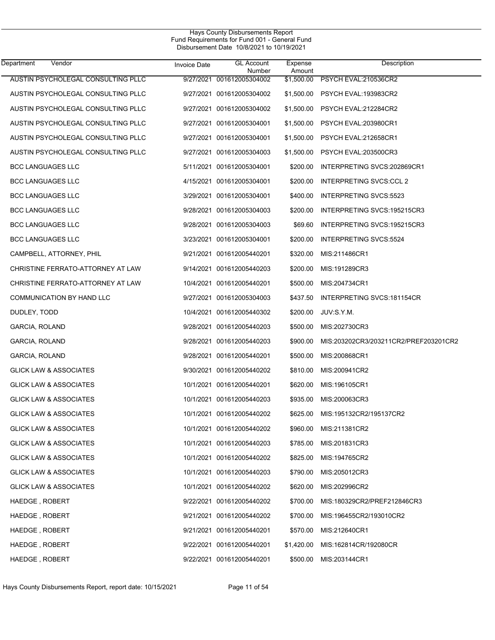$\overline{\phantom{0}}$ 

| Department<br>Vendor               | <b>Invoice Date</b> | <b>GL Account</b><br>Number | Expense<br>Amount | Description                           |
|------------------------------------|---------------------|-----------------------------|-------------------|---------------------------------------|
| AUSTIN PSYCHOLEGAL CONSULTING PLLC | 9/27/2021           | 001612005304002             | \$1,500.00        | PSYCH EVAL:210536CR2                  |
| AUSTIN PSYCHOLEGAL CONSULTING PLLC |                     | 9/27/2021 001612005304002   | \$1,500.00        | PSYCH EVAL:193983CR2                  |
| AUSTIN PSYCHOLEGAL CONSULTING PLLC |                     | 9/27/2021 001612005304002   | \$1,500.00        | PSYCH EVAL:212284CR2                  |
| AUSTIN PSYCHOLEGAL CONSULTING PLLC |                     | 9/27/2021 001612005304001   | \$1,500.00        | PSYCH EVAL:203980CR1                  |
| AUSTIN PSYCHOLEGAL CONSULTING PLLC |                     | 9/27/2021 001612005304001   | \$1,500.00        | PSYCH EVAL:212658CR1                  |
| AUSTIN PSYCHOLEGAL CONSULTING PLLC |                     | 9/27/2021 001612005304003   | \$1,500.00        | PSYCH EVAL:203500CR3                  |
| <b>BCC LANGUAGES LLC</b>           |                     | 5/11/2021 001612005304001   | \$200.00          | INTERPRETING SVCS:202869CR1           |
| <b>BCC LANGUAGES LLC</b>           |                     | 4/15/2021 001612005304001   | \$200.00          | INTERPRETING SVCS:CCL 2               |
| <b>BCC LANGUAGES LLC</b>           |                     | 3/29/2021 001612005304001   | \$400.00          | INTERPRETING SVCS:5523                |
| <b>BCC LANGUAGES LLC</b>           |                     | 9/28/2021 001612005304003   | \$200.00          | INTERPRETING SVCS: 195215CR3          |
| <b>BCC LANGUAGES LLC</b>           |                     | 9/28/2021 001612005304003   | \$69.60           | INTERPRETING SVCS:195215CR3           |
| <b>BCC LANGUAGES LLC</b>           |                     | 3/23/2021 001612005304001   | \$200.00          | INTERPRETING SVCS:5524                |
| CAMPBELL, ATTORNEY, PHIL           |                     | 9/21/2021 001612005440201   | \$320.00          | MIS:211486CR1                         |
| CHRISTINE FERRATO-ATTORNEY AT LAW  |                     | 9/14/2021 001612005440203   | \$200.00          | MIS:191289CR3                         |
| CHRISTINE FERRATO-ATTORNEY AT LAW  |                     | 10/4/2021 001612005440201   | \$500.00          | MIS:204734CR1                         |
| COMMUNICATION BY HAND LLC          |                     | 9/27/2021 001612005304003   | \$437.50          | INTERPRETING SVCS: 181154CR           |
| DUDLEY, TODD                       |                     | 10/4/2021 001612005440302   | \$200.00          | JUV:S.Y.M.                            |
| GARCIA, ROLAND                     |                     | 9/28/2021 001612005440203   | \$500.00          | MIS:202730CR3                         |
| GARCIA, ROLAND                     |                     | 9/28/2021 001612005440203   | \$900.00          | MIS:203202CR3/203211CR2/PREF203201CR2 |
| GARCIA, ROLAND                     |                     | 9/28/2021 001612005440201   | \$500.00          | MIS:200868CR1                         |
| <b>GLICK LAW &amp; ASSOCIATES</b>  |                     | 9/30/2021 001612005440202   | \$810.00          | MIS:200941CR2                         |
| <b>GLICK LAW &amp; ASSOCIATES</b>  |                     | 10/1/2021 001612005440201   | \$620.00          | MIS:196105CR1                         |
| <b>GLICK LAW &amp; ASSOCIATES</b>  |                     | 10/1/2021 001612005440203   | \$935.00          | MIS:200063CR3                         |
| <b>GLICK LAW &amp; ASSOCIATES</b>  |                     | 10/1/2021 001612005440202   | \$625.00          | MIS:195132CR2/195137CR2               |
| <b>GLICK LAW &amp; ASSOCIATES</b>  |                     | 10/1/2021 001612005440202   |                   | \$960.00 MIS:211381CR2                |
| <b>GLICK LAW &amp; ASSOCIATES</b>  |                     | 10/1/2021 001612005440203   |                   | \$785.00 MIS:201831CR3                |
| <b>GLICK LAW &amp; ASSOCIATES</b>  |                     | 10/1/2021 001612005440202   |                   | \$825.00 MIS:194765CR2                |
| <b>GLICK LAW &amp; ASSOCIATES</b>  |                     | 10/1/2021 001612005440203   | \$790.00          | MIS:205012CR3                         |
| <b>GLICK LAW &amp; ASSOCIATES</b>  |                     | 10/1/2021 001612005440202   | \$620.00          | MIS:202996CR2                         |
| HAEDGE, ROBERT                     |                     | 9/22/2021 001612005440202   | \$700.00          | MIS:180329CR2/PREF212846CR3           |
| HAEDGE, ROBERT                     |                     | 9/21/2021 001612005440202   | \$700.00          | MIS:196455CR2/193010CR2               |
| HAEDGE, ROBERT                     |                     | 9/21/2021 001612005440201   | \$570.00          | MIS:212640CR1                         |
| HAEDGE, ROBERT                     |                     | 9/22/2021 001612005440201   |                   | \$1,420.00 MIS:162814CR/192080CR      |
| HAEDGE, ROBERT                     |                     | 9/22/2021 001612005440201   |                   | \$500.00 MIS:203144CR1                |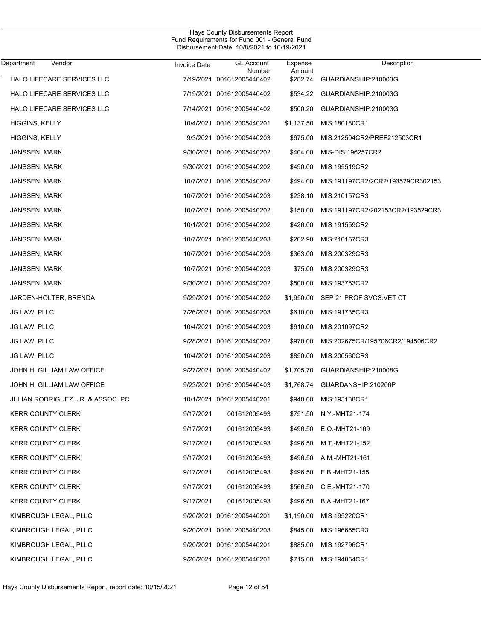| Department<br>Vendor              | Invoice Date | <b>GL Account</b><br>Number | Expense<br>Amount | Description                       |
|-----------------------------------|--------------|-----------------------------|-------------------|-----------------------------------|
| HALO LIFECARE SERVICES LLC        |              | 7/19/2021 001612005440402   | \$282.74          | GUARDIANSHIP:210003G              |
| HALO LIFECARE SERVICES LLC        |              | 7/19/2021 001612005440402   | \$534.22          | GUARDIANSHIP:210003G              |
| HALO LIFECARE SERVICES LLC        |              | 7/14/2021 001612005440402   | \$500.20          | GUARDIANSHIP:210003G              |
| HIGGINS, KELLY                    |              | 10/4/2021 001612005440201   | \$1,137.50        | MIS:180180CR1                     |
| HIGGINS, KELLY                    |              | 9/3/2021 001612005440203    | \$675.00          | MIS:212504CR2/PREF212503CR1       |
| JANSSEN, MARK                     |              | 9/30/2021 001612005440202   | \$404.00          | MIS-DIS:196257CR2                 |
| JANSSEN, MARK                     |              | 9/30/2021 001612005440202   | \$490.00          | MIS:195519CR2                     |
| JANSSEN, MARK                     |              | 10/7/2021 001612005440202   | \$494.00          | MIS:191197CR2/2CR2/193529CR302153 |
| JANSSEN, MARK                     |              | 10/7/2021 001612005440203   | \$238.10          | MIS:210157CR3                     |
| JANSSEN, MARK                     |              | 10/7/2021 001612005440202   | \$150.00          | MIS:191197CR2/202153CR2/193529CR3 |
| JANSSEN, MARK                     |              | 10/1/2021 001612005440202   | \$426.00          | MIS:191559CR2                     |
| JANSSEN, MARK                     |              | 10/7/2021 001612005440203   | \$262.90          | MIS:210157CR3                     |
| JANSSEN, MARK                     |              | 10/7/2021 001612005440203   | \$363.00          | MIS:200329CR3                     |
| JANSSEN, MARK                     |              | 10/7/2021 001612005440203   | \$75.00           | MIS:200329CR3                     |
| JANSSEN, MARK                     |              | 9/30/2021 001612005440202   | \$500.00          | MIS:193753CR2                     |
| JARDEN-HOLTER, BRENDA             |              | 9/29/2021 001612005440202   | \$1,950.00        | SEP 21 PROF SVCS: VET CT          |
| JG LAW, PLLC                      |              | 7/26/2021 001612005440203   | \$610.00          | MIS:191735CR3                     |
| JG LAW, PLLC                      |              | 10/4/2021 001612005440203   | \$610.00          | MIS:201097CR2                     |
| JG LAW, PLLC                      |              | 9/28/2021 001612005440202   | \$970.00          | MIS:202675CR/195706CR2/194506CR2  |
| JG LAW, PLLC                      |              | 10/4/2021 001612005440203   | \$850.00          | MIS:200560CR3                     |
| JOHN H. GILLIAM LAW OFFICE        |              | 9/27/2021 001612005440402   | \$1,705.70        | GUARDIANSHIP:210008G              |
| JOHN H. GILLIAM LAW OFFICE        |              | 9/23/2021 001612005440403   | \$1,768.74        | GUARDANSHIP:210206P               |
| JULIAN RODRIGUEZ, JR. & ASSOC. PC |              | 10/1/2021 001612005440201   | \$940.00          | MIS:193138CR1                     |
| KERR COUNTY CLERK                 | 9/17/2021    | 001612005493                | \$751.50          | N.Y.-MHT21-174                    |
| <b>KERR COUNTY CLERK</b>          | 9/17/2021    | 001612005493                | \$496.50          | E.O.-MHT21-169                    |
| <b>KERR COUNTY CLERK</b>          | 9/17/2021    | 001612005493                | \$496.50          | M.T.-MHT21-152                    |
| <b>KERR COUNTY CLERK</b>          | 9/17/2021    | 001612005493                | \$496.50          | A.M.-MHT21-161                    |
| <b>KERR COUNTY CLERK</b>          | 9/17/2021    | 001612005493                | \$496.50          | E.B.-MHT21-155                    |
| <b>KERR COUNTY CLERK</b>          | 9/17/2021    | 001612005493                | \$566.50          | C.E.-MHT21-170                    |
| <b>KERR COUNTY CLERK</b>          | 9/17/2021    | 001612005493                | \$496.50          | B.A.-MHT21-167                    |
| KIMBROUGH LEGAL, PLLC             |              | 9/20/2021 001612005440201   | \$1,190.00        | MIS:195220CR1                     |
| KIMBROUGH LEGAL, PLLC             |              | 9/20/2021 001612005440203   | \$845.00          | MIS:196655CR3                     |
| KIMBROUGH LEGAL, PLLC             |              | 9/20/2021 001612005440201   | \$885.00          | MIS:192796CR1                     |
| KIMBROUGH LEGAL, PLLC             |              | 9/20/2021 001612005440201   | \$715.00          | MIS:194854CR1                     |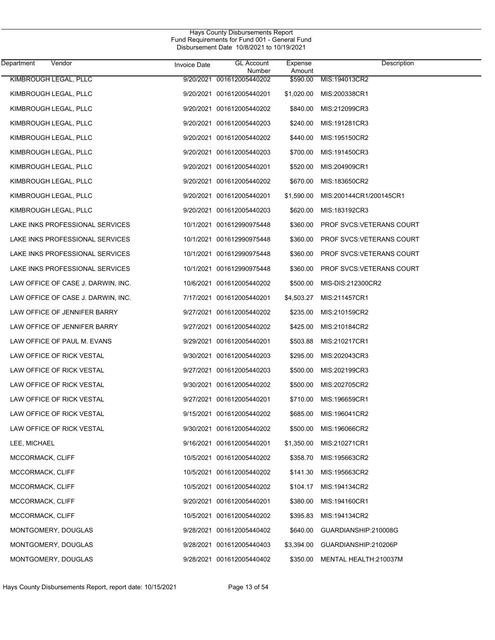| Department<br>Vendor               | <b>Invoice Date</b> | <b>GL Account</b><br>Number | Expense<br>Amount | Description               |
|------------------------------------|---------------------|-----------------------------|-------------------|---------------------------|
| KIMBROUGH LEGAL, PLLC              | 9/20/2021           | 001612005440202             | \$590.00          | MIS:194013CR2             |
| KIMBROUGH LEGAL, PLLC              |                     | 9/20/2021 001612005440201   | \$1,020.00        | MIS:200338CR1             |
| KIMBROUGH LEGAL, PLLC              |                     | 9/20/2021 001612005440202   | \$840.00          | MIS:212099CR3             |
| KIMBROUGH LEGAL, PLLC              |                     | 9/20/2021 001612005440203   | \$240.00          | MIS:191281CR3             |
| KIMBROUGH LEGAL, PLLC              |                     | 9/20/2021 001612005440202   | \$440.00          | MIS:195150CR2             |
| KIMBROUGH LEGAL, PLLC              |                     | 9/20/2021 001612005440203   | \$700.00          | MIS:191450CR3             |
| KIMBROUGH LEGAL, PLLC              |                     | 9/20/2021 001612005440201   | \$520.00          | MIS:204909CR1             |
| KIMBROUGH LEGAL, PLLC              |                     | 9/20/2021 001612005440202   | \$670.00          | MIS:183650CR2             |
| KIMBROUGH LEGAL, PLLC              |                     | 9/20/2021 001612005440201   | \$1,590.00        | MIS:200144CR1/200145CR1   |
| KIMBROUGH LEGAL, PLLC              |                     | 9/20/2021 001612005440203   | \$620.00          | MIS:183192CR3             |
| LAKE INKS PROFESSIONAL SERVICES    |                     | 10/1/2021 001612990975448   | \$360.00          | PROF SVCS: VETERANS COURT |
| LAKE INKS PROFESSIONAL SERVICES    |                     | 10/1/2021 001612990975448   | \$360.00          | PROF SVCS: VETERANS COURT |
| LAKE INKS PROFESSIONAL SERVICES    |                     | 10/1/2021 001612990975448   | \$360.00          | PROF SVCS: VETERANS COURT |
| LAKE INKS PROFESSIONAL SERVICES    |                     | 10/1/2021 001612990975448   | \$360.00          | PROF SVCS: VETERANS COURT |
| LAW OFFICE OF CASE J. DARWIN, INC. |                     | 10/6/2021 001612005440202   | \$500.00          | MIS-DIS:212300CR2         |
| LAW OFFICE OF CASE J. DARWIN, INC. |                     | 7/17/2021 001612005440201   | \$4,503.27        | MIS:211457CR1             |
| LAW OFFICE OF JENNIFER BARRY       |                     | 9/27/2021 001612005440202   | \$235.00          | MIS:210159CR2             |
| LAW OFFICE OF JENNIFER BARRY       |                     | 9/27/2021 001612005440202   | \$425.00          | MIS:210184CR2             |
| LAW OFFICE OF PAUL M. EVANS        |                     | 9/29/2021 001612005440201   | \$503.88          | MIS:210217CR1             |
| LAW OFFICE OF RICK VESTAL          |                     | 9/30/2021 001612005440203   | \$295.00          | MIS:202043CR3             |
| LAW OFFICE OF RICK VESTAL          |                     | 9/27/2021 001612005440203   | \$500.00          | MIS:202199CR3             |
| LAW OFFICE OF RICK VESTAL          |                     | 9/30/2021 001612005440202   | \$500.00          | MIS:202705CR2             |
| LAW OFFICE OF RICK VESTAL          |                     | 9/27/2021 001612005440201   | \$710.00          | MIS:196659CR1             |
| LAW OFFICE OF RICK VESTAL          |                     | 9/15/2021 001612005440202   | \$685.00          | MIS:196041CR2             |
| LAW OFFICE OF RICK VESTAL          |                     | 9/30/2021 001612005440202   | \$500.00          | MIS:196066CR2             |
| LEE, MICHAEL                       |                     | 9/16/2021 001612005440201   | \$1,350.00        | MIS:210271CR1             |
| MCCORMACK, CLIFF                   |                     | 10/5/2021 001612005440202   | \$358.70          | MIS:195663CR2             |
| MCCORMACK, CLIFF                   |                     | 10/5/2021 001612005440202   | \$141.30          | MIS:195663CR2             |
| MCCORMACK, CLIFF                   |                     | 10/5/2021 001612005440202   | \$104.17          | MIS:194134CR2             |
| MCCORMACK, CLIFF                   |                     | 9/20/2021 001612005440201   | \$380.00          | MIS:194160CR1             |
| MCCORMACK, CLIFF                   |                     | 10/5/2021 001612005440202   | \$395.83          | MIS:194134CR2             |
| MONTGOMERY, DOUGLAS                |                     | 9/28/2021 001612005440402   | \$640.00          | GUARDIANSHIP:210008G      |
| MONTGOMERY, DOUGLAS                |                     | 9/28/2021 001612005440403   | \$3,394.00        | GUARDIANSHIP:210206P      |
| MONTGOMERY, DOUGLAS                |                     | 9/28/2021 001612005440402   | \$350.00          | MENTAL HEALTH:210037M     |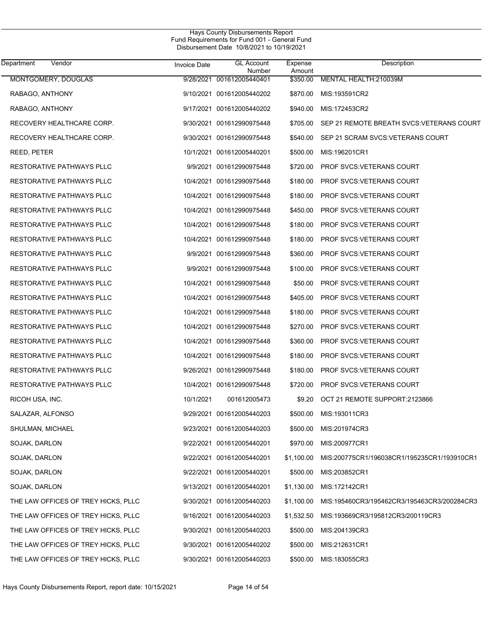| Department<br>Vendor                | <b>Invoice Date</b> | <b>GL Account</b><br>Number | Expense<br>Amount | Description                                 |
|-------------------------------------|---------------------|-----------------------------|-------------------|---------------------------------------------|
| MONTGOMERY, DOUGLAS                 |                     | 9/28/2021 001612005440401   | \$350.00          | MENTAL HEALTH:210039M                       |
| RABAGO, ANTHONY                     |                     | 9/10/2021 001612005440202   | \$870.00          | MIS:193591CR2                               |
| RABAGO, ANTHONY                     |                     | 9/17/2021 001612005440202   | \$940.00          | MIS:172453CR2                               |
| RECOVERY HEALTHCARE CORP.           |                     | 9/30/2021 001612990975448   | \$705.00          | SEP 21 REMOTE BREATH SVCS: VETERANS COURT   |
| RECOVERY HEALTHCARE CORP.           |                     | 9/30/2021 001612990975448   | \$540.00          | SEP 21 SCRAM SVCS VETERANS COURT            |
| REED, PETER                         |                     | 10/1/2021 001612005440201   | \$500.00          | MIS:196201CR1                               |
| RESTORATIVE PATHWAYS PLLC           |                     | 9/9/2021 001612990975448    | \$720.00          | <b>PROF SVCS: VETERANS COURT</b>            |
| RESTORATIVE PATHWAYS PLLC           |                     | 10/4/2021 001612990975448   | \$180.00          | <b>PROF SVCS:VETERANS COURT</b>             |
| RESTORATIVE PATHWAYS PLLC           |                     | 10/4/2021 001612990975448   | \$180.00          | <b>PROF SVCS:VETERANS COURT</b>             |
| RESTORATIVE PATHWAYS PLLC           |                     | 10/4/2021 001612990975448   | \$450.00          | <b>PROF SVCS: VETERANS COURT</b>            |
| RESTORATIVE PATHWAYS PLLC           |                     | 10/4/2021 001612990975448   | \$180.00          | <b>PROF SVCS: VETERANS COURT</b>            |
| RESTORATIVE PATHWAYS PLLC           |                     | 10/4/2021 001612990975448   | \$180.00          | <b>PROF SVCS: VETERANS COURT</b>            |
| RESTORATIVE PATHWAYS PLLC           |                     | 9/9/2021 001612990975448    | \$360.00          | <b>PROF SVCS:VETERANS COURT</b>             |
| RESTORATIVE PATHWAYS PLLC           |                     | 9/9/2021 001612990975448    | \$100.00          | <b>PROF SVCS:VETERANS COURT</b>             |
| RESTORATIVE PATHWAYS PLLC           |                     | 10/4/2021 001612990975448   | \$50.00           | PROF SVCS: VETERANS COURT                   |
| RESTORATIVE PATHWAYS PLLC           |                     | 10/4/2021 001612990975448   | \$405.00          | <b>PROF SVCS:VETERANS COURT</b>             |
| RESTORATIVE PATHWAYS PLLC           |                     | 10/4/2021 001612990975448   | \$180.00          | <b>PROF SVCS:VETERANS COURT</b>             |
| RESTORATIVE PATHWAYS PLLC           |                     | 10/4/2021 001612990975448   | \$270.00          | <b>PROF SVCS: VETERANS COURT</b>            |
| RESTORATIVE PATHWAYS PLLC           |                     | 10/4/2021 001612990975448   | \$360.00          | <b>PROF SVCS:VETERANS COURT</b>             |
| RESTORATIVE PATHWAYS PLLC           |                     | 10/4/2021 001612990975448   | \$180.00          | <b>PROF SVCS: VETERANS COURT</b>            |
| RESTORATIVE PATHWAYS PLLC           |                     | 9/26/2021 001612990975448   | \$180.00          | <b>PROF SVCS:VETERANS COURT</b>             |
| RESTORATIVE PATHWAYS PLLC           |                     | 10/4/2021 001612990975448   | \$720.00          | <b>PROF SVCS: VETERANS COURT</b>            |
| RICOH USA, INC.                     | 10/1/2021           | 001612005473                | \$9.20            | OCT 21 REMOTE SUPPORT:2123866               |
| SALAZAR, ALFONSO                    |                     | 9/29/2021 001612005440203   | \$500.00          | MIS:193011CR3                               |
| SHULMAN, MICHAEL                    |                     | 9/23/2021 001612005440203   | \$500.00          | MIS:201974CR3                               |
| SOJAK, DARLON                       |                     | 9/22/2021 001612005440201   | \$970.00          | MIS:200977CR1                               |
| SOJAK, DARLON                       |                     | 9/22/2021 001612005440201   | \$1,100.00        | MIS:200775CR1/196038CR1/195235CR1/193910CR1 |
| SOJAK, DARLON                       |                     | 9/22/2021 001612005440201   | \$500.00          | MIS:203852CR1                               |
| SOJAK, DARLON                       |                     | 9/13/2021 001612005440201   | \$1,130.00        | MIS:172142CR1                               |
| THE LAW OFFICES OF TREY HICKS, PLLC |                     | 9/30/2021 001612005440203   | \$1,100.00        | MIS:195460CR3/195462CR3/195463CR3/200284CR3 |
| THE LAW OFFICES OF TREY HICKS, PLLC |                     | 9/16/2021 001612005440203   | \$1,532.50        | MIS:193669CR3/195812CR3/200119CR3           |
| THE LAW OFFICES OF TREY HICKS, PLLC |                     | 9/30/2021 001612005440203   | \$500.00          | MIS:204139CR3                               |
| THE LAW OFFICES OF TREY HICKS, PLLC |                     | 9/30/2021 001612005440202   | \$500.00          | MIS:212631CR1                               |
| THE LAW OFFICES OF TREY HICKS, PLLC |                     | 9/30/2021 001612005440203   | \$500.00          | MIS:183055CR3                               |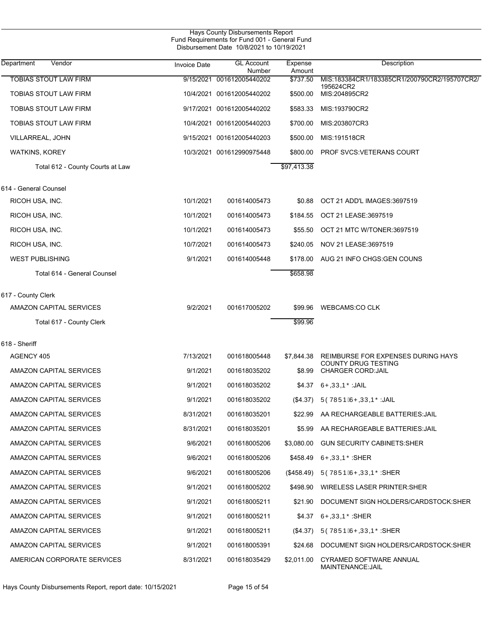| Hays County Disbursements Report<br>Fund Requirements for Fund 001 - General Fund<br>Disbursement Date 10/8/2021 to 10/19/2021 |                     |                             |                   |                                                  |  |
|--------------------------------------------------------------------------------------------------------------------------------|---------------------|-----------------------------|-------------------|--------------------------------------------------|--|
| Department<br>Vendor                                                                                                           | <b>Invoice Date</b> | <b>GL Account</b><br>Number | Expense<br>Amount | Description                                      |  |
| <b>TOBIAS STOUT LAW FIRM</b>                                                                                                   | 9/15/2021           | 001612005440202             | \$737.50          | MIS:183384CR1/183385CR1/200790CR2/195707CR2/     |  |
| <b>TOBIAS STOUT LAW FIRM</b>                                                                                                   |                     | 10/4/2021 001612005440202   | \$500.00          | 195624CR2<br>MIS:204895CR2                       |  |
| <b>TOBIAS STOUT LAW FIRM</b>                                                                                                   |                     | 9/17/2021 001612005440202   | \$583.33          | MIS:193790CR2                                    |  |
| <b>TOBIAS STOUT LAW FIRM</b>                                                                                                   |                     | 10/4/2021 001612005440203   | \$700.00          | MIS:203807CR3                                    |  |
| VILLARREAL, JOHN                                                                                                               |                     | 9/15/2021 001612005440203   | \$500.00          | MIS:191518CR                                     |  |
| <b>WATKINS, KOREY</b>                                                                                                          |                     | 10/3/2021 001612990975448   | \$800.00          | PROF SVCS: VETERANS COURT                        |  |
| Total 612 - County Courts at Law                                                                                               |                     |                             | \$97,413.38       |                                                  |  |
| 614 - General Counsel                                                                                                          |                     |                             |                   |                                                  |  |
| RICOH USA, INC.                                                                                                                | 10/1/2021           | 001614005473                | \$0.88            | OCT 21 ADD'L IMAGES:3697519                      |  |
| RICOH USA, INC.                                                                                                                | 10/1/2021           | 001614005473                | \$184.55          | OCT 21 LEASE:3697519                             |  |
| RICOH USA, INC.                                                                                                                | 10/1/2021           | 001614005473                | \$55.50           | OCT 21 MTC W/TONER:3697519                       |  |
| RICOH USA, INC.                                                                                                                | 10/7/2021           | 001614005473                | \$240.05          | NOV 21 LEASE: 3697519                            |  |
| <b>WEST PUBLISHING</b>                                                                                                         | 9/1/2021            | 001614005448                | \$178.00          | AUG 21 INFO CHGS GEN COUNS                       |  |
| Total 614 - General Counsel                                                                                                    |                     |                             | \$658.98          |                                                  |  |
| 617 - County Clerk                                                                                                             |                     |                             |                   |                                                  |  |
| AMAZON CAPITAL SERVICES                                                                                                        | 9/2/2021            | 001617005202                | \$99.96           | <b>WEBCAMS:CO CLK</b>                            |  |
| Total 617 - County Clerk                                                                                                       |                     |                             | \$99.96           |                                                  |  |
| 618 - Sheriff                                                                                                                  |                     |                             |                   |                                                  |  |
| AGENCY 405                                                                                                                     | 7/13/2021           | 001618005448                | \$7,844.38        | <b>REIMBURSE FOR EXPENSES DURING HAYS</b>        |  |
| AMAZON CAPITAL SERVICES                                                                                                        | 9/1/2021            | 001618035202                | \$8.99            | COUNTY DRUG TESTING<br><b>CHARGER CORD: JAIL</b> |  |
| <b>AMAZON CAPITAL SERVICES</b>                                                                                                 | 9/1/2021            | 001618035202                | \$4.37            | ÙPQUUQ Õ: JAIL                                   |  |
| AMAZON CAPITAL SERVICES                                                                                                        | 9/1/2021            | 001618035202                | (\$4.37)          | ÜÒVWÜÞÁUPQUUQ Ő JAIL                             |  |
| AMAZON CAPITAL SERVICES                                                                                                        | 8/31/2021           | 001618035201                | \$22.99           | AA RECHARGEABLE BATTERIES: JAIL                  |  |
| AMAZON CAPITAL SERVICES                                                                                                        | 8/31/2021           | 001618035201                | \$5.99            | AA RECHARGEABLE BATTERIES: JAIL                  |  |
| AMAZON CAPITAL SERVICES                                                                                                        | 9/6/2021            | 001618005206                | \$3,080.00        | <b>GUN SECURITY CABINETS: SHER</b>               |  |
| AMAZON CAPITAL SERVICES                                                                                                        | 9/6/2021            | 001618005206                | \$458.49          | ÙPQUUQO Ô: SHER                                  |  |
| AMAZON CAPITAL SERVICES                                                                                                        | 9/6/2021            | 001618005206                | (\$458.49)        | ÜÒVWÜÞÁÙPQÚQÞŐ:SHER                              |  |
| AMAZON CAPITAL SERVICES                                                                                                        | 9/1/2021            | 001618005202                | \$498.90          | <b>WIRELESS LASER PRINTER: SHER</b>              |  |
| AMAZON CAPITAL SERVICES                                                                                                        | 9/1/2021            | 001618005211                | \$21.90           | DOCUMENT SIGN HOLDERS/CARDSTOCK:SHER             |  |
| AMAZON CAPITAL SERVICES                                                                                                        | 9/1/2021            | 001618005211                | \$4.37            | ÙPQÚQO Ő:SHER                                    |  |
| AMAZON CAPITAL SERVICES                                                                                                        | 9/1/2021            | 001618005211                | (\$4.37)          | ÜÒVWÜÞÁÙPQÚQÞŐ:SHER                              |  |
| AMAZON CAPITAL SERVICES                                                                                                        | 9/1/2021            | 001618005391                | \$24.68           | DOCUMENT SIGN HOLDERS/CARDSTOCK:SHER             |  |
| AMERICAN CORPORATE SERVICES                                                                                                    | 8/31/2021           | 001618035429                | \$2,011.00        | CYRAMED SOFTWARE ANNUAL<br>MAINTENANCE: JAIL     |  |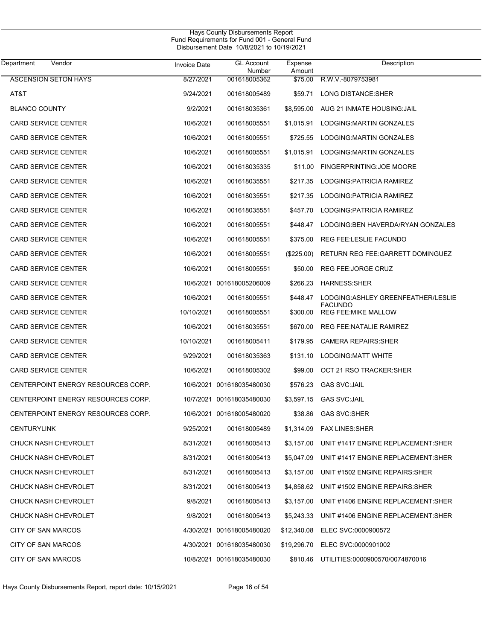| Vendor<br>Department               | Invoice Date | <b>GL Account</b><br>Number | Expense<br>Amount | Description                                          |
|------------------------------------|--------------|-----------------------------|-------------------|------------------------------------------------------|
| <b>ASCENSION SETON HAYS</b>        | 8/27/2021    | 001618005362                | \$75.00           | R.W.V.-8079753981                                    |
| AT&T                               | 9/24/2021    | 001618005489                | \$59.71           | LONG DISTANCE:SHER                                   |
| <b>BLANCO COUNTY</b>               | 9/2/2021     | 001618035361                | \$8,595.00        | AUG 21 INMATE HOUSING JAIL                           |
| <b>CARD SERVICE CENTER</b>         | 10/6/2021    | 001618005551                | \$1,015.91        | LODGING: MARTIN GONZALES                             |
| <b>CARD SERVICE CENTER</b>         | 10/6/2021    | 001618005551                | \$725.55          | LODGING: MARTIN GONZALES                             |
| CARD SERVICE CENTER                | 10/6/2021    | 001618005551                | \$1,015.91        | LODGING: MARTIN GONZALES                             |
| <b>CARD SERVICE CENTER</b>         | 10/6/2021    | 001618035335                | \$11.00           | FINGERPRINTING: JOE MOORE                            |
| <b>CARD SERVICE CENTER</b>         | 10/6/2021    | 001618035551                | \$217.35          | LODGING: PATRICIA RAMIREZ                            |
| <b>CARD SERVICE CENTER</b>         | 10/6/2021    | 001618035551                | \$217.35          | LODGING: PATRICIA RAMIREZ                            |
| <b>CARD SERVICE CENTER</b>         | 10/6/2021    | 001618035551                | \$457.70          | LODGING: PATRICIA RAMIREZ                            |
| <b>CARD SERVICE CENTER</b>         | 10/6/2021    | 001618005551                | \$448.47          | LODGING BEN HAVERDA/RYAN GONZALES                    |
| <b>CARD SERVICE CENTER</b>         | 10/6/2021    | 001618005551                | \$375.00          | REG FEE:LESLIE FACUNDO                               |
| <b>CARD SERVICE CENTER</b>         | 10/6/2021    | 001618005551                | $(\$225.00)$      | <b>RETURN REG FEE: GARRETT DOMINGUEZ</b>             |
| <b>CARD SERVICE CENTER</b>         | 10/6/2021    | 001618005551                | \$50.00           | <b>REG FEE: JORGE CRUZ</b>                           |
| <b>CARD SERVICE CENTER</b>         |              | 10/6/2021 001618005206009   | \$266.23          | <b>HARNESS:SHER</b>                                  |
| <b>CARD SERVICE CENTER</b>         | 10/6/2021    | 001618005551                | \$448.47          | LODGING:ASHLEY GREENFEATHER/LESLIE<br><b>FACUNDO</b> |
| <b>CARD SERVICE CENTER</b>         | 10/10/2021   | 001618005551                | \$300.00          | <b>REG FEE MIKE MALLOW</b>                           |
| <b>CARD SERVICE CENTER</b>         | 10/6/2021    | 001618035551                | \$670.00          | REG FEE: NATALIE RAMIREZ                             |
| <b>CARD SERVICE CENTER</b>         | 10/10/2021   | 001618005411                | \$179.95          | <b>CAMERA REPAIRS: SHER</b>                          |
| <b>CARD SERVICE CENTER</b>         | 9/29/2021    | 001618035363                | \$131.10          | LODGING: MATT WHITE                                  |
| <b>CARD SERVICE CENTER</b>         | 10/6/2021    | 001618005302                | \$99.00           | OCT 21 RSO TRACKER: SHER                             |
| CENTERPOINT ENERGY RESOURCES CORP. |              | 10/6/2021 001618035480030   | \$576.23          | <b>GAS SVC:JAIL</b>                                  |
| CENTERPOINT ENERGY RESOURCES CORP. |              | 10/7/2021 001618035480030   | \$3,597.15        | <b>GAS SVC:JAIL</b>                                  |
| CENTERPOINT ENERGY RESOURCES CORP. |              | 10/6/2021 001618005480020   | \$38.86           | <b>GAS SVC:SHER</b>                                  |
| <b>CENTURYLINK</b>                 | 9/25/2021    | 001618005489                | \$1,314.09        | <b>FAX LINES: SHER</b>                               |
| CHUCK NASH CHEVROLET               | 8/31/2021    | 001618005413                | \$3,157.00        | UNIT #1417 ENGINE REPLACEMENT: SHER                  |
| CHUCK NASH CHEVROLET               | 8/31/2021    | 001618005413                | \$5,047.09        | UNIT #1417 ENGINE REPLACEMENT: SHER                  |
| <b>CHUCK NASH CHEVROLET</b>        | 8/31/2021    | 001618005413                | \$3,157.00        | UNIT #1502 ENGINE REPAIRS: SHER                      |
| CHUCK NASH CHEVROLET               | 8/31/2021    | 001618005413                | \$4.858.62        | UNIT #1502 ENGINE REPAIRS: SHER                      |
| <b>CHUCK NASH CHEVROLET</b>        | 9/8/2021     | 001618005413                | \$3,157.00        | UNIT #1406 ENGINE REPLACEMENT: SHER                  |
| CHUCK NASH CHEVROLET               | 9/8/2021     | 001618005413                | \$5,243.33        | UNIT #1406 ENGINE REPLACEMENT:SHER                   |
| CITY OF SAN MARCOS                 |              | 4/30/2021 001618005480020   | \$12,340.08       | ELEC SVC:0000900572                                  |
| CITY OF SAN MARCOS                 |              | 4/30/2021 001618035480030   | \$19,296.70       | ELEC SVC:0000901002                                  |
| CITY OF SAN MARCOS                 |              | 10/8/2021 001618035480030   | \$810.46          | UTILITIES:0000900570/0074870016                      |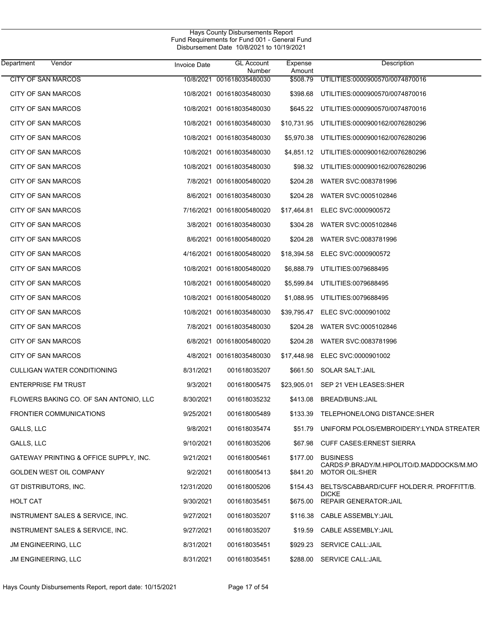| Department                 | Vendor                                 | <b>Invoice Date</b> | <b>GL Account</b><br>Number | Expense<br>Amount | Description                                                       |
|----------------------------|----------------------------------------|---------------------|-----------------------------|-------------------|-------------------------------------------------------------------|
| <b>CITY OF SAN MARCOS</b>  |                                        | 10/8/2021           | 001618035480030             | \$508.79          | UTILITIES:0000900570/0074870016                                   |
| <b>CITY OF SAN MARCOS</b>  |                                        |                     | 10/8/2021 001618035480030   | \$398.68          | UTILITIES:0000900570/0074870016                                   |
| CITY OF SAN MARCOS         |                                        |                     | 10/8/2021 001618035480030   | \$645.22          | UTILITIES.0000900570/0074870016                                   |
| <b>CITY OF SAN MARCOS</b>  |                                        |                     | 10/8/2021 001618035480030   | \$10,731.95       | UTILITIES:0000900162/0076280296                                   |
| <b>CITY OF SAN MARCOS</b>  |                                        |                     | 10/8/2021 001618035480030   | \$5,970.38        | UTILITIES.0000900162/0076280296                                   |
| <b>CITY OF SAN MARCOS</b>  |                                        |                     | 10/8/2021 001618035480030   | \$4,851.12        | UTILITIES.0000900162/0076280296                                   |
| CITY OF SAN MARCOS         |                                        |                     | 10/8/2021 001618035480030   | \$98.32           | UTILITIES.0000900162/0076280296                                   |
| <b>CITY OF SAN MARCOS</b>  |                                        |                     | 7/8/2021 001618005480020    | \$204.28          | WATER SVC:0083781996                                              |
| CITY OF SAN MARCOS         |                                        |                     | 8/6/2021 001618035480030    | \$204.28          | WATER SVC:0005102846                                              |
| <b>CITY OF SAN MARCOS</b>  |                                        |                     | 7/16/2021 001618005480020   | \$17,464.81       | ELEC SVC:0000900572                                               |
| CITY OF SAN MARCOS         |                                        |                     | 3/8/2021 001618035480030    | \$304.28          | WATER SVC:0005102846                                              |
| CITY OF SAN MARCOS         |                                        |                     | 8/6/2021 001618005480020    | \$204.28          | WATER SVC:0083781996                                              |
| CITY OF SAN MARCOS         |                                        |                     | 4/16/2021 001618005480020   | \$18,394.58       | ELEC SVC:0000900572                                               |
| <b>CITY OF SAN MARCOS</b>  |                                        |                     | 10/8/2021 001618005480020   | \$6,888.79        | UTILITIES:0079688495                                              |
| CITY OF SAN MARCOS         |                                        |                     | 10/8/2021 001618005480020   | \$5,599.84        | UTILITIES:0079688495                                              |
| <b>CITY OF SAN MARCOS</b>  |                                        |                     | 10/8/2021 001618005480020   | \$1,088.95        | UTILITIES:0079688495                                              |
| CITY OF SAN MARCOS         |                                        |                     | 10/8/2021 001618035480030   | \$39,795.47       | ELEC SVC:0000901002                                               |
| <b>CITY OF SAN MARCOS</b>  |                                        |                     | 7/8/2021 001618035480030    | \$204.28          | WATER SVC:0005102846                                              |
| CITY OF SAN MARCOS         |                                        |                     | 6/8/2021 001618005480020    | \$204.28          | WATER SVC:0083781996                                              |
| CITY OF SAN MARCOS         |                                        |                     | 4/8/2021 001618035480030    | \$17,448.98       | ELEC SVC:0000901002                                               |
|                            | CULLIGAN WATER CONDITIONING            | 8/31/2021           | 001618035207                | \$661.50          | SOLAR SALT: JAIL                                                  |
| <b>ENTERPRISE FM TRUST</b> |                                        | 9/3/2021            | 001618005475                | \$23,905.01       | SEP 21 VEH LEASES: SHER                                           |
|                            | FLOWERS BAKING CO. OF SAN ANTONIO, LLC | 8/30/2021           | 001618035232                | \$413.08          | BREAD/BUNS: JAIL                                                  |
|                            | <b>FRONTIER COMMUNICATIONS</b>         | 9/25/2021           | 001618005489                | \$133.39          | TELEPHONE/LONG DISTANCE:SHER                                      |
| GALLS, LLC                 |                                        | 9/8/2021            | 001618035474                | \$51.79           | UNIFORM POLOS/EMBROIDERY:LYNDA STREATER                           |
| GALLS, LLC                 |                                        | 9/10/2021           | 001618035206                | \$67.98           | <b>CUFF CASES: ERNEST SIERRA</b>                                  |
|                            | GATEWAY PRINTING & OFFICE SUPPLY, INC. | 9/21/2021           | 001618005461                | \$177.00          | <b>BUSINESS</b>                                                   |
|                            | GOLDEN WEST OIL COMPANY                | 9/2/2021            | 001618005413                | \$841.20          | CARDS:P.BRADY/M.HIPOLITO/D.MADDOCKS/M.MO<br><b>MOTOR OIL:SHER</b> |
| GT DISTRIBUTORS, INC.      |                                        | 12/31/2020          | 001618005206                | \$154.43          | BELTS/SCABBARD/CUFF HOLDER:R. PROFFITT/B.                         |
| <b>HOLT CAT</b>            |                                        | 9/30/2021           | 001618035451                | \$675.00          | <b>DICKE</b><br><b>REPAIR GENERATOR: JAIL</b>                     |
|                            | INSTRUMENT SALES & SERVICE, INC.       | 9/27/2021           | 001618035207                | \$116.38          | <b>CABLE ASSEMBLY: JAIL</b>                                       |
|                            | INSTRUMENT SALES & SERVICE, INC.       | 9/27/2021           | 001618035207                | \$19.59           | CABLE ASSEMBLY: JAIL                                              |
| JM ENGINEERING, LLC        |                                        | 8/31/2021           | 001618035451                | \$929.23          | SERVICE CALL: JAIL                                                |
| JM ENGINEERING, LLC        |                                        | 8/31/2021           | 001618035451                | \$288.00          | SERVICE CALL: JAIL                                                |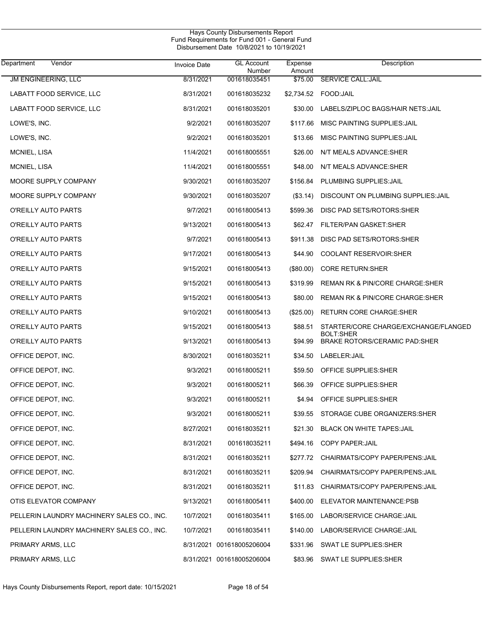| Hays County Disbursements Report              |  |  |  |  |  |
|-----------------------------------------------|--|--|--|--|--|
| Fund Requirements for Fund 001 - General Fund |  |  |  |  |  |
| Disbursement Date 10/8/2021 to 10/19/2021     |  |  |  |  |  |

| Department<br>Vendor                       | <b>Invoice Date</b> | <b>GL Account</b><br>Number | Expense<br>Amount | Description                                |
|--------------------------------------------|---------------------|-----------------------------|-------------------|--------------------------------------------|
| JM ENGINEERING, LLC                        | 8/31/2021           | 001618035451                | \$75.00           | <b>SERVICE CALL:JAIL</b>                   |
| LABATT FOOD SERVICE, LLC                   | 8/31/2021           | 001618035232                | \$2,734.52        | FOOD:JAIL                                  |
| LABATT FOOD SERVICE, LLC                   | 8/31/2021           | 001618035201                | \$30.00           | LABELS/ZIPLOC BAGS/HAIR NETS: JAIL         |
| LOWE'S, INC.                               | 9/2/2021            | 001618035207                | \$117.66          | MISC PAINTING SUPPLIES: JAIL               |
| LOWE'S, INC.                               | 9/2/2021            | 001618035201                | \$13.66           | MISC PAINTING SUPPLIES: JAIL               |
| MCNIEL, LISA                               | 11/4/2021           | 001618005551                | \$26.00           | N/T MEALS ADVANCE: SHER                    |
| MCNIEL, LISA                               | 11/4/2021           | 001618005551                | \$48.00           | N/T MEALS ADVANCE: SHER                    |
| MOORE SUPPLY COMPANY                       | 9/30/2021           | 001618035207                | \$156.84          | PLUMBING SUPPLIES: JAIL                    |
| MOORE SUPPLY COMPANY                       | 9/30/2021           | 001618035207                | ( \$3.14)         | DISCOUNT ON PLUMBING SUPPLIES: JAIL        |
| O'REILLY AUTO PARTS                        | 9/7/2021            | 001618005413                | \$599.36          | DISC PAD SETS/ROTORS:SHER                  |
| O'REILLY AUTO PARTS                        | 9/13/2021           | 001618005413                | \$62.47           | FILTER/PAN GASKET:SHER                     |
| O'REILLY AUTO PARTS                        | 9/7/2021            | 001618005413                | \$911.38          | DISC PAD SETS/ROTORS:SHER                  |
| O'REILLY AUTO PARTS                        | 9/17/2021           | 001618005413                | \$44.90           | <b>COOLANT RESERVOIR: SHER</b>             |
| O'REILLY AUTO PARTS                        | 9/15/2021           | 001618005413                | (\$80.00)         | <b>CORE RETURN:SHER</b>                    |
| O'REILLY AUTO PARTS                        | 9/15/2021           | 001618005413                | \$319.99          | REMAN RK & PIN/CORE CHARGE: SHER           |
| O'REILLY AUTO PARTS                        | 9/15/2021           | 001618005413                | \$80.00           | REMAN RK & PIN/CORE CHARGE:SHER            |
| O'REILLY AUTO PARTS                        | 9/10/2021           | 001618005413                | $(\$25.00)$       | RETURN CORE CHARGE:SHER                    |
| O'REILLY AUTO PARTS                        | 9/15/2021           | 001618005413                | \$88.51           | STARTER/CORE CHARGE/EXCHANGE/FLANGED       |
| O'REILLY AUTO PARTS                        | 9/13/2021           | 001618005413                | \$94.99           | BOLT:SHER<br>BRAKE ROTORS/CERAMIC PAD:SHER |
| OFFICE DEPOT, INC.                         | 8/30/2021           | 001618035211                | \$34.50           | LABELER: JAIL                              |
| OFFICE DEPOT, INC.                         | 9/3/2021            | 001618005211                | \$59.50           | OFFICE SUPPLIES: SHER                      |
| OFFICE DEPOT, INC.                         | 9/3/2021            | 001618005211                | \$66.39           | OFFICE SUPPLIES: SHER                      |
| OFFICE DEPOT, INC.                         | 9/3/2021            | 001618005211                | \$4.94            | OFFICE SUPPLIES: SHER                      |
| OFFICE DEPOT, INC.                         | 9/3/2021            | 001618005211                | \$39.55           | STORAGE CUBE ORGANIZERS: SHER              |
| OFFICE DEPOT, INC.                         | 8/27/2021           | 001618035211                |                   | \$21.30 BLACK ON WHITE TAPES: JAIL         |
| OFFICE DEPOT, INC.                         | 8/31/2021           | 001618035211                |                   | \$494.16 COPY PAPER: JAIL                  |
| OFFICE DEPOT, INC.                         | 8/31/2021           | 001618035211                |                   | \$277.72 CHAIRMATS/COPY PAPER/PENS:JAIL    |
| OFFICE DEPOT, INC.                         | 8/31/2021           | 001618035211                | \$209.94          | CHAIRMATS/COPY PAPER/PENS: JAIL            |
| OFFICE DEPOT, INC.                         | 8/31/2021           | 001618035211                | \$11.83           | CHAIRMATS/COPY PAPER/PENS: JAIL            |
| OTIS ELEVATOR COMPANY                      | 9/13/2021           | 001618005411                | \$400.00          | ELEVATOR MAINTENANCE:PSB                   |
| PELLERIN LAUNDRY MACHINERY SALES CO., INC. | 10/7/2021           | 001618035411                | \$165.00          | LABOR/SERVICE CHARGE: JAIL                 |
| PELLERIN LAUNDRY MACHINERY SALES CO., INC. | 10/7/2021           | 001618035411                | \$140.00          | LABOR/SERVICE CHARGE: JAIL                 |
| PRIMARY ARMS, LLC                          |                     | 8/31/2021 001618005206004   | \$331.96          | SWAT LE SUPPLIES: SHER                     |
| PRIMARY ARMS, LLC                          |                     | 8/31/2021 001618005206004   | \$83.96           | SWAT LE SUPPLIES: SHER                     |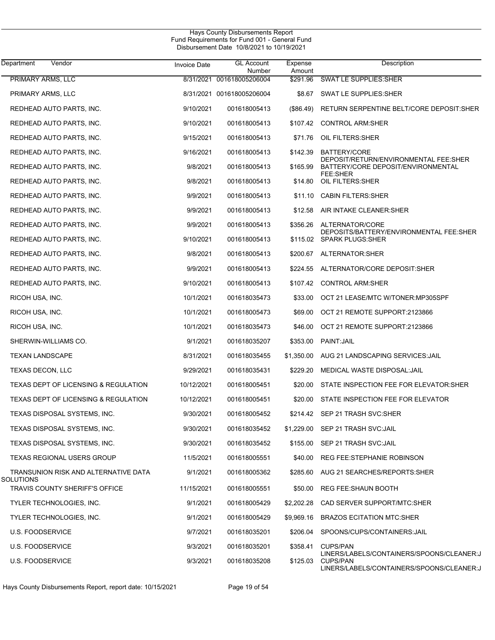| Hays County Disbursements Report              |
|-----------------------------------------------|
| Fund Requirements for Fund 001 - General Fund |
| Disbursement Date 10/8/2021 to 10/19/2021     |

| Vendor<br>Department                               | <b>Invoice Date</b> | <b>GL Account</b><br>Number | Expense<br>Amount | Description                                                                                               |
|----------------------------------------------------|---------------------|-----------------------------|-------------------|-----------------------------------------------------------------------------------------------------------|
| PRIMARY ARMS, LLC                                  |                     | 8/31/2021 001618005206004   | \$291.96          | <b>SWAT LE SUPPLIES: SHER</b>                                                                             |
| PRIMARY ARMS, LLC                                  |                     | 8/31/2021 001618005206004   | \$8.67            | SWAT LE SUPPLIES: SHER                                                                                    |
| REDHEAD AUTO PARTS, INC.                           | 9/10/2021           | 001618005413                | (\$86.49)         | RETURN SERPENTINE BELT/CORE DEPOSIT: SHER                                                                 |
| REDHEAD AUTO PARTS, INC.                           | 9/10/2021           | 001618005413                | \$107.42          | <b>CONTROL ARM:SHER</b>                                                                                   |
| REDHEAD AUTO PARTS, INC.                           | 9/15/2021           | 001618005413                | \$71.76           | OIL FILTERS: SHER                                                                                         |
| REDHEAD AUTO PARTS, INC.                           | 9/16/2021           | 001618005413                | \$142.39          | BATTERY/CORE                                                                                              |
| REDHEAD AUTO PARTS, INC.                           | 9/8/2021            | 001618005413                | \$165.99          | DEPOSIT/RETURN/ENVIRONMENTAL FEE:SHER<br>BATTERY/CORE DEPOSIT/ENVIRONMENTAL                               |
| REDHEAD AUTO PARTS, INC.                           | 9/8/2021            | 001618005413                | \$14.80           | FEE:SHER<br>OIL FILTERS: SHER                                                                             |
| REDHEAD AUTO PARTS, INC.                           | 9/9/2021            | 001618005413                | \$11.10           | <b>CABIN FILTERS:SHER</b>                                                                                 |
| REDHEAD AUTO PARTS, INC.                           | 9/9/2021            | 001618005413                | \$12.58           | AIR INTAKE CLEANER: SHER                                                                                  |
| REDHEAD AUTO PARTS, INC.                           | 9/9/2021            | 001618005413                | \$356.26          | ALTERNATOR/CORE                                                                                           |
| REDHEAD AUTO PARTS, INC.                           | 9/10/2021           | 001618005413                |                   | DEPOSITS/BATTERY/ENVIRONMENTAL FEE:SHER<br>\$115.02 SPARK PLUGS:SHER                                      |
| REDHEAD AUTO PARTS, INC.                           | 9/8/2021            | 001618005413                | \$200.67          | ALTERNATOR: SHER                                                                                          |
| REDHEAD AUTO PARTS, INC.                           | 9/9/2021            | 001618005413                | \$224.55          | ALTERNATOR/CORE DEPOSIT:SHER                                                                              |
| REDHEAD AUTO PARTS, INC.                           | 9/10/2021           | 001618005413                | \$107.42          | <b>CONTROL ARM:SHER</b>                                                                                   |
| RICOH USA, INC.                                    | 10/1/2021           | 001618035473                | \$33.00           | OCT 21 LEASE/MTC W/TONER:MP305SPF                                                                         |
| RICOH USA, INC.                                    | 10/1/2021           | 001618005473                | \$69.00           | OCT 21 REMOTE SUPPORT:2123866                                                                             |
| RICOH USA, INC.                                    | 10/1/2021           | 001618035473                | \$46.00           | OCT 21 REMOTE SUPPORT:2123866                                                                             |
| SHERWIN-WILLIAMS CO.                               | 9/1/2021            | 001618035207                | \$353.00          | PAINT: JAIL                                                                                               |
| <b>TEXAN LANDSCAPE</b>                             | 8/31/2021           | 001618035455                | \$1,350.00        | AUG 21 LANDSCAPING SERVICES: JAIL                                                                         |
| TEXAS DECON, LLC                                   | 9/29/2021           | 001618035431                | \$229.20          | MEDICAL WASTE DISPOSAL: JAIL                                                                              |
| TEXAS DEPT OF LICENSING & REGULATION               | 10/12/2021          | 001618005451                | \$20.00           | STATE INSPECTION FEE FOR ELEVATOR: SHER                                                                   |
| <b>TEXAS DEPT OF LICENSING &amp; REGULATION</b>    | 10/12/2021          | 001618005451                | \$20.00           | STATE INSPECTION FEE FOR ELEVATOR                                                                         |
| TEXAS DISPOSAL SYSTEMS, INC.                       | 9/30/2021           | 001618005452                |                   | \$214.42 SEP 21 TRASH SVC:SHER                                                                            |
| TEXAS DISPOSAL SYSTEMS, INC.                       | 9/30/2021           | 001618035452                |                   | \$1,229.00 SEP 21 TRASH SVC:JAIL                                                                          |
| TEXAS DISPOSAL SYSTEMS, INC.                       | 9/30/2021           | 001618035452                | \$155.00          | SEP 21 TRASH SVC:JAIL                                                                                     |
| TEXAS REGIONAL USERS GROUP                         | 11/5/2021           | 001618005551                | \$40.00           | <b>REG FEE:STEPHANIE ROBINSON</b>                                                                         |
| TRANSUNION RISK AND ALTERNATIVE DATA               | 9/1/2021            | 001618005362                | \$285.60          | AUG 21 SEARCHES/REPORTS:SHER                                                                              |
| SOLUTIONS<br><b>TRAVIS COUNTY SHERIFF'S OFFICE</b> | 11/15/2021          | 001618005551                | \$50.00           | REG FEE:SHAUN BOOTH                                                                                       |
| TYLER TECHNOLOGIES, INC.                           | 9/1/2021            | 001618005429                | \$2,202.28        | CAD SERVER SUPPORT/MTC:SHER                                                                               |
| TYLER TECHNOLOGIES, INC.                           | 9/1/2021            | 001618005429                | \$9,969.16        | <b>BRAZOS ECITATION MTC:SHER</b>                                                                          |
| U.S. FOODSERVICE                                   | 9/7/2021            | 001618035201                | \$206.04          | SPOONS/CUPS/CONTAINERS:JAIL                                                                               |
| U.S. FOODSERVICE                                   | 9/3/2021            | 001618035201                | \$358.41          | <b>CUPS/PAN</b>                                                                                           |
| <b>U.S. FOODSERVICE</b>                            | 9/3/2021            | 001618035208                | \$125.03          | LINERS/LABELS/CONTAINERS/SPOONS/CLEANER:J<br><b>CUPS/PAN</b><br>LINERS/LABELS/CONTAINERS/SPOONS/CLEANER:J |

Hays County Disbursements Report, report date: 10/15/2021 Page 19 of 54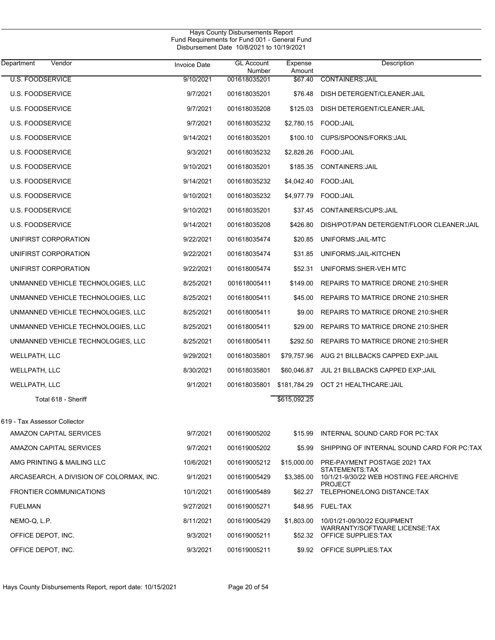| Department<br>Vendor                     | <b>Invoice Date</b> | <b>GL Account</b><br>Number | Expense<br>Amount | Description                                                |
|------------------------------------------|---------------------|-----------------------------|-------------------|------------------------------------------------------------|
| <b>U.S. FOODSERVICE</b>                  | 9/10/2021           | 001618035201                | \$67.40           | <b>CONTAINERS: JAIL</b>                                    |
| <b>U.S. FOODSERVICE</b>                  | 9/7/2021            | 001618035201                | \$76.48           | DISH DETERGENT/CLEANER: JAIL                               |
| <b>U.S. FOODSERVICE</b>                  | 9/7/2021            | 001618035208                | \$125.03          | DISH DETERGENT/CLEANER: JAIL                               |
| <b>U.S. FOODSERVICE</b>                  | 9/7/2021            | 001618035232                | \$2,780.15        | FOOD: JAIL                                                 |
| <b>U.S. FOODSERVICE</b>                  | 9/14/2021           | 001618035201                | \$100.10          | CUPS/SPOONS/FORKS: JAIL                                    |
| <b>U.S. FOODSERVICE</b>                  | 9/3/2021            | 001618035232                | \$2,828.26        | FOOD:JAIL                                                  |
| <b>U.S. FOODSERVICE</b>                  | 9/10/2021           | 001618035201                | \$185.35          | <b>CONTAINERS: JAIL</b>                                    |
| <b>U.S. FOODSERVICE</b>                  | 9/14/2021           | 001618035232                | \$4,042.40        | FOOD: JAIL                                                 |
| <b>U.S. FOODSERVICE</b>                  | 9/10/2021           | 001618035232                | \$4,977.79        | FOOD: JAIL                                                 |
| <b>U.S. FOODSERVICE</b>                  | 9/10/2021           | 001618035201                | \$37.45           | CONTAINERS/CUPS: JAIL                                      |
| <b>U.S. FOODSERVICE</b>                  | 9/14/2021           | 001618035208                | \$426.80          | DISH/POT/PAN DETERGENT/FLOOR CLEANER: JAIL                 |
| UNIFIRST CORPORATION                     | 9/22/2021           | 001618035474                | \$20.85           | UNIFORMS: JAIL-MTC                                         |
| UNIFIRST CORPORATION                     | 9/22/2021           | 001618035474                | \$31.85           | UNIFORMS: JAIL-KITCHEN                                     |
| UNIFIRST CORPORATION                     | 9/22/2021           | 001618005474                | \$52.31           | UNIFORMS: SHER-VEH MTC                                     |
| UNMANNED VEHICLE TECHNOLOGIES, LLC       | 8/25/2021           | 001618005411                | \$149.00          | REPAIRS TO MATRICE DRONE 210:SHER                          |
| UNMANNED VEHICLE TECHNOLOGIES, LLC       | 8/25/2021           | 001618005411                | \$45.00           | REPAIRS TO MATRICE DRONE 210:SHER                          |
| UNMANNED VEHICLE TECHNOLOGIES, LLC       | 8/25/2021           | 001618005411                | \$9.00            | REPAIRS TO MATRICE DRONE 210:SHER                          |
| UNMANNED VEHICLE TECHNOLOGIES, LLC       | 8/25/2021           | 001618005411                | \$29.00           | REPAIRS TO MATRICE DRONE 210:SHER                          |
| UNMANNED VEHICLE TECHNOLOGIES, LLC       | 8/25/2021           | 001618005411                | \$292.50          | REPAIRS TO MATRICE DRONE 210:SHER                          |
| WELLPATH, LLC                            | 9/29/2021           | 001618035801                | \$79,757.96       | AUG 21 BILLBACKS CAPPED EXP:JAIL                           |
| WELLPATH, LLC                            | 8/30/2021           | 001618035801                | \$60,046.87       | JUL 21 BILLBACKS CAPPED EXP: JAIL                          |
| WELLPATH, LLC                            | 9/1/2021            | 001618035801                | \$181,784.29      | OCT 21 HEALTHCARE: JAIL                                    |
| Total 618 - Sheriff                      |                     |                             | \$615,092.25      |                                                            |
| 619 - Tax Assessor Collector             |                     |                             |                   |                                                            |
| AMAZON CAPITAL SERVICES                  | 9/7/2021            | 001619005202                |                   | \$15.99 INTERNAL SOUND CARD FOR PC:TAX                     |
| AMAZON CAPITAL SERVICES                  | 9/7/2021            | 001619005202                | \$5.99            | SHIPPING OF INTERNAL SOUND CARD FOR PC:TAX                 |
| AMG PRINTING & MAILING LLC               | 10/6/2021           | 001619005212                | \$15,000.00       | PRE-PAYMENT POSTAGE 2021 TAX                               |
| ARCASEARCH, A DIVISION OF COLORMAX, INC. | 9/1/2021            | 001619005429                | \$3,385.00        | STATEMENTS:TAX<br>10/1/21-9/30/22 WEB HOSTING FEE: ARCHIVE |
| <b>FRONTIER COMMUNICATIONS</b>           | 10/1/2021           | 001619005489                | \$62.27           | <b>PROJECT</b><br>TELEPHONE/LONG DISTANCE:TAX              |
| <b>FUELMAN</b>                           | 9/27/2021           | 001619005271                |                   | \$48.95 FUEL:TAX                                           |
| NEMO-Q, L.P.                             | 8/11/2021           | 001619005429                | \$1,803.00        | 10/01/21-09/30/22 EQUIPMENT                                |
| OFFICE DEPOT, INC.                       | 9/3/2021            | 001619005211                | \$52.32           | WARRANTY/SOFTWARE LICENSE:TAX<br>OFFICE SUPPLIES:TAX       |
| OFFICE DEPOT, INC.                       | 9/3/2021            | 001619005211                |                   | \$9.92 OFFICE SUPPLIES: TAX                                |
|                                          |                     |                             |                   |                                                            |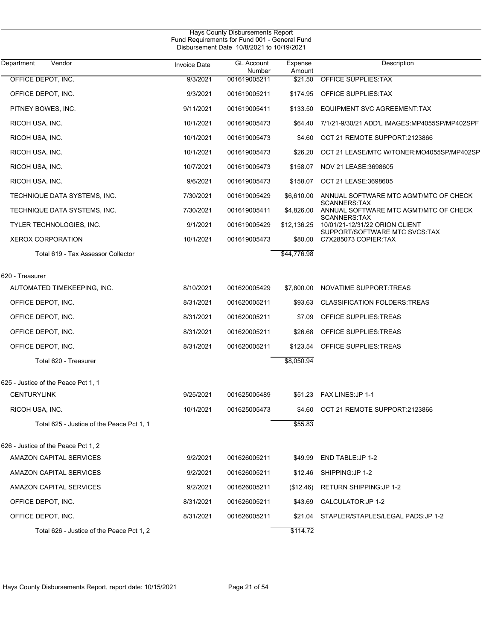| <b>Invoice Date</b> | <b>GL Account</b>                   | Expense                                                | Description                                                                                                                                                                             |  |
|---------------------|-------------------------------------|--------------------------------------------------------|-----------------------------------------------------------------------------------------------------------------------------------------------------------------------------------------|--|
| 9/3/2021            | 001619005211                        | \$21.50                                                | <b>OFFICE SUPPLIES: TAX</b>                                                                                                                                                             |  |
| 9/3/2021            | 001619005211                        | \$174.95                                               | OFFICE SUPPLIES: TAX                                                                                                                                                                    |  |
| 9/11/2021           | 001619005411                        | \$133.50                                               | EQUIPMENT SVC AGREEMENT:TAX                                                                                                                                                             |  |
| 10/1/2021           | 001619005473                        | \$64.40                                                | 7/1/21-9/30/21 ADD'L IMAGES: MP4055SP/MP402SPF                                                                                                                                          |  |
| 10/1/2021           | 001619005473                        | \$4.60                                                 | OCT 21 REMOTE SUPPORT:2123866                                                                                                                                                           |  |
| 10/1/2021           | 001619005473                        | \$26.20                                                | OCT 21 LEASE/MTC W/TONER:MO4055SP/MP402SP                                                                                                                                               |  |
| 10/7/2021           | 001619005473                        | \$158.07                                               | NOV 21 LEASE:3698605                                                                                                                                                                    |  |
| 9/6/2021            | 001619005473                        | \$158.07                                               | OCT 21 LEASE:3698605                                                                                                                                                                    |  |
| 7/30/2021           | 001619005429                        | \$6,610.00                                             | ANNUAL SOFTWARE MTC AGMT/MTC OF CHECK                                                                                                                                                   |  |
| 7/30/2021           | 001619005411                        | \$4,826.00                                             | <b>SCANNERS:TAX</b><br>ANNUAL SOFTWARE MTC AGMT/MTC OF CHECK                                                                                                                            |  |
| 9/1/2021            | 001619005429                        | \$12,136.25                                            | <b>SCANNERS:TAX</b><br>10/01/21-12/31/22 ORION CLIENT                                                                                                                                   |  |
| 10/1/2021           | 001619005473                        | \$80.00                                                | SUPPORT/SOFTWARE MTC SVCS:TAX<br>C7X285073 COPIER:TAX                                                                                                                                   |  |
|                     |                                     | \$44,776.98                                            |                                                                                                                                                                                         |  |
|                     |                                     |                                                        |                                                                                                                                                                                         |  |
|                     |                                     |                                                        | NOVATIME SUPPORT TREAS                                                                                                                                                                  |  |
| 8/31/2021           | 001620005211                        | \$93.63                                                | <b>CLASSIFICATION FOLDERS: TREAS</b>                                                                                                                                                    |  |
| 8/31/2021           | 001620005211                        | \$7.09                                                 | OFFICE SUPPLIES: TREAS                                                                                                                                                                  |  |
| 8/31/2021           | 001620005211                        | \$26.68                                                | OFFICE SUPPLIES: TREAS                                                                                                                                                                  |  |
| 8/31/2021           | 001620005211                        |                                                        | OFFICE SUPPLIES: TREAS                                                                                                                                                                  |  |
|                     |                                     | \$8,050.94                                             |                                                                                                                                                                                         |  |
|                     |                                     |                                                        |                                                                                                                                                                                         |  |
|                     |                                     |                                                        |                                                                                                                                                                                         |  |
|                     |                                     |                                                        | \$51.23 FAX LINES: JP 1-1                                                                                                                                                               |  |
|                     |                                     |                                                        | OCT 21 REMOTE SUPPORT:2123866                                                                                                                                                           |  |
|                     |                                     |                                                        |                                                                                                                                                                                         |  |
|                     |                                     |                                                        |                                                                                                                                                                                         |  |
| 9/2/2021            | 001626005211                        | \$49.99                                                | END TABLE: JP 1-2                                                                                                                                                                       |  |
| 9/2/2021            | 001626005211                        | \$12.46                                                | SHIPPING:JP 1-2                                                                                                                                                                         |  |
| 9/2/2021            | 001626005211                        | (\$12.46)                                              | <b>RETURN SHIPPING:JP 1-2</b>                                                                                                                                                           |  |
| 8/31/2021           | 001626005211                        | \$43.69                                                | CALCULATOR: JP 1-2                                                                                                                                                                      |  |
| 8/31/2021           | 001626005211                        | \$21.04                                                | STAPLER/STAPLES/LEGAL PADS: JP 1-2                                                                                                                                                      |  |
|                     |                                     | \$114.72                                               |                                                                                                                                                                                         |  |
|                     | 8/10/2021<br>9/25/2021<br>10/1/2021 | Number<br>001620005429<br>001625005489<br>001625005473 | Hays County Disbursements Report<br>Fund Requirements for Fund 001 - General Fund<br>Disbursement Date 10/8/2021 to 10/19/2021<br>Amount<br>\$7,800.00<br>\$123.54<br>\$4.60<br>\$55.83 |  |

J,

 $\overline{\phantom{0}}$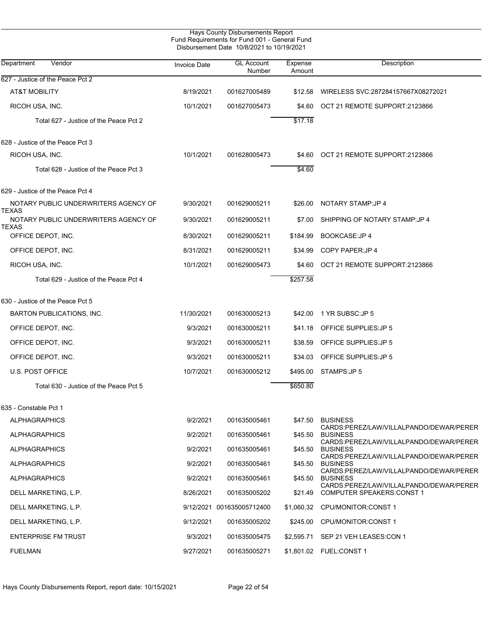|                                                      | Hays County Disbursements Report<br>Fund Requirements for Fund 001 - General Fund<br>Disbursement Date 10/8/2021 to 10/19/2021 |                             |                   |                                                                                                       |
|------------------------------------------------------|--------------------------------------------------------------------------------------------------------------------------------|-----------------------------|-------------------|-------------------------------------------------------------------------------------------------------|
| Department<br>Vendor                                 | <b>Invoice Date</b>                                                                                                            | <b>GL Account</b><br>Number | Expense<br>Amount | Description                                                                                           |
| 627 - Justice of the Peace Pct 2                     |                                                                                                                                |                             |                   |                                                                                                       |
| <b>AT&amp;T MOBILITY</b>                             | 8/19/2021                                                                                                                      | 001627005489                | \$12.58           | WIRELESS SVC:287284157667X08272021                                                                    |
| RICOH USA, INC.                                      | 10/1/2021                                                                                                                      | 001627005473                | \$4.60            | OCT 21 REMOTE SUPPORT:2123866                                                                         |
| Total 627 - Justice of the Peace Pct 2               |                                                                                                                                |                             | \$17.18           |                                                                                                       |
| 628 - Justice of the Peace Pct 3                     |                                                                                                                                |                             |                   |                                                                                                       |
| RICOH USA, INC.                                      | 10/1/2021                                                                                                                      | 001628005473                | \$4.60            | OCT 21 REMOTE SUPPORT:2123866                                                                         |
| Total 628 - Justice of the Peace Pct 3               |                                                                                                                                |                             | \$4.60            |                                                                                                       |
| 629 - Justice of the Peace Pct 4                     |                                                                                                                                |                             |                   |                                                                                                       |
| NOTARY PUBLIC UNDERWRITERS AGENCY OF<br>TEXAS        | 9/30/2021                                                                                                                      | 001629005211                | \$26.00           | NOTARY STAMP: JP 4                                                                                    |
| NOTARY PUBLIC UNDERWRITERS AGENCY OF<br><b>TEXAS</b> | 9/30/2021                                                                                                                      | 001629005211                | \$7.00            | SHIPPING OF NOTARY STAMP JP 4                                                                         |
| OFFICE DEPOT, INC.                                   | 8/30/2021                                                                                                                      | 001629005211                | \$184.99          | <b>BOOKCASE:JP4</b>                                                                                   |
| OFFICE DEPOT, INC.                                   | 8/31/2021                                                                                                                      | 001629005211                | \$34.99           | COPY PAPER: JP 4                                                                                      |
| RICOH USA, INC.                                      | 10/1/2021                                                                                                                      | 001629005473                | \$4.60            | OCT 21 REMOTE SUPPORT:2123866                                                                         |
| Total 629 - Justice of the Peace Pct 4               |                                                                                                                                |                             | \$257.58          |                                                                                                       |
| 630 - Justice of the Peace Pct 5                     |                                                                                                                                |                             |                   |                                                                                                       |
| BARTON PUBLICATIONS, INC.                            | 11/30/2021                                                                                                                     | 001630005213                | \$42.00           | 1 YR SUBSC:JP 5                                                                                       |
| OFFICE DEPOT, INC.                                   | 9/3/2021                                                                                                                       | 001630005211                | \$41.18           | OFFICE SUPPLIES: JP 5                                                                                 |
| OFFICE DEPOT, INC.                                   | 9/3/2021                                                                                                                       | 001630005211                | \$38.59           | OFFICE SUPPLIES: JP 5                                                                                 |
| OFFICE DEPOT, INC.                                   | 9/3/2021                                                                                                                       | 001630005211                | \$34.03           | OFFICE SUPPLIES: JP 5                                                                                 |
| <b>U.S. POST OFFICE</b>                              | 10/7/2021                                                                                                                      | 001630005212                | \$495.00          | STAMPS:JP 5                                                                                           |
| Total 630 - Justice of the Peace Pct 5               |                                                                                                                                |                             | \$650.80          |                                                                                                       |
| 635 - Constable Pct 1                                |                                                                                                                                |                             |                   |                                                                                                       |
| ALPHAGRAPHICS                                        | 9/2/2021                                                                                                                       | 001635005461                | \$47.50           | <b>BUSINESS</b>                                                                                       |
| <b>ALPHAGRAPHICS</b>                                 | 9/2/2021                                                                                                                       | 001635005461                | \$45.50           | CARDS:PEREZ/LAW/VILLALPANDO/DEWAR/PERER<br><b>BUSINESS</b><br>CARDS:PEREZ/LAW/VILLALPANDO/DEWAR/PERER |
| <b>ALPHAGRAPHICS</b>                                 | 9/2/2021                                                                                                                       | 001635005461                | \$45.50           | <b>BUSINESS</b><br>CARDS:PEREZ/LAW/VILLALPANDO/DEWAR/PERER                                            |
| <b>ALPHAGRAPHICS</b>                                 | 9/2/2021                                                                                                                       | 001635005461                | \$45.50           | <b>BUSINESS</b>                                                                                       |
| ALPHAGRAPHICS                                        | 9/2/2021                                                                                                                       | 001635005461                | \$45.50           | CARDS:PEREZ/LAW/VILLALPANDO/DEWAR/PERER<br><b>BUSINESS</b>                                            |
| DELL MARKETING, L.P.                                 | 8/26/2021                                                                                                                      | 001635005202                | \$21.49           | CARDS:PEREZ/LAW/VILLALPANDO/DEWAR/PERER<br><b>COMPUTER SPEAKERS: CONST 1</b>                          |
| DELL MARKETING, L.P.                                 |                                                                                                                                | 9/12/2021 001635005712400   |                   | \$1,060.32 CPU/MONITOR CONST 1                                                                        |
| DELL MARKETING, L.P.                                 | 9/12/2021                                                                                                                      | 001635005202                | \$245.00          | CPU/MONITOR CONST 1                                                                                   |
| <b>ENTERPRISE FM TRUST</b>                           | 9/3/2021                                                                                                                       | 001635005475                | \$2,595.71        | SEP 21 VEH LEASES:CON 1                                                                               |
| <b>FUELMAN</b>                                       | 9/27/2021                                                                                                                      | 001635005271                |                   | \$1,801.02    FUEL:CONST 1                                                                            |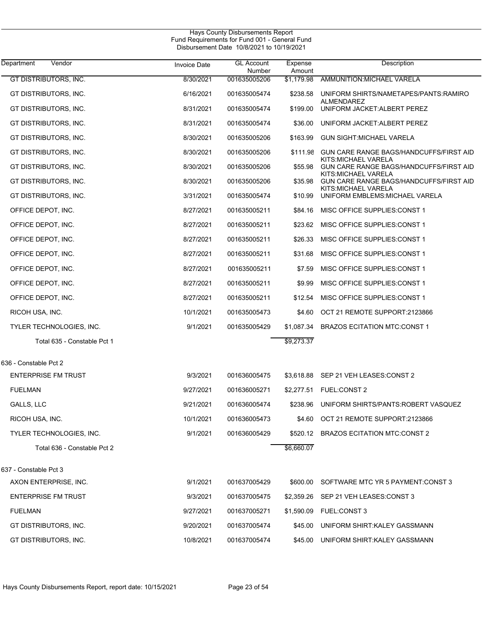| Hays County Disbursements Report<br>Fund Requirements for Fund 001 - General Fund<br>Disbursement Date 10/8/2021 to 10/19/2021 |              |                             |                   |                                                                |  |  |
|--------------------------------------------------------------------------------------------------------------------------------|--------------|-----------------------------|-------------------|----------------------------------------------------------------|--|--|
| Department<br>Vendor                                                                                                           | Invoice Date | <b>GL Account</b><br>Number | Expense<br>Amount | Description                                                    |  |  |
| <b>GT DISTRIBUTORS, INC.</b>                                                                                                   | 8/30/2021    | 001635005206                | \$1.179.98        | AMMUNITION: MICHAEL VARELA                                     |  |  |
| GT DISTRIBUTORS, INC.                                                                                                          | 6/16/2021    | 001635005474                | \$238.58          | UNIFORM SHIRTS/NAMETAPES/PANTS:RAMIRO                          |  |  |
| GT DISTRIBUTORS, INC.                                                                                                          | 8/31/2021    | 001635005474                | \$199.00          | ALMENDAREZ<br>UNIFORM JACKET: ALBERT PEREZ                     |  |  |
| GT DISTRIBUTORS, INC.                                                                                                          | 8/31/2021    | 001635005474                | \$36.00           | UNIFORM JACKET: ALBERT PEREZ                                   |  |  |
| GT DISTRIBUTORS, INC.                                                                                                          | 8/30/2021    | 001635005206                | \$163.99          | <b>GUN SIGHT:MICHAEL VARELA</b>                                |  |  |
| GT DISTRIBUTORS, INC.                                                                                                          | 8/30/2021    | 001635005206                | \$111.98          | GUN CARE RANGE BAGS/HANDCUFFS/FIRST AID                        |  |  |
| GT DISTRIBUTORS, INC.                                                                                                          | 8/30/2021    | 001635005206                | \$55.98           | KITS:MICHAEL VARELA<br>GUN CARE RANGE BAGS/HANDCUFFS/FIRST AID |  |  |
| GT DISTRIBUTORS, INC.                                                                                                          | 8/30/2021    | 001635005206                | \$35.98           | KITS:MICHAEL VARELA<br>GUN CARE RANGE BAGS/HANDCUFFS/FIRST AID |  |  |
| GT DISTRIBUTORS, INC.                                                                                                          | 3/31/2021    | 001635005474                | \$10.99           | KITS: MICHAEL VARELA<br>UNIFORM EMBLEMS: MICHAEL VARELA        |  |  |
| OFFICE DEPOT, INC.                                                                                                             | 8/27/2021    | 001635005211                | \$84.16           | MISC OFFICE SUPPLIES: CONST 1                                  |  |  |
| OFFICE DEPOT, INC.                                                                                                             | 8/27/2021    | 001635005211                | \$23.62           | MISC OFFICE SUPPLIES: CONST 1                                  |  |  |
| OFFICE DEPOT, INC.                                                                                                             | 8/27/2021    | 001635005211                | \$26.33           | MISC OFFICE SUPPLIES: CONST 1                                  |  |  |
| OFFICE DEPOT, INC.                                                                                                             | 8/27/2021    | 001635005211                | \$31.68           | MISC OFFICE SUPPLIES: CONST 1                                  |  |  |
| OFFICE DEPOT, INC.                                                                                                             | 8/27/2021    | 001635005211                | \$7.59            | MISC OFFICE SUPPLIES: CONST 1                                  |  |  |
| OFFICE DEPOT, INC.                                                                                                             | 8/27/2021    | 001635005211                | \$9.99            | MISC OFFICE SUPPLIES: CONST 1                                  |  |  |
| OFFICE DEPOT, INC.                                                                                                             | 8/27/2021    | 001635005211                | \$12.54           | MISC OFFICE SUPPLIES CONST 1                                   |  |  |
| RICOH USA, INC.                                                                                                                | 10/1/2021    | 001635005473                | \$4.60            | OCT 21 REMOTE SUPPORT:2123866                                  |  |  |
| TYLER TECHNOLOGIES, INC.                                                                                                       | 9/1/2021     | 001635005429                | \$1,087.34        | <b>BRAZOS ECITATION MTC:CONST 1</b>                            |  |  |
| Total 635 - Constable Pct 1                                                                                                    |              |                             | \$9,273.37        |                                                                |  |  |
| 636 - Constable Pct 2                                                                                                          |              |                             |                   |                                                                |  |  |
| <b>ENTERPRISE FM TRUST</b>                                                                                                     | 9/3/2021     | 001636005475                | \$3,618.88        | SEP 21 VEH LEASES: CONST 2                                     |  |  |
| <b>FUELMAN</b>                                                                                                                 | 9/27/2021    | 001636005271                |                   | \$2,277.51 FUEL:CONST 2                                        |  |  |
| GALLS, LLC                                                                                                                     | 9/21/2021    | 001636005474                | \$238.96          | UNIFORM SHIRTS/PANTS:ROBERT VASQUEZ                            |  |  |
| RICOH USA, INC.                                                                                                                | 10/1/2021    | 001636005473                | \$4.60            | OCT 21 REMOTE SUPPORT:2123866                                  |  |  |
| TYLER TECHNOLOGIES, INC.                                                                                                       | 9/1/2021     | 001636005429                | \$520.12          | <b>BRAZOS ECITATION MTC CONST 2</b>                            |  |  |
| Total 636 - Constable Pct 2                                                                                                    |              |                             | \$6,660.07        |                                                                |  |  |
| 637 - Constable Pct 3                                                                                                          |              |                             |                   |                                                                |  |  |
| AXON ENTERPRISE, INC.                                                                                                          | 9/1/2021     | 001637005429                | \$600.00          | SOFTWARE MTC YR 5 PAYMENT:CONST 3                              |  |  |
| <b>ENTERPRISE FM TRUST</b>                                                                                                     | 9/3/2021     | 001637005475                | \$2,359.26        | SEP 21 VEH LEASES CONST 3                                      |  |  |
| <b>FUELMAN</b>                                                                                                                 | 9/27/2021    | 001637005271                | \$1,590.09        | <b>FUEL:CONST 3</b>                                            |  |  |
| GT DISTRIBUTORS, INC.                                                                                                          | 9/20/2021    | 001637005474                | \$45.00           | UNIFORM SHIRT KALEY GASSMANN                                   |  |  |
| GT DISTRIBUTORS, INC.                                                                                                          | 10/8/2021    | 001637005474                | \$45.00           | UNIFORM SHIRT: KALEY GASSMANN                                  |  |  |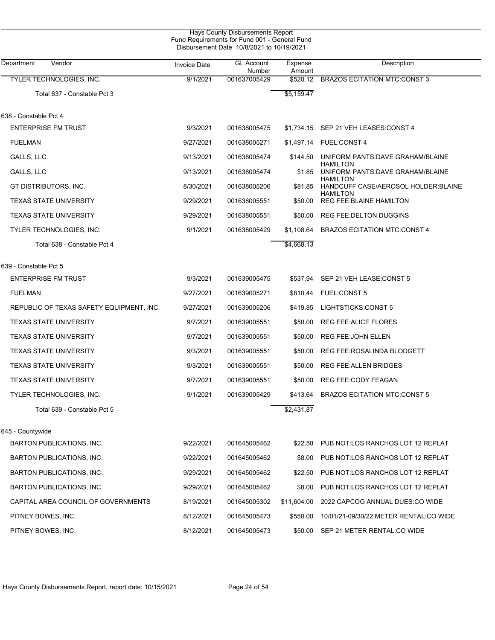|                                          | Fund Requirements for Fund 001 - General Fund<br>Disbursement Date 10/8/2021 to 10/19/2021 |                             |                   |                                                         |
|------------------------------------------|--------------------------------------------------------------------------------------------|-----------------------------|-------------------|---------------------------------------------------------|
| Department<br>Vendor                     | <b>Invoice Date</b>                                                                        | <b>GL Account</b><br>Number | Expense<br>Amount | Description                                             |
| <b>TYLER TECHNOLOGIES, INC.</b>          | 9/1/2021                                                                                   | 001637005429                | \$520.12          | <b>BRAZOS ECITATION MTC:CONST 3</b>                     |
| Total 637 - Constable Pct 3              |                                                                                            |                             | \$5,159.47        |                                                         |
| 638 - Constable Pct 4                    |                                                                                            |                             |                   |                                                         |
| <b>ENTERPRISE FM TRUST</b>               | 9/3/2021                                                                                   | 001638005475                |                   | \$1,734.15 SEP 21 VEH LEASES: CONST 4                   |
| <b>FUELMAN</b>                           | 9/27/2021                                                                                  | 001638005271                |                   | \$1,497.14 FUEL:CONST 4                                 |
| GALLS, LLC                               | 9/13/2021                                                                                  | 001638005474                | \$144.50          | UNIFORM PANTS: DAVE GRAHAM/BLAINE<br><b>HAMILTON</b>    |
| GALLS, LLC                               | 9/13/2021                                                                                  | 001638005474                | \$1.85            | UNIFORM PANTS: DAVE GRAHAM/BLAINE<br><b>HAMILTON</b>    |
| GT DISTRIBUTORS, INC.                    | 8/30/2021                                                                                  | 001638005206                | \$81.85           | HANDCUFF CASE/AEROSOL HOLDER: BLAINE<br><b>HAMILTON</b> |
| <b>TEXAS STATE UNIVERSITY</b>            | 9/29/2021                                                                                  | 001638005551                | \$50.00           | <b>REG FEE: BLAINE HAMILTON</b>                         |
| <b>TEXAS STATE UNIVERSITY</b>            | 9/29/2021                                                                                  | 001638005551                | \$50.00           | <b>REG FEE: DELTON DUGGINS</b>                          |
| TYLER TECHNOLOGIES, INC.                 | 9/1/2021                                                                                   | 001638005429                | \$1.108.64        | <b>BRAZOS ECITATION MTC CONST 4</b>                     |
| Total 638 - Constable Pct 4              |                                                                                            |                             | \$4,668.13        |                                                         |
| 639 - Constable Pct 5                    |                                                                                            |                             |                   |                                                         |
| <b>ENTERPRISE FM TRUST</b>               | 9/3/2021                                                                                   | 001639005475                |                   | \$537.94 SEP 21 VEH LEASE: CONST 5                      |
| <b>FUELMAN</b>                           | 9/27/2021                                                                                  | 001639005271                | \$810.44          | <b>FUEL:CONST 5</b>                                     |
| REPUBLIC OF TEXAS SAFETY EQUIPMENT, INC. | 9/27/2021                                                                                  | 001639005206                | \$419.85          | LIGHTSTICKS:CONST 5                                     |
| <b>TEXAS STATE UNIVERSITY</b>            | 9/7/2021                                                                                   | 001639005551                | \$50.00           | REG FEE: ALICE FLORES                                   |
| <b>TEXAS STATE UNIVERSITY</b>            | 9/7/2021                                                                                   | 001639005551                | \$50.00           | <b>REG FEE: JOHN ELLEN</b>                              |
| <b>TEXAS STATE UNIVERSITY</b>            | 9/3/2021                                                                                   | 001639005551                | \$50.00           | REG FEE:ROSALINDA BLODGETT                              |
| <b>TEXAS STATE UNIVERSITY</b>            | 9/3/2021                                                                                   | 001639005551                | \$50.00           | <b>REG FEE: ALLEN BRIDGES</b>                           |
| <b>TEXAS STATE UNIVERSITY</b>            | 9/7/2021                                                                                   | 001639005551                | \$50.00           | <b>REG FEE CODY FEAGAN</b>                              |
| TYLER TECHNOLOGIES, INC.                 | 9/1/2021                                                                                   | 001639005429                |                   | \$413.64 BRAZOS ECITATION MTC:CONST 5                   |
| Total 639 - Constable Pct 5              |                                                                                            |                             | \$2,431.87        |                                                         |
| 645 - Countywide                         |                                                                                            |                             |                   |                                                         |
| BARTON PUBLICATIONS, INC.                | 9/22/2021                                                                                  | 001645005462                | \$22.50           | PUB NOT:LOS RANCHOS LOT 12 REPLAT                       |
| BARTON PUBLICATIONS, INC.                | 9/22/2021                                                                                  | 001645005462                | \$8.00            | PUB NOT:LOS RANCHOS LOT 12 REPLAT                       |
| <b>BARTON PUBLICATIONS, INC.</b>         | 9/29/2021                                                                                  | 001645005462                | \$22.50           | PUB NOT:LOS RANCHOS LOT 12 REPLAT                       |
| <b>BARTON PUBLICATIONS, INC.</b>         | 9/29/2021                                                                                  | 001645005462                | \$8.00            | PUB NOT LOS RANCHOS LOT 12 REPLAT                       |
| CAPITAL AREA COUNCIL OF GOVERNMENTS      | 8/19/2021                                                                                  | 001645005302                | \$11,604.00       | 2022 CAPCOG ANNUAL DUES:CO WIDE                         |
| PITNEY BOWES, INC.                       | 8/12/2021                                                                                  | 001645005473                | \$550.00          | 10/01/21-09/30/22 METER RENTAL:CO WIDE                  |
| PITNEY BOWES, INC.                       | 8/12/2021                                                                                  | 001645005473                | \$50.00           | SEP 21 METER RENTAL:CO WIDE                             |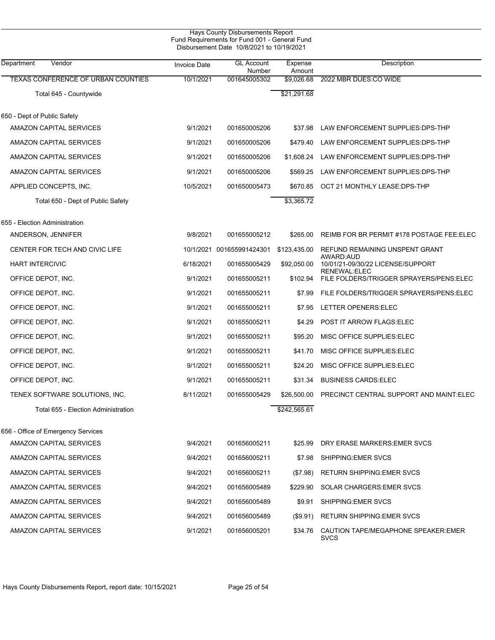| Vendor<br>Department                      |                     | Disbursement Date 10/8/2021 to 10/19/2021<br><b>GL Account</b> | Expense      | Description                                              |
|-------------------------------------------|---------------------|----------------------------------------------------------------|--------------|----------------------------------------------------------|
|                                           | <b>Invoice Date</b> | Number                                                         | Amount       |                                                          |
| <b>TEXAS CONFERENCE OF URBAN COUNTIES</b> | 10/1/2021           | 001645005302                                                   | \$9,026.68   | 2022 MBR DUES:CO WIDE                                    |
| Total 645 - Countywide                    |                     |                                                                | \$21,291.68  |                                                          |
| 650 - Dept of Public Safety               |                     |                                                                |              |                                                          |
| AMAZON CAPITAL SERVICES                   | 9/1/2021            | 001650005206                                                   | \$37.98      | LAW ENFORCEMENT SUPPLIES: DPS-THP                        |
| AMAZON CAPITAL SERVICES                   | 9/1/2021            | 001650005206                                                   | \$479.40     | LAW ENFORCEMENT SUPPLIES: DPS-THP                        |
| AMAZON CAPITAL SERVICES                   | 9/1/2021            | 001650005206                                                   | \$1,608.24   | LAW ENFORCEMENT SUPPLIES: DPS-THP                        |
| AMAZON CAPITAL SERVICES                   | 9/1/2021            | 001650005206                                                   | \$569.25     | LAW ENFORCEMENT SUPPLIES: DPS-THP                        |
| APPLIED CONCEPTS, INC.                    | 10/5/2021           | 001650005473                                                   | \$670.85     | OCT 21 MONTHLY LEASE: DPS-THP                            |
| Total 650 - Dept of Public Safety         |                     |                                                                | \$3,365.72   |                                                          |
| 655 - Election Administration             |                     |                                                                |              |                                                          |
| ANDERSON, JENNIFER                        | 9/8/2021            | 001655005212                                                   | \$265.00     | REIMB FOR BR PERMIT #178 POSTAGE FEE: ELEC               |
| CENTER FOR TECH AND CIVIC LIFE            |                     | 10/1/2021 001655991424301                                      | \$123,435.00 | REFUND REMAINING UNSPENT GRANT<br>AWARD: AUD             |
| <b>HART INTERCIVIC</b>                    | 6/18/2021           | 001655005429                                                   | \$92,050.00  | 10/01/21-09/30/22 LICENSE/SUPPORT<br><b>RENEWAL:ELEC</b> |
| OFFICE DEPOT, INC.                        | 9/1/2021            | 001655005211                                                   | \$102.94     | FILE FOLDERS/TRIGGER SPRAYERS/PENS:ELEC                  |
| OFFICE DEPOT, INC.                        | 9/1/2021            | 001655005211                                                   | \$7.99       | FILE FOLDERS/TRIGGER SPRAYERS/PENS:ELEC                  |
| OFFICE DEPOT, INC.                        | 9/1/2021            | 001655005211                                                   | \$7.95       | LETTER OPENERS: ELEC                                     |
| OFFICE DEPOT, INC.                        | 9/1/2021            | 001655005211                                                   | \$4.29       | <b>POST IT ARROW FLAGS ELEC</b>                          |
| OFFICE DEPOT, INC.                        | 9/1/2021            | 001655005211                                                   | \$95.20      | MISC OFFICE SUPPLIES ELEC                                |
| OFFICE DEPOT, INC.                        | 9/1/2021            | 001655005211                                                   | \$41.70      | MISC OFFICE SUPPLIES ELEC                                |
| OFFICE DEPOT, INC.                        | 9/1/2021            | 001655005211                                                   | \$24.20      | MISC OFFICE SUPPLIES ELEC                                |
| OFFICE DEPOT, INC.                        | 9/1/2021            | 001655005211                                                   | \$31.34      | <b>BUSINESS CARDS ELEC</b>                               |
| TENEX SOFTWARE SOLUTIONS, INC.            | 8/11/2021           | 001655005429                                                   |              | \$26,500.00 PRECINCT CENTRAL SUPPORT AND MAINT:ELEC      |
| Total 655 - Election Administration       |                     |                                                                | \$242,565.61 |                                                          |
| 656 - Office of Emergency Services        |                     |                                                                |              |                                                          |
| <b>AMAZON CAPITAL SERVICES</b>            | 9/4/2021            | 001656005211                                                   | \$25.99      | DRY ERASE MARKERS: EMER SVCS                             |
| AMAZON CAPITAL SERVICES                   | 9/4/2021            | 001656005211                                                   | \$7.98       | SHIPPING EMER SVCS                                       |
| AMAZON CAPITAL SERVICES                   | 9/4/2021            | 001656005211                                                   | (\$7.98)     | <b>RETURN SHIPPING: EMER SVCS</b>                        |
| AMAZON CAPITAL SERVICES                   | 9/4/2021            | 001656005489                                                   | \$229.90     | SOLAR CHARGERS: EMER SVCS                                |
| AMAZON CAPITAL SERVICES                   | 9/4/2021            | 001656005489                                                   | \$9.91       | SHIPPING: EMER SVCS                                      |
| AMAZON CAPITAL SERVICES                   | 9/4/2021            | 001656005489                                                   | $(\$9.91)$   | <b>RETURN SHIPPING: EMER SVCS</b>                        |
| AMAZON CAPITAL SERVICES                   | 9/1/2021            | 001656005201                                                   | \$34.76      | CAUTION TAPE/MEGAPHONE SPEAKER: EMER<br>SVCS             |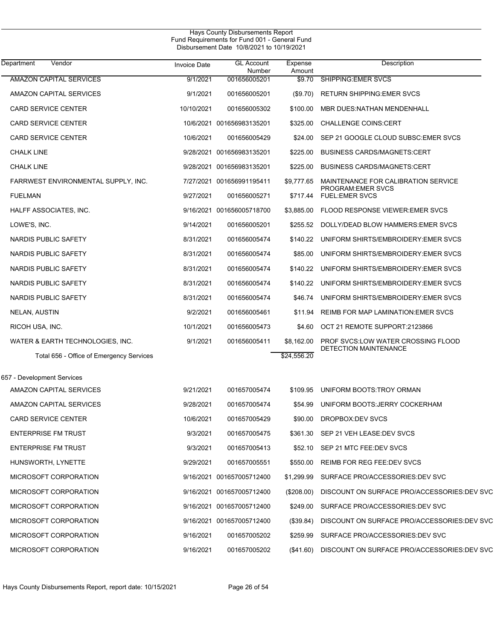| Department<br>Vendor                     | <b>Invoice Date</b> | <b>GL Account</b><br>Number | Expense<br>Amount | Description                                   |
|------------------------------------------|---------------------|-----------------------------|-------------------|-----------------------------------------------|
| <b>AMAZON CAPITAL SERVICES</b>           | 9/1/2021            | 001656005201                | \$9.70            | <b>SHIPPING:EMER SVCS</b>                     |
| <b>AMAZON CAPITAL SERVICES</b>           | 9/1/2021            | 001656005201                | (\$9.70)          | <b>RETURN SHIPPING: EMER SVCS</b>             |
| <b>CARD SERVICE CENTER</b>               | 10/10/2021          | 001656005302                | \$100.00          | MBR DUES:NATHAN MENDENHALL                    |
| <b>CARD SERVICE CENTER</b>               |                     | 10/6/2021 001656983135201   | \$325.00          | <b>CHALLENGE COINS:CERT</b>                   |
| <b>CARD SERVICE CENTER</b>               | 10/6/2021           | 001656005429                | \$24.00           | SEP 21 GOOGLE CLOUD SUBSC: EMER SVCS          |
| <b>CHALK LINE</b>                        |                     | 9/28/2021 001656983135201   | \$225.00          | <b>BUSINESS CARDS/MAGNETS:CERT</b>            |
| <b>CHALK LINE</b>                        |                     | 9/28/2021 001656983135201   | \$225.00          | <b>BUSINESS CARDS/MAGNETS:CERT</b>            |
| FARRWEST ENVIRONMENTAL SUPPLY, INC.      |                     | 7/27/2021 001656991195411   | \$9,777.65        | MAINTENANCE FOR CALIBRATION SERVICE           |
| <b>FUELMAN</b>                           | 9/27/2021           | 001656005271                |                   | PROGRAM: EMER SVCS<br>\$717.44 FUEL:EMER SVCS |
| HALFF ASSOCIATES, INC.                   |                     | 9/16/2021 001656005718700   |                   | \$3,885.00 FLOOD RESPONSE VIEWER EMER SVCS    |
| LOWE'S, INC.                             | 9/14/2021           | 001656005201                | \$255.52          | DOLLY/DEAD BLOW HAMMERS: EMER SVCS            |
| NARDIS PUBLIC SAFETY                     | 8/31/2021           | 001656005474                | \$140.22          | UNIFORM SHIRTS/EMBROIDERY: EMER SVCS          |
| NARDIS PUBLIC SAFETY                     | 8/31/2021           | 001656005474                | \$85.00           | UNIFORM SHIRTS/EMBROIDERY: EMER SVCS          |
| NARDIS PUBLIC SAFETY                     | 8/31/2021           | 001656005474                | \$140.22          | UNIFORM SHIRTS/EMBROIDERY: EMER SVCS          |
| NARDIS PUBLIC SAFETY                     | 8/31/2021           | 001656005474                | \$140.22          | UNIFORM SHIRTS/EMBROIDERY: EMER SVCS          |
| NARDIS PUBLIC SAFETY                     | 8/31/2021           | 001656005474                | \$46.74           | UNIFORM SHIRTS/EMBROIDERY: EMER SVCS          |
| NELAN, AUSTIN                            | 9/2/2021            | 001656005461                | \$11.94           | <b>REIMB FOR MAP LAMINATION: EMER SVCS</b>    |
| RICOH USA, INC.                          | 10/1/2021           | 001656005473                | \$4.60            | OCT 21 REMOTE SUPPORT:2123866                 |
| WATER & EARTH TECHNOLOGIES, INC.         | 9/1/2021            | 001656005411                | \$8,162.00        | PROF SVCS:LOW WATER CROSSING FLOOD            |
| Total 656 - Office of Emergency Services |                     |                             | \$24,556.20       | <b>DETECTION MAINTENANCE</b>                  |
| 657 - Development Services               |                     |                             |                   |                                               |
| <b>AMAZON CAPITAL SERVICES</b>           | 9/21/2021           | 001657005474                | \$109.95          | UNIFORM BOOTS.TROY ORMAN                      |
| <b>AMAZON CAPITAL SERVICES</b>           | 9/28/2021           | 001657005474                | \$54.99           | UNIFORM BOOTS: JERRY COCKERHAM                |
| <b>CARD SERVICE CENTER</b>               | 10/6/2021           | 001657005429                | \$90.00           | DROPBOX:DEV SVCS                              |
| <b>ENTERPRISE FM TRUST</b>               | 9/3/2021            | 001657005475                |                   | \$361.30 SEP 21 VEH LEASE: DEV SVCS           |
| <b>ENTERPRISE FM TRUST</b>               | 9/3/2021            | 001657005413                |                   | \$52.10 SEP 21 MTC FEE:DEV SVCS               |
| HUNSWORTH, LYNETTE                       | 9/29/2021           | 001657005551                | \$550.00          | REIMB FOR REG FEE:DEV SVCS                    |
| MICROSOFT CORPORATION                    |                     | 9/16/2021 001657005712400   | \$1,299.99        | SURFACE PRO/ACCESSORIES: DEV SVC              |
| MICROSOFT CORPORATION                    |                     | 9/16/2021 001657005712400   | $(\$208.00)$      | DISCOUNT ON SURFACE PRO/ACCESSORIES DEV SVC   |
| MICROSOFT CORPORATION                    |                     | 9/16/2021 001657005712400   | \$249.00          | SURFACE PRO/ACCESSORIES: DEV SVC              |
| MICROSOFT CORPORATION                    |                     | 9/16/2021 001657005712400   | (S39.84)          | DISCOUNT ON SURFACE PRO/ACCESSORIES:DEV SVC   |
| MICROSOFT CORPORATION                    | 9/16/2021           | 001657005202                | \$259.99          | SURFACE PRO/ACCESSORIES: DEV SVC              |
| MICROSOFT CORPORATION                    | 9/16/2021           | 001657005202                | (\$41.60)         | DISCOUNT ON SURFACE PRO/ACCESSORIES:DEV SVC   |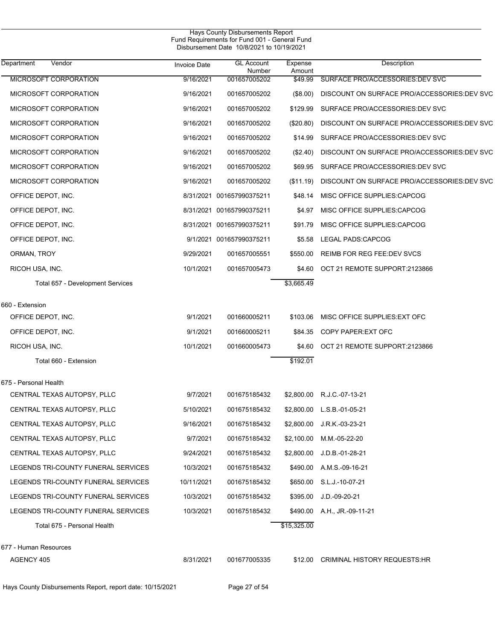|                                                           |                     | <b>Hays County Disbursements Report</b><br>Fund Requirements for Fund 001 - General Fund<br>Disbursement Date 10/8/2021 to 10/19/2021 |                   |                                             |
|-----------------------------------------------------------|---------------------|---------------------------------------------------------------------------------------------------------------------------------------|-------------------|---------------------------------------------|
| Department<br>Vendor                                      | <b>Invoice Date</b> | <b>GL Account</b><br>Number                                                                                                           | Expense<br>Amount | Description                                 |
| MICROSOFT CORPORATION                                     | 9/16/2021           | 001657005202                                                                                                                          | \$49.99           | SURFACE PRO/ACCESSORIES:DEV SVC             |
| MICROSOFT CORPORATION                                     | 9/16/2021           | 001657005202                                                                                                                          | (\$8.00)          | DISCOUNT ON SURFACE PRO/ACCESSORIES:DEV SVC |
| MICROSOFT CORPORATION                                     | 9/16/2021           | 001657005202                                                                                                                          | \$129.99          | SURFACE PRO/ACCESSORIES: DEV SVC            |
| MICROSOFT CORPORATION                                     | 9/16/2021           | 001657005202                                                                                                                          | $(\$20.80)$       | DISCOUNT ON SURFACE PRO/ACCESSORIES:DEV SVC |
| MICROSOFT CORPORATION                                     | 9/16/2021           | 001657005202                                                                                                                          | \$14.99           | SURFACE PRO/ACCESSORIES.DEV SVC             |
| MICROSOFT CORPORATION                                     | 9/16/2021           | 001657005202                                                                                                                          | (\$2.40)          | DISCOUNT ON SURFACE PRO/ACCESSORIES:DEV SVC |
| MICROSOFT CORPORATION                                     | 9/16/2021           | 001657005202                                                                                                                          | \$69.95           | SURFACE PRO/ACCESSORIES.DEV SVC             |
| MICROSOFT CORPORATION                                     | 9/16/2021           | 001657005202                                                                                                                          | (\$11.19)         | DISCOUNT ON SURFACE PRO/ACCESSORIES:DEV SVC |
| OFFICE DEPOT, INC.                                        |                     | 8/31/2021 001657990375211                                                                                                             | \$48.14           | MISC OFFICE SUPPLIES:CAPCOG                 |
| OFFICE DEPOT, INC.                                        |                     | 8/31/2021 001657990375211                                                                                                             | \$4.97            | MISC OFFICE SUPPLIES:CAPCOG                 |
| OFFICE DEPOT, INC.                                        |                     | 8/31/2021 001657990375211                                                                                                             | \$91.79           | MISC OFFICE SUPPLIES:CAPCOG                 |
| OFFICE DEPOT, INC.                                        |                     | 9/1/2021 001657990375211                                                                                                              | \$5.58            | LEGAL PADS:CAPCOG                           |
| ORMAN, TROY                                               | 9/29/2021           | 001657005551                                                                                                                          | \$550.00          | REIMB FOR REG FEE: DEV SVCS                 |
| RICOH USA, INC.                                           | 10/1/2021           | 001657005473                                                                                                                          | \$4.60            | OCT 21 REMOTE SUPPORT:2123866               |
| Total 657 - Development Services                          |                     |                                                                                                                                       | \$3,665.49        |                                             |
| 660 - Extension                                           |                     |                                                                                                                                       |                   |                                             |
| OFFICE DEPOT, INC.                                        | 9/1/2021            | 001660005211                                                                                                                          | \$103.06          | MISC OFFICE SUPPLIES EXT OFC                |
| OFFICE DEPOT, INC.                                        | 9/1/2021            | 001660005211                                                                                                                          | \$84.35           | COPY PAPER: EXT OFC                         |
| RICOH USA, INC.                                           | 10/1/2021           | 001660005473                                                                                                                          | \$4.60            | OCT 21 REMOTE SUPPORT:2123866               |
| Total 660 - Extension                                     |                     |                                                                                                                                       | \$192.01          |                                             |
| 675 - Personal Health                                     |                     |                                                                                                                                       |                   |                                             |
| CENTRAL TEXAS AUTOPSY, PLLC                               | 9/7/2021            | 001675185432                                                                                                                          | \$2,800.00        | R.J.C.-07-13-21                             |
| CENTRAL TEXAS AUTOPSY, PLLC                               | 5/10/2021           | 001675185432                                                                                                                          | \$2,800.00        | L.S.B.-01-05-21                             |
| CENTRAL TEXAS AUTOPSY, PLLC                               | 9/16/2021           | 001675185432                                                                                                                          | \$2,800.00        | J.R.K.-03-23-21                             |
| CENTRAL TEXAS AUTOPSY, PLLC                               | 9/7/2021            | 001675185432                                                                                                                          | \$2,100.00        | M.M.-05-22-20                               |
| CENTRAL TEXAS AUTOPSY, PLLC                               | 9/24/2021           | 001675185432                                                                                                                          | \$2,800.00        | J.D.B.-01-28-21                             |
| LEGENDS TRI-COUNTY FUNERAL SERVICES                       | 10/3/2021           | 001675185432                                                                                                                          | \$490.00          | A.M.S.-09-16-21                             |
| LEGENDS TRI-COUNTY FUNERAL SERVICES                       | 10/11/2021          | 001675185432                                                                                                                          | \$650.00          | S.L.J.-10-07-21                             |
| LEGENDS TRI-COUNTY FUNERAL SERVICES                       | 10/3/2021           | 001675185432                                                                                                                          | \$395.00          | $J.D.-09-20-21$                             |
| LEGENDS TRI-COUNTY FUNERAL SERVICES                       | 10/3/2021           | 001675185432                                                                                                                          | \$490.00          | A.H., JR.-09-11-21                          |
| Total 675 - Personal Health                               |                     |                                                                                                                                       | \$15,325.00       |                                             |
| 677 - Human Resources                                     |                     |                                                                                                                                       |                   |                                             |
| AGENCY 405                                                | 8/31/2021           | 001677005335                                                                                                                          | \$12.00           | <b>CRIMINAL HISTORY REQUESTS:HR</b>         |
| Hays County Disbursements Report, report date: 10/15/2021 |                     | Page 27 of 54                                                                                                                         |                   |                                             |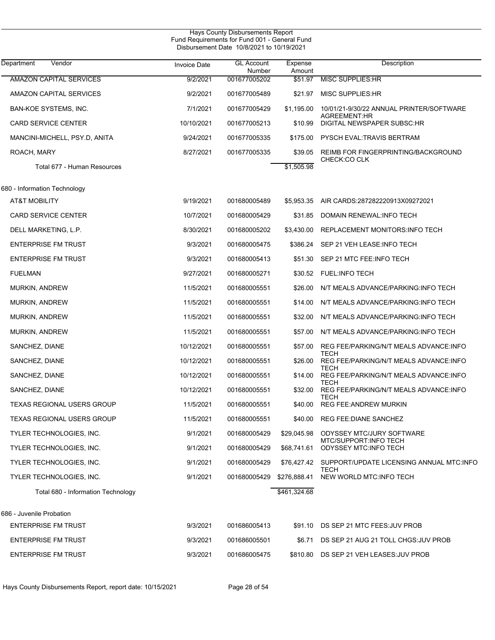| <b>Hays County Disbursements Report</b><br>Fund Requirements for Fund 001 - General Fund<br>Disbursement Date 10/8/2021 to 10/19/2021 |                     |                             |                   |                                                          |  |  |
|---------------------------------------------------------------------------------------------------------------------------------------|---------------------|-----------------------------|-------------------|----------------------------------------------------------|--|--|
| Vendor<br>Department                                                                                                                  | <b>Invoice Date</b> | <b>GL Account</b><br>Number | Expense<br>Amount | Description                                              |  |  |
| <b>AMAZON CAPITAL SERVICES</b>                                                                                                        | 9/2/2021            | 001677005202                | \$51.97           | <b>MISC SUPPLIES: HR</b>                                 |  |  |
| AMAZON CAPITAL SERVICES                                                                                                               | 9/2/2021            | 001677005489                | \$21.97           | <b>MISC SUPPLIES:HR</b>                                  |  |  |
| <b>BAN-KOE SYSTEMS, INC.</b>                                                                                                          | 7/1/2021            | 001677005429                | \$1,195.00        | 10/01/21-9/30/22 ANNUAL PRINTER/SOFTWARE<br>AGREEMENT:HR |  |  |
| <b>CARD SERVICE CENTER</b>                                                                                                            | 10/10/2021          | 001677005213                | \$10.99           | DIGITAL NEWSPAPER SUBSC:HR                               |  |  |
| MANCINI-MICHELL, PSY.D, ANITA                                                                                                         | 9/24/2021           | 001677005335                | \$175.00          | PYSCH EVAL:TRAVIS BERTRAM                                |  |  |
| ROACH, MARY                                                                                                                           | 8/27/2021           | 001677005335                | \$39.05           | REIMB FOR FINGERPRINTING/BACKGROUND<br>CHECK:CO CLK      |  |  |
| Total 677 - Human Resources                                                                                                           |                     |                             | \$1,505.98        |                                                          |  |  |
| 680 - Information Technology                                                                                                          |                     |                             |                   |                                                          |  |  |
| <b>AT&amp;T MOBILITY</b>                                                                                                              | 9/19/2021           | 001680005489                | \$5,953.35        | AIR CARDS:287282220913X09272021                          |  |  |
| <b>CARD SERVICE CENTER</b>                                                                                                            | 10/7/2021           | 001680005429                | \$31.85           | DOMAIN RENEWAL: INFO TECH                                |  |  |
| DELL MARKETING, L.P.                                                                                                                  | 8/30/2021           | 001680005202                | \$3,430.00        | REPLACEMENT MONITORS: INFO TECH                          |  |  |
| <b>ENTERPRISE FM TRUST</b>                                                                                                            | 9/3/2021            | 001680005475                | \$386.24          | SEP 21 VEH LEASE.INFO TECH                               |  |  |
| <b>ENTERPRISE FM TRUST</b>                                                                                                            | 9/3/2021            | 001680005413                | \$51.30           | SEP 21 MTC FEE: INFO TECH                                |  |  |
| <b>FUELMAN</b>                                                                                                                        | 9/27/2021           | 001680005271                | \$30.52           | <b>FUEL:INFO TECH</b>                                    |  |  |
| <b>MURKIN, ANDREW</b>                                                                                                                 | 11/5/2021           | 001680005551                | \$26.00           | N/T MEALS ADVANCE/PARKING:INFO TECH                      |  |  |
| <b>MURKIN, ANDREW</b>                                                                                                                 | 11/5/2021           | 001680005551                | \$14.00           | N/T MEALS ADVANCE/PARKING:INFO TECH                      |  |  |
| <b>MURKIN, ANDREW</b>                                                                                                                 | 11/5/2021           | 001680005551                | \$32.00           | N/T MEALS ADVANCE/PARKING:INFO TECH                      |  |  |
| <b>MURKIN, ANDREW</b>                                                                                                                 | 11/5/2021           | 001680005551                | \$57.00           | N/T MEALS ADVANCE/PARKING: INFO TECH                     |  |  |
| SANCHEZ, DIANE                                                                                                                        | 10/12/2021          | 001680005551                | \$57.00           | REG FEE/PARKING/N/T MEALS ADVANCE:INFO                   |  |  |
| SANCHEZ, DIANE                                                                                                                        | 10/12/2021          | 001680005551                | \$26.00           | TECH<br>REG FEE/PARKING/N/T MEALS ADVANCE:INFO           |  |  |
| SANCHEZ, DIANE                                                                                                                        | 10/12/2021          | 001680005551                | \$14.00           | TECH<br>REG FEE/PARKING/N/T MEALS ADVANCE: INFO          |  |  |
| SANCHEZ, DIANE                                                                                                                        | 10/12/2021          | 001680005551                | \$32.00           | TECH<br>REG FEE/PARKING/N/T MEALS ADVANCE:INFO           |  |  |
| TEXAS REGIONAL USERS GROUP                                                                                                            | 11/5/2021           | 001680005551                | \$40.00           | TECH<br><b>REG FEE:ANDREW MURKIN</b>                     |  |  |
| <b>TEXAS REGIONAL USERS GROUP</b>                                                                                                     | 11/5/2021           | 001680005551                |                   | \$40.00 REG FEE: DIANE SANCHEZ                           |  |  |
| TYLER TECHNOLOGIES, INC.                                                                                                              | 9/1/2021            | 001680005429                | \$29,045.98       | ODYSSEY MTC/JURY SOFTWARE                                |  |  |
| TYLER TECHNOLOGIES, INC.                                                                                                              | 9/1/2021            | 001680005429                | \$68,741.61       | <b>MTC/SUPPORT:INFO TECH</b><br>ODYSSEY MTC: INFO TECH   |  |  |
| TYLER TECHNOLOGIES, INC.                                                                                                              | 9/1/2021            | 001680005429                |                   | \$76,427.42 SUPPORT/UPDATE LICENSING ANNUAL MTC:INFO     |  |  |
| TYLER TECHNOLOGIES, INC.                                                                                                              | 9/1/2021            | 001680005429                | \$276,888.41      | TECH<br>NEW WORLD MTC: INFO TECH                         |  |  |
| Total 680 - Information Technology                                                                                                    |                     |                             | \$461,324.68      |                                                          |  |  |
| 686 - Juvenile Probation                                                                                                              |                     |                             |                   |                                                          |  |  |
| <b>ENTERPRISE FM TRUST</b>                                                                                                            | 9/3/2021            | 001686005413                |                   | \$91.10 DS SEP 21 MTC FEES: JUV PROB                     |  |  |
| <b>ENTERPRISE FM TRUST</b>                                                                                                            | 9/3/2021            | 001686005501                | \$6.71            | DS SEP 21 AUG 21 TOLL CHGS: JUV PROB                     |  |  |
| <b>ENTERPRISE FM TRUST</b>                                                                                                            | 9/3/2021            | 001686005475                | \$810.80          | DS SEP 21 VEH LEASES: JUV PROB                           |  |  |
|                                                                                                                                       |                     |                             |                   |                                                          |  |  |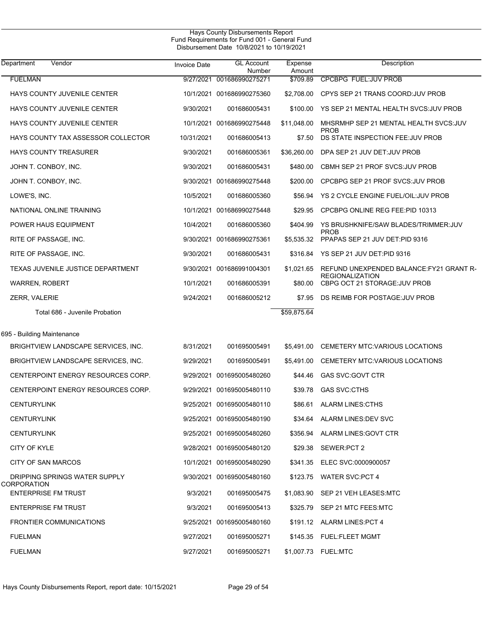| Department<br>Vendor                         | <b>Invoice Date</b> | <b>GL Account</b><br>Number | Expense<br>Amount | Description                                                        |
|----------------------------------------------|---------------------|-----------------------------|-------------------|--------------------------------------------------------------------|
| <b>FUELMAN</b>                               |                     | 9/27/2021 001686990275271   | \$709.89          | <b>CPCBPG FUEL:JUV PROB</b>                                        |
| HAYS COUNTY JUVENILE CENTER                  |                     | 10/1/2021 001686990275360   | \$2,708.00        | CPYS SEP 21 TRANS COORD: JUV PROB                                  |
| HAYS COUNTY JUVENILE CENTER                  | 9/30/2021           | 001686005431                | \$100.00          | YS SEP 21 MENTAL HEALTH SVCS.JUV PROB                              |
| HAYS COUNTY JUVENILE CENTER                  |                     | 10/1/2021 001686990275448   | \$11,048.00       | MHSRMHP SEP 21 MENTAL HEALTH SVCS: JUV<br><b>PROB</b>              |
| HAYS COUNTY TAX ASSESSOR COLLECTOR           | 10/31/2021          | 001686005413                | \$7.50            | DS STATE INSPECTION FEE.JUV PROB                                   |
| <b>HAYS COUNTY TREASURER</b>                 | 9/30/2021           | 001686005361                | \$36,260.00       | DPA SEP 21 JUV DET: JUV PROB                                       |
| JOHN T. CONBOY, INC.                         | 9/30/2021           | 001686005431                | \$480.00          | CBMH SEP 21 PROF SVCS: JUV PROB                                    |
| JOHN T. CONBOY, INC.                         |                     | 9/30/2021 001686990275448   | \$200.00          | CPCBPG SEP 21 PROF SVCS.JUV PROB                                   |
| LOWE'S, INC.                                 | 10/5/2021           | 001686005360                | \$56.94           | YS 2 CYCLE ENGINE FUEL/OIL: JUV PROB                               |
| NATIONAL ONLINE TRAINING                     |                     | 10/1/2021 001686990275448   | \$29.95           | CPCBPG ONLINE REG FEE: PID 10313                                   |
| POWER HAUS EQUIPMENT                         | 10/4/2021           | 001686005360                | \$404.99          | YS BRUSHKNIFE/SAW BLADES/TRIMMER:JUV<br><b>PROB</b>                |
| RITE OF PASSAGE, INC.                        |                     | 9/30/2021 001686990275361   | \$5,535.32        | PPAPAS SEP 21 JUV DET:PID 9316                                     |
| RITE OF PASSAGE, INC.                        | 9/30/2021           | 001686005431                | \$316.84          | YS SEP 21 JUV DET:PID 9316                                         |
| TEXAS JUVENILE JUSTICE DEPARTMENT            |                     | 9/30/2021 001686991004301   | \$1,021.65        | REFUND UNEXPENDED BALANCE: FY21 GRANT R-<br><b>REGIONALIZATION</b> |
| <b>WARREN, ROBERT</b>                        | 10/1/2021           | 001686005391                | \$80.00           | CBPG OCT 21 STORAGE: JUV PROB                                      |
| <b>ZERR, VALERIE</b>                         | 9/24/2021           | 001686005212                | \$7.95            | DS REIMB FOR POSTAGE: JUV PROB                                     |
| Total 686 - Juvenile Probation               |                     |                             | \$59,875.64       |                                                                    |
| 695 - Building Maintenance                   |                     |                             |                   |                                                                    |
| BRIGHTVIEW LANDSCAPE SERVICES, INC.          | 8/31/2021           | 001695005491                | \$5,491.00        | CEMETERY MTC VARIOUS LOCATIONS                                     |
| BRIGHTVIEW LANDSCAPE SERVICES, INC.          | 9/29/2021           | 001695005491                | \$5,491.00        | CEMETERY MTC VARIOUS LOCATIONS                                     |
| CENTERPOINT ENERGY RESOURCES CORP.           |                     | 9/29/2021 001695005480260   | \$44.46           | GAS SVC:GOVT CTR                                                   |
| CENTERPOINT ENERGY RESOURCES CORP.           |                     | 9/29/2021 001695005480110   | \$39.78           | <b>GAS SVC:CTHS</b>                                                |
| <b>CENTURYLINK</b>                           |                     | 9/25/2021 001695005480110   | \$86.61           | ALARM LINES: CTHS                                                  |
| CENTURYLINK                                  |                     | 9/25/2021 001695005480190   |                   | \$34.64 ALARM LINES DEV SVC                                        |
| <b>CENTURYLINK</b>                           |                     | 9/25/2021 001695005480260   |                   | \$356.94 ALARM LINES GOVT CTR                                      |
| CITY OF KYLE                                 |                     | 9/28/2021 001695005480120   |                   | \$29.38 SEWER PCT 2                                                |
| <b>CITY OF SAN MARCOS</b>                    |                     | 10/1/2021 001695005480290   |                   | \$341.35 ELEC SVC:0000900057                                       |
| DRIPPING SPRINGS WATER SUPPLY<br>CORPORATION |                     | 9/30/2021 001695005480160   |                   | \$123.75 WATER SVC:PCT 4                                           |
| <b>ENTERPRISE FM TRUST</b>                   | 9/3/2021            | 001695005475                |                   | \$1,083.90 SEP 21 VEH LEASES MTC                                   |
| <b>ENTERPRISE FM TRUST</b>                   | 9/3/2021            | 001695005413                |                   | \$325.79 SEP 21 MTC FEES: MTC                                      |
| <b>FRONTIER COMMUNICATIONS</b>               |                     | 9/25/2021 001695005480160   |                   | \$191.12 ALARM LINES: PCT 4                                        |
| <b>FUELMAN</b>                               | 9/27/2021           | 001695005271                |                   | \$145.35 FUEL:FLEET MGMT                                           |
| <b>FUELMAN</b>                               | 9/27/2021           | 001695005271                |                   | \$1,007.73 FUEL:MTC                                                |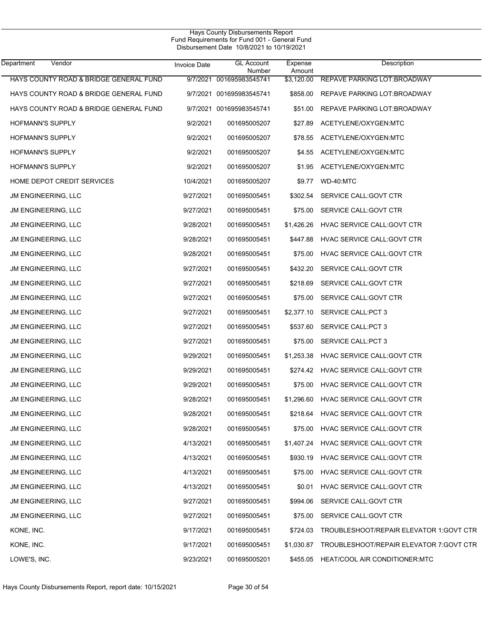| Department<br>Vendor                   | <b>Invoice Date</b> | <b>GL Account</b><br>Number | Expense<br>Amount | Description                             |
|----------------------------------------|---------------------|-----------------------------|-------------------|-----------------------------------------|
| HAYS COUNTY ROAD & BRIDGE GENERAL FUND | 9/7/2021            | 001695983545741             | \$3,120.00        | REPAVE PARKING LOT: BROADWAY            |
| HAYS COUNTY ROAD & BRIDGE GENERAL FUND |                     | 9/7/2021 001695983545741    | \$858.00          | REPAVE PARKING LOT BROADWAY             |
| HAYS COUNTY ROAD & BRIDGE GENERAL FUND |                     | 9/7/2021 001695983545741    | \$51.00           | REPAVE PARKING LOT: BROADWAY            |
| <b>HOFMANN'S SUPPLY</b>                | 9/2/2021            | 001695005207                | \$27.89           | ACETYLENE/OXYGEN:MTC                    |
| HOFMANN'S SUPPLY                       | 9/2/2021            | 001695005207                | \$78.55           | ACETYLENE/OXYGEN:MTC                    |
| <b>HOFMANN'S SUPPLY</b>                | 9/2/2021            | 001695005207                | \$4.55            | ACETYLENE/OXYGEN:MTC                    |
| HOFMANN'S SUPPLY                       | 9/2/2021            | 001695005207                | \$1.95            | ACETYLENE/OXYGEN:MTC                    |
| HOME DEPOT CREDIT SERVICES             | 10/4/2021           | 001695005207                | \$9.77            | WD-40:MTC                               |
| JM ENGINEERING, LLC                    | 9/27/2021           | 001695005451                | \$302.54          | SERVICE CALL: GOVT CTR                  |
| JM ENGINEERING, LLC                    | 9/27/2021           | 001695005451                | \$75.00           | SERVICE CALL: GOVT CTR                  |
| <b>JM ENGINEERING, LLC</b>             | 9/28/2021           | 001695005451                | \$1,426.26        | HVAC SERVICE CALL: GOVT CTR             |
| JM ENGINEERING, LLC                    | 9/28/2021           | 001695005451                | \$447.88          | HVAC SERVICE CALL: GOVT CTR             |
| <b>JM ENGINEERING, LLC</b>             | 9/28/2021           | 001695005451                | \$75.00           | HVAC SERVICE CALL: GOVT CTR             |
| JM ENGINEERING, LLC                    | 9/27/2021           | 001695005451                | \$432.20          | SERVICE CALL: GOVT CTR                  |
| <b>JM ENGINEERING, LLC</b>             | 9/27/2021           | 001695005451                | \$218.69          | SERVICE CALL: GOVT CTR                  |
| JM ENGINEERING, LLC                    | 9/27/2021           | 001695005451                | \$75.00           | SERVICE CALL: GOVT CTR                  |
| <b>JM ENGINEERING, LLC</b>             | 9/27/2021           | 001695005451                | \$2,377.10        | SERVICE CALL: PCT 3                     |
| JM ENGINEERING, LLC                    | 9/27/2021           | 001695005451                | \$537.60          | SERVICE CALL: PCT 3                     |
| <b>JM ENGINEERING, LLC</b>             | 9/27/2021           | 001695005451                | \$75.00           | <b>SERVICE CALL:PCT 3</b>               |
| JM ENGINEERING, LLC                    | 9/29/2021           | 001695005451                | \$1,253.38        | HVAC SERVICE CALL: GOVT CTR             |
| <b>JM ENGINEERING, LLC</b>             | 9/29/2021           | 001695005451                | \$274.42          | HVAC SERVICE CALL: GOVT CTR             |
| JM ENGINEERING, LLC                    | 9/29/2021           | 001695005451                | \$75.00           | HVAC SERVICE CALL: GOVT CTR             |
| <b>JM ENGINEERING, LLC</b>             | 9/28/2021           | 001695005451                | \$1,296.60        | HVAC SERVICE CALL: GOVT CTR             |
| JM ENGINEERING, LLC                    | 9/28/2021           | 001695005451                | \$218.64          | HVAC SERVICE CALL: GOVT CTR             |
| JM ENGINEERING, LLC                    | 9/28/2021           | 001695005451                |                   | \$75.00 HVAC SERVICE CALL: GOVT CTR     |
| <b>JM ENGINEERING, LLC</b>             | 4/13/2021           | 001695005451                | \$1,407.24        | HVAC SERVICE CALL: GOVT CTR             |
| JM ENGINEERING, LLC                    | 4/13/2021           | 001695005451                | \$930.19          | HVAC SERVICE CALL: GOVT CTR             |
| JM ENGINEERING, LLC                    | 4/13/2021           | 001695005451                | \$75.00           | HVAC SERVICE CALL: GOVT CTR             |
| JM ENGINEERING, LLC                    | 4/13/2021           | 001695005451                | \$0.01            | HVAC SERVICE CALL: GOVT CTR             |
| JM ENGINEERING, LLC                    | 9/27/2021           | 001695005451                | \$994.06          | SERVICE CALL: GOVT CTR                  |
| JM ENGINEERING, LLC                    | 9/27/2021           | 001695005451                | \$75.00           | SERVICE CALL: GOVT CTR                  |
| KONE, INC.                             | 9/17/2021           | 001695005451                | \$724.03          | TROUBLESHOOT/REPAIR ELEVATOR 1:GOVT CTR |
| KONE, INC.                             | 9/17/2021           | 001695005451                | \$1,030.87        | TROUBLESHOOT/REPAIR ELEVATOR 7:GOVT CTR |
| LOWE'S, INC.                           | 9/23/2021           | 001695005201                | \$455.05          | HEAT/COOL AIR CONDITIONER:MTC           |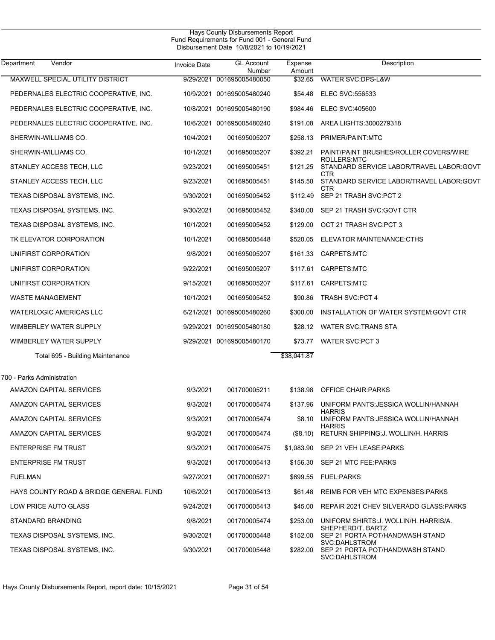| Department<br>Vendor                   | Invoice Date | <b>GL Account</b><br>Number | Expense<br>Amount | Description                                                              |
|----------------------------------------|--------------|-----------------------------|-------------------|--------------------------------------------------------------------------|
| MAXWELL SPECIAL UTILITY DISTRICT       |              | 9/29/2021 001695005480050   | \$32.65           | WATER SVC:DPS-L&W                                                        |
| PEDERNALES ELECTRIC COOPERATIVE, INC.  |              | 10/9/2021 001695005480240   | \$54.48           | <b>ELEC SVC:556533</b>                                                   |
| PEDERNALES ELECTRIC COOPERATIVE, INC.  |              | 10/8/2021 001695005480190   | \$984.46          | ELEC SVC:405600                                                          |
| PEDERNALES ELECTRIC COOPERATIVE, INC.  |              | 10/6/2021 001695005480240   | \$191.08          | AREA LIGHTS:3000279318                                                   |
| SHERWIN-WILLIAMS CO.                   | 10/4/2021    | 001695005207                | \$258.13          | PRIMER/PAINT:MTC                                                         |
| SHERWIN-WILLIAMS CO.                   | 10/1/2021    | 001695005207                | \$392.21          | PAINT/PAINT BRUSHES/ROLLER COVERS/WIRE<br>ROLLERS:MTC                    |
| STANLEY ACCESS TECH, LLC               | 9/23/2021    | 001695005451                | \$121.25          | STANDARD SERVICE LABOR/TRAVEL LABOR: GOVT<br>CTR                         |
| STANLEY ACCESS TECH, LLC               | 9/23/2021    | 001695005451                | \$145.50          | STANDARD SERVICE LABOR/TRAVEL LABOR:GOVT<br>CTR                          |
| TEXAS DISPOSAL SYSTEMS, INC.           | 9/30/2021    | 001695005452                | \$112.49          | SEP 21 TRASH SVC:PCT 2                                                   |
| TEXAS DISPOSAL SYSTEMS, INC.           | 9/30/2021    | 001695005452                | \$340.00          | SEP 21 TRASH SVC:GOVT CTR                                                |
| TEXAS DISPOSAL SYSTEMS, INC.           | 10/1/2021    | 001695005452                | \$129.00          | OCT 21 TRASH SVC:PCT 3                                                   |
| TK ELEVATOR CORPORATION                | 10/1/2021    | 001695005448                | \$520.05          | ELEVATOR MAINTENANCE:CTHS                                                |
| UNIFIRST CORPORATION                   | 9/8/2021     | 001695005207                | \$161.33          | CARPETS:MTC                                                              |
| UNIFIRST CORPORATION                   | 9/22/2021    | 001695005207                |                   | \$117.61 CARPETS:MTC                                                     |
| UNIFIRST CORPORATION                   | 9/15/2021    | 001695005207                | \$117.61          | CARPETS:MTC                                                              |
| <b>WASTE MANAGEMENT</b>                | 10/1/2021    | 001695005452                | \$90.86           | <b>TRASH SVC:PCT 4</b>                                                   |
| <b>WATERLOGIC AMERICAS LLC</b>         |              | 6/21/2021 001695005480260   | \$300.00          | INSTALLATION OF WATER SYSTEM: GOVT CTR                                   |
| WIMBERLEY WATER SUPPLY                 |              | 9/29/2021 001695005480180   | \$28.12           | WATER SVC TRANS STA                                                      |
| WIMBERLEY WATER SUPPLY                 |              | 9/29/2021 001695005480170   | \$73.77           | WATER SVC:PCT 3                                                          |
| Total 695 - Building Maintenance       |              |                             | \$38,041.87       |                                                                          |
| 700 - Parks Administration             |              |                             |                   |                                                                          |
| AMAZON CAPITAL SERVICES                | 9/3/2021     | 001700005211                | \$138.98          | <b>OFFICE CHAIR: PARKS</b>                                               |
| AMAZON CAPITAL SERVICES                | 9/3/2021     | 001700005474                | \$137.96          | UNIFORM PANTS: JESSICA WOLLIN/HANNAH                                     |
| AMAZON CAPITAL SERVICES                | 9/3/2021     | 001700005474                | \$8.10            | <b>HARRIS</b><br>UNIFORM PANTS: JESSICA WOLLIN/HANNAH                    |
| AMAZON CAPITAL SERVICES                | 9/3/2021     | 001700005474                | (S8.10)           | <b>HARRIS</b><br>RETURN SHIPPING: J. WOLLIN/H. HARRIS                    |
| <b>ENTERPRISE FM TRUST</b>             | 9/3/2021     | 001700005475                | \$1,083.90        | SEP 21 VEH LEASE: PARKS                                                  |
| <b>ENTERPRISE FM TRUST</b>             | 9/3/2021     | 001700005413                | \$156.30          | SEP 21 MTC FEE:PARKS                                                     |
| <b>FUELMAN</b>                         | 9/27/2021    | 001700005271                |                   | \$699.55 FUEL:PARKS                                                      |
| HAYS COUNTY ROAD & BRIDGE GENERAL FUND | 10/6/2021    | 001700005413                | \$61.48           | REIMB FOR VEH MTC EXPENSES: PARKS                                        |
| LOW PRICE AUTO GLASS                   | 9/24/2021    | 001700005413                | \$45.00           | REPAIR 2021 CHEV SILVERADO GLASS:PARKS                                   |
| STANDARD BRANDING                      | 9/8/2021     | 001700005474                | \$253.00          | UNIFORM SHIRTS J. WOLLIN/H. HARRIS/A.                                    |
| TEXAS DISPOSAL SYSTEMS, INC.           | 9/30/2021    | 001700005448                | \$152.00          | SHEPHERD/T. BARTZ<br>SEP 21 PORTA POT/HANDWASH STAND                     |
| TEXAS DISPOSAL SYSTEMS, INC.           | 9/30/2021    | 001700005448                | \$282.00          | <b>SVC:DAHLSTROM</b><br>SEP 21 PORTA POT/HANDWASH STAND<br>SVC:DAHLSTROM |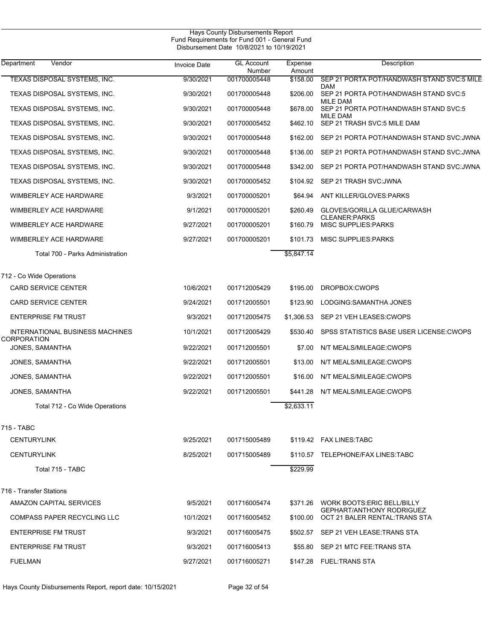| Hays County Disbursements Report<br>Fund Requirements for Fund 001 - General Fund<br>Disbursement Date 10/8/2021 to 10/19/2021 |                     |                             |                   |                                                                    |  |  |
|--------------------------------------------------------------------------------------------------------------------------------|---------------------|-----------------------------|-------------------|--------------------------------------------------------------------|--|--|
| Department<br>Vendor                                                                                                           | <b>Invoice Date</b> | <b>GL Account</b><br>Number | Expense<br>Amount | Description                                                        |  |  |
| TEXAS DISPOSAL SYSTEMS, INC.                                                                                                   | 9/30/2021           | 001700005448                | \$158.00          | SEP 21 PORTA POT/HANDWASH STAND SVC:5 MILE<br>DAM                  |  |  |
| TEXAS DISPOSAL SYSTEMS, INC.                                                                                                   | 9/30/2021           | 001700005448                | \$206.00          | SEP 21 PORTA POT/HANDWASH STAND SVC:5                              |  |  |
| TEXAS DISPOSAL SYSTEMS, INC.                                                                                                   | 9/30/2021           | 001700005448                | \$678.00          | MILE DAM<br>SEP 21 PORTA POT/HANDWASH STAND SVC:5                  |  |  |
| TEXAS DISPOSAL SYSTEMS, INC.                                                                                                   | 9/30/2021           | 001700005452                | \$462.10          | MILE DAM<br>SEP 21 TRASH SVC:5 MILE DAM                            |  |  |
| TEXAS DISPOSAL SYSTEMS, INC.                                                                                                   | 9/30/2021           | 001700005448                | \$162.00          | SEP 21 PORTA POT/HANDWASH STAND SVC:JWNA                           |  |  |
| TEXAS DISPOSAL SYSTEMS, INC.                                                                                                   | 9/30/2021           | 001700005448                | \$136.00          | SEP 21 PORTA POT/HANDWASH STAND SVC: JWNA                          |  |  |
| TEXAS DISPOSAL SYSTEMS, INC.                                                                                                   | 9/30/2021           | 001700005448                | \$342.00          | SEP 21 PORTA POT/HANDWASH STAND SVC: JWNA                          |  |  |
| TEXAS DISPOSAL SYSTEMS, INC.                                                                                                   | 9/30/2021           | 001700005452                | \$104.92          | SEP 21 TRASH SVC: JWNA                                             |  |  |
| <b>WIMBERLEY ACE HARDWARE</b>                                                                                                  | 9/3/2021            | 001700005201                | \$64.94           | ANT KILLER/GLOVES: PARKS                                           |  |  |
| <b>WIMBERLEY ACE HARDWARE</b>                                                                                                  | 9/1/2021            | 001700005201                | \$260.49          | GLOVES/GORILLA GLUE/CARWASH                                        |  |  |
| <b>WIMBERLEY ACE HARDWARE</b>                                                                                                  | 9/27/2021           | 001700005201                | \$160.79          | <b>CLEANER:PARKS</b><br>MISC SUPPLIES: PARKS                       |  |  |
| WIMBERLEY ACE HARDWARE                                                                                                         | 9/27/2021           | 001700005201                | \$101.73          | <b>MISC SUPPLIES PARKS</b>                                         |  |  |
| Total 700 - Parks Administration                                                                                               |                     |                             | \$5,847.14        |                                                                    |  |  |
| 712 - Co Wide Operations                                                                                                       |                     |                             |                   |                                                                    |  |  |
| <b>CARD SERVICE CENTER</b>                                                                                                     | 10/6/2021           | 001712005429                | \$195.00          | DROPBOX:CWOPS                                                      |  |  |
| <b>CARD SERVICE CENTER</b>                                                                                                     | 9/24/2021           | 001712005501                | \$123.90          | LODGING: SAMANTHA JONES                                            |  |  |
| <b>ENTERPRISE FM TRUST</b>                                                                                                     | 9/3/2021            | 001712005475                | \$1,306.53        | SEP 21 VEH LEASES: CWOPS                                           |  |  |
| INTERNATIONAL BUSINESS MACHINES<br>CORPORATION                                                                                 | 10/1/2021           | 001712005429                | \$530.40          | SPSS STATISTICS BASE USER LICENSE: CWOPS                           |  |  |
| JONES, SAMANTHA                                                                                                                | 9/22/2021           | 001712005501                | \$7.00            | N/T MEALS/MILEAGE:CWOPS                                            |  |  |
| JONES, SAMANTHA                                                                                                                | 9/22/2021           | 001712005501                | \$13.00           | N/T MEALS/MILEAGE:CWOPS                                            |  |  |
| JONES, SAMANTHA                                                                                                                | 9/22/2021           | 001712005501                | \$16.00           | N/T MEALS/MILEAGE:CWOPS                                            |  |  |
| JONES, SAMANTHA                                                                                                                | 9/22/2021           | 001712005501                |                   | \$441.28 N/T MEALS/MILEAGE:CWOPS                                   |  |  |
| Total 712 - Co Wide Operations                                                                                                 |                     |                             | \$2,633.11        |                                                                    |  |  |
| 715 - TABC                                                                                                                     |                     |                             |                   |                                                                    |  |  |
| <b>CENTURYLINK</b>                                                                                                             | 9/25/2021           | 001715005489                |                   | \$119.42 FAX LINES: TABC                                           |  |  |
| <b>CENTURYLINK</b>                                                                                                             | 8/25/2021           | 001715005489                |                   | \$110.57 TELEPHONE/FAX LINES TABC                                  |  |  |
| Total 715 - TABC                                                                                                               |                     |                             | \$229.99          |                                                                    |  |  |
| 716 - Transfer Stations                                                                                                        |                     |                             |                   |                                                                    |  |  |
| AMAZON CAPITAL SERVICES                                                                                                        | 9/5/2021            | 001716005474                |                   | \$371.26 WORK BOOTS: ERIC BELL/BILLY                               |  |  |
| <b>COMPASS PAPER RECYCLING LLC</b>                                                                                             | 10/1/2021           | 001716005452                | \$100.00          | <b>GEPHART/ANTHONY RODRIGUEZ</b><br>OCT 21 BALER RENTAL: TRANS STA |  |  |
| <b>ENTERPRISE FM TRUST</b>                                                                                                     | 9/3/2021            | 001716005475                |                   | \$502.57 SEP 21 VEH LEASE: TRANS STA                               |  |  |
| <b>ENTERPRISE FM TRUST</b>                                                                                                     | 9/3/2021            | 001716005413                |                   | \$55.80 SEP 21 MTC FEE:TRANS STA                                   |  |  |
| <b>FUELMAN</b>                                                                                                                 | 9/27/2021           | 001716005271                |                   | \$147.28 FUEL:TRANS STA                                            |  |  |

Hays County Disbursements Report, report date: 10/15/2021 Page 32 of 54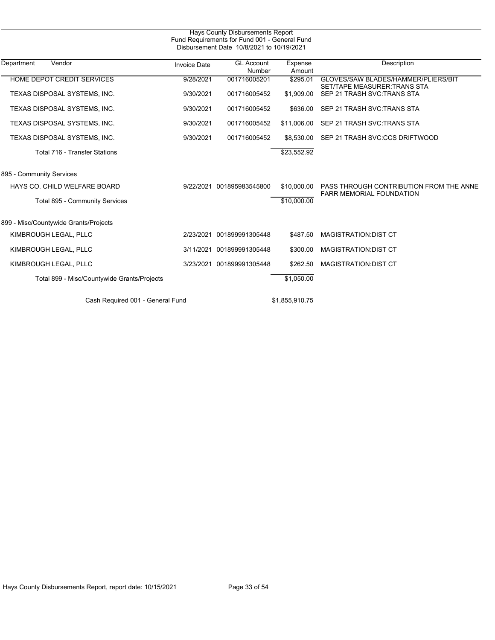|                                             |                     | Hays County Disbursements Report<br>Fund Requirements for Fund 001 - General Fund<br>Disbursement Date 10/8/2021 to 10/19/2021 |                   |                                                                     |
|---------------------------------------------|---------------------|--------------------------------------------------------------------------------------------------------------------------------|-------------------|---------------------------------------------------------------------|
| Department<br>Vendor                        | <b>Invoice Date</b> | <b>GL Account</b><br>Number                                                                                                    | Expense<br>Amount | Description                                                         |
| <b>HOME DEPOT CREDIT SERVICES</b>           | 9/28/2021           | 001716005201                                                                                                                   | \$295.01          | GLOVES/SAW BLADES/HAMMER/PLIERS/BIT<br>SET/TAPE MEASURER: TRANS STA |
| TEXAS DISPOSAL SYSTEMS, INC.                | 9/30/2021           | 001716005452                                                                                                                   | \$1,909.00        | SEP 21 TRASH SVC. TRANS STA                                         |
| TEXAS DISPOSAL SYSTEMS, INC.                | 9/30/2021           | 001716005452                                                                                                                   | \$636.00          | SEP 21 TRASH SVC: TRANS STA                                         |
| TEXAS DISPOSAL SYSTEMS, INC.                | 9/30/2021           | 001716005452                                                                                                                   | \$11,006.00       | SEP 21 TRASH SVC: TRANS STA                                         |
| TEXAS DISPOSAL SYSTEMS, INC.                | 9/30/2021           | 001716005452                                                                                                                   | \$8,530,00        | SEP 21 TRASH SVC:CCS DRIFTWOOD                                      |
| <b>Total 716 - Transfer Stations</b>        |                     |                                                                                                                                | \$23,552.92       |                                                                     |
| 895 - Community Services                    |                     |                                                                                                                                |                   |                                                                     |
| HAYS CO. CHILD WELFARE BOARD                | 9/22/2021           | 001895983545800                                                                                                                | \$10,000.00       | PASS THROUGH CONTRIBUTION FROM THE ANNE                             |
| Total 895 - Community Services              |                     |                                                                                                                                | \$10,000.00       | <b>FARR MEMORIAL FOUNDATION</b>                                     |
| 899 - Misc/Countywide Grants/Projects       |                     |                                                                                                                                |                   |                                                                     |
| KIMBROUGH LEGAL, PLLC                       | 2/23/2021           | 001899991305448                                                                                                                | \$487.50          | <b>MAGISTRATION: DIST CT</b>                                        |
| KIMBROUGH LEGAL, PLLC                       | 3/11/2021           | 001899991305448                                                                                                                | \$300.00          | <b>MAGISTRATION: DIST CT</b>                                        |
| KIMBROUGH LEGAL, PLLC                       | 3/23/2021           | 001899991305448                                                                                                                | \$262.50          | <b>MAGISTRATION:DIST CT</b>                                         |
| Total 899 - Misc/Countywide Grants/Projects |                     |                                                                                                                                | \$1,050.00        |                                                                     |
| Cash Required 001 - General Fund            |                     |                                                                                                                                | \$1,855,910.75    |                                                                     |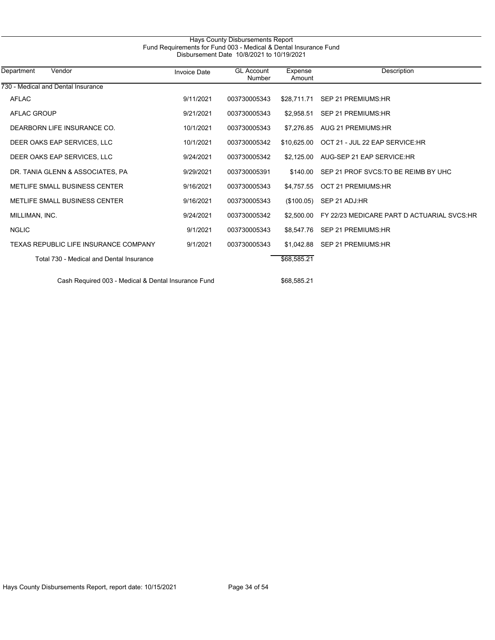|                                          |                     | Fund Requirements for Fund 003 - Medical & Dental Insurance Fund<br>Disbursement Date 10/8/2021 to 10/19/2021 |                   |                                            |
|------------------------------------------|---------------------|---------------------------------------------------------------------------------------------------------------|-------------------|--------------------------------------------|
| Department<br>Vendor                     | <b>Invoice Date</b> | <b>GL Account</b><br>Number                                                                                   | Expense<br>Amount | Description                                |
| 730 - Medical and Dental Insurance       |                     |                                                                                                               |                   |                                            |
| <b>AFLAC</b>                             | 9/11/2021           | 003730005343                                                                                                  | \$28.711.71       | SEP 21 PREMIUMS: HR                        |
| <b>AFLAC GROUP</b>                       | 9/21/2021           | 003730005343                                                                                                  | \$2.958.51        | SEP 21 PREMIUMS: HR                        |
| DEARBORN LIFE INSURANCE CO.              | 10/1/2021           | 003730005343                                                                                                  | \$7.276.85        | AUG 21 PREMIUMS:HR                         |
| DEER OAKS EAP SERVICES. LLC              | 10/1/2021           | 003730005342                                                                                                  | \$10.625.00       | OCT 21 - JUL 22 EAP SERVICE:HR             |
| DEER OAKS EAP SERVICES, LLC              | 9/24/2021           | 003730005342                                                                                                  | \$2,125,00        | AUG-SEP 21 EAP SERVICE:HR                  |
| DR. TANIA GLENN & ASSOCIATES, PA         | 9/29/2021           | 003730005391                                                                                                  | \$140.00          | SEP 21 PROF SVCS. TO BE REIMB BY UHC       |
| METLIFE SMALL BUSINESS CENTER            | 9/16/2021           | 003730005343                                                                                                  | \$4.757.55        | <b>OCT 21 PREMIUMS:HR</b>                  |
| METLIFE SMALL BUSINESS CENTER            | 9/16/2021           | 003730005343                                                                                                  | (\$100.05)        | SEP 21 ADJ:HR                              |
| MILLIMAN, INC.                           | 9/24/2021           | 003730005342                                                                                                  | \$2,500.00        | FY 22/23 MEDICARE PART D ACTUARIAL SVCS:HR |
| <b>NGLIC</b>                             | 9/1/2021            | 003730005343                                                                                                  | \$8,547.76        | SEP 21 PREMIUMS:HR                         |
| TEXAS REPUBLIC LIFE INSURANCE COMPANY    | 9/1/2021            | 003730005343                                                                                                  |                   | \$1.042.88 SEP 21 PREMIUMS:HR              |
| Total 730 - Medical and Dental Insurance |                     |                                                                                                               | \$68,585.21       |                                            |
|                                          |                     |                                                                                                               |                   |                                            |

Cash Required 003 - Medical & Dental Insurance Fund \$68,585.21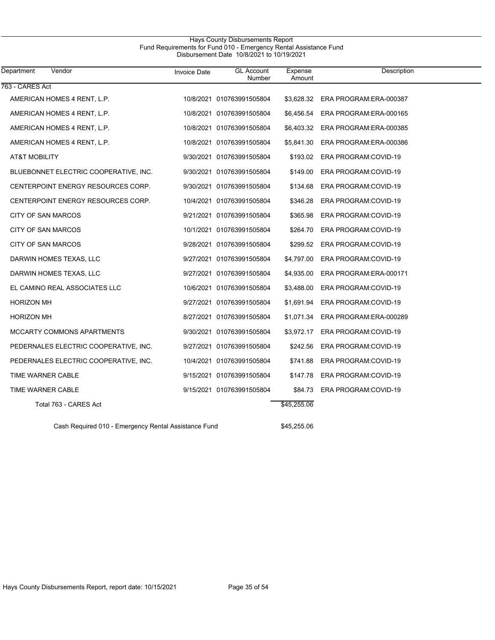## Hays County Disbursements Report Fund Requirements for Fund 010 - Emergency Rental Assistance Fund Disbursement Date 10/8/2021 to 10/19/2021

| <b>Department</b><br>Vendor                          | <b>Invoice Date</b> | <b>GL Account</b><br>Number | Expense<br>Amount | Description                        |
|------------------------------------------------------|---------------------|-----------------------------|-------------------|------------------------------------|
| 763 - CARES Act                                      |                     |                             |                   |                                    |
| AMERICAN HOMES 4 RENT, L.P.                          |                     | 10/8/2021 010763991505804   |                   | \$3,628.32 ERA PROGRAM: ERA-000387 |
| AMERICAN HOMES 4 RENT, L.P.                          |                     | 10/8/2021 010763991505804   | \$6,456.54        | ERA PROGRAM: ERA-000165            |
| AMERICAN HOMES 4 RENT, L.P.                          |                     | 10/8/2021 010763991505804   | \$6,403.32        | ERA PROGRAM: ERA-000385            |
| AMERICAN HOMES 4 RENT, L.P.                          |                     | 10/8/2021 010763991505804   | \$5,841.30        | ERA PROGRAM:ERA-000386             |
| AT&T MOBILITY                                        |                     | 9/30/2021 010763991505804   | \$193.02          | ERA PROGRAM:COVID-19               |
| BLUEBONNET ELECTRIC COOPERATIVE, INC.                |                     | 9/30/2021 010763991505804   | \$149.00          | ERA PROGRAM:COVID-19               |
| CENTERPOINT ENERGY RESOURCES CORP.                   |                     | 9/30/2021 010763991505804   | \$134.68          | ERA PROGRAM:COVID-19               |
| CENTERPOINT ENERGY RESOURCES CORP.                   |                     | 10/4/2021 010763991505804   | \$346.28          | ERA PROGRAM:COVID-19               |
| CITY OF SAN MARCOS                                   |                     | 9/21/2021 010763991505804   | \$365.98          | ERA PROGRAM: COVID-19              |
| CITY OF SAN MARCOS                                   |                     | 10/1/2021 010763991505804   | \$264.70          | ERA PROGRAM:COVID-19               |
| CITY OF SAN MARCOS                                   |                     | 9/28/2021 010763991505804   | \$299.52          | ERA PROGRAM:COVID-19               |
| DARWIN HOMES TEXAS, LLC                              |                     | 9/27/2021 010763991505804   | \$4,797.00        | ERA PROGRAM:COVID-19               |
| DARWIN HOMES TEXAS, LLC                              |                     | 9/27/2021 010763991505804   | \$4,935.00        | ERA PROGRAM: ERA-000171            |
| EL CAMINO REAL ASSOCIATES LLC                        |                     | 10/6/2021 010763991505804   | \$3,488.00        | ERA PROGRAM: COVID-19              |
| <b>HORIZON MH</b>                                    |                     | 9/27/2021 010763991505804   | \$1,691.94        | ERA PROGRAM: COVID-19              |
| <b>HORIZON MH</b>                                    |                     | 8/27/2021 010763991505804   | \$1,071.34        | ERA PROGRAM: ERA-000289            |
| MCCARTY COMMONS APARTMENTS                           |                     | 9/30/2021 010763991505804   | \$3,972.17        | ERA PROGRAM: COVID-19              |
| PEDERNALES ELECTRIC COOPERATIVE, INC.                |                     | 9/27/2021 010763991505804   | \$242.56          | ERA PROGRAM:COVID-19               |
| PEDERNALES ELECTRIC COOPERATIVE, INC.                |                     | 10/4/2021 010763991505804   | \$741.88          | ERA PROGRAM:COVID-19               |
| TIME WARNER CABLE                                    |                     | 9/15/2021 010763991505804   | \$147.78          | ERA PROGRAM:COVID-19               |
| TIME WARNER CABLE                                    |                     | 9/15/2021 010763991505804   | \$84.73           | ERA PROGRAM:COVID-19               |
| Total 763 - CARES Act                                |                     |                             | \$45,255.06       |                                    |
| Cash Required 010 - Emergency Rental Assistance Fund |                     |                             | \$45,255.06       |                                    |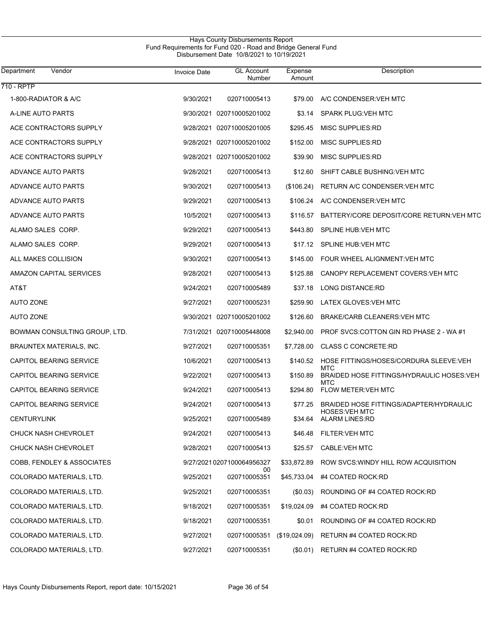| Department<br>Vendor          | Invoice Date | <b>GL Account</b><br>Number     | Expense<br>Amount | Description                                                      |
|-------------------------------|--------------|---------------------------------|-------------------|------------------------------------------------------------------|
| 710 - RPTP                    |              |                                 |                   |                                                                  |
| 1-800-RADIATOR & A/C          | 9/30/2021    | 020710005413                    | \$79.00           | A/C CONDENSER: VEH MTC                                           |
| A-LINE AUTO PARTS             |              | 9/30/2021 020710005201002       | \$3.14            | <b>SPARK PLUG: VEH MTC</b>                                       |
| ACE CONTRACTORS SUPPLY        |              | 9/28/2021 020710005201005       | \$295.45          | MISC SUPPLIES:RD                                                 |
| ACE CONTRACTORS SUPPLY        | 9/28/2021    | 020710005201002                 | \$152.00          | MISC SUPPLIES:RD                                                 |
| ACE CONTRACTORS SUPPLY        |              | 9/28/2021 020710005201002       | \$39.90           | MISC SUPPLIES:RD                                                 |
| ADVANCE AUTO PARTS            | 9/28/2021    | 020710005413                    | \$12.60           | SHIFT CABLE BUSHING: VEH MTC                                     |
| ADVANCE AUTO PARTS            | 9/30/2021    | 020710005413                    | (\$106.24)        | RETURN A/C CONDENSER: VEH MTC                                    |
| ADVANCE AUTO PARTS            | 9/29/2021    | 020710005413                    | \$106.24          | A/C CONDENSER: VEH MTC                                           |
| ADVANCE AUTO PARTS            | 10/5/2021    | 020710005413                    | \$116.57          | BATTERY/CORE DEPOSIT/CORE RETURN VEH MTC                         |
| ALAMO SALES CORP.             | 9/29/2021    | 020710005413                    | \$443.80          | <b>SPLINE HUB: VEH MTC</b>                                       |
| ALAMO SALES CORP.             | 9/29/2021    | 020710005413                    | \$17.12           | <b>SPLINE HUB:VEH MTC</b>                                        |
| ALL MAKES COLLISION           | 9/30/2021    | 020710005413                    | \$145.00          | FOUR WHEEL ALIGNMENT: VEH MTC                                    |
| AMAZON CAPITAL SERVICES       | 9/28/2021    | 020710005413                    | \$125.88          | CANOPY REPLACEMENT COVERS VEH MTC                                |
| AT&T                          | 9/24/2021    | 020710005489                    | \$37.18           | LONG DISTANCE:RD                                                 |
| <b>AUTO ZONE</b>              | 9/27/2021    | 020710005231                    | \$259.90          | LATEX GLOVES: VEH MTC                                            |
| <b>AUTO ZONE</b>              | 9/30/2021    | 020710005201002                 | \$126.60          | BRAKE/CARB CLEANERS: VEH MTC                                     |
| BOWMAN CONSULTING GROUP, LTD. |              | 7/31/2021 020710005448008       | \$2,940.00        | PROF SVCS:COTTON GIN RD PHASE 2 - WA #1                          |
| BRAUNTEX MATERIALS, INC.      | 9/27/2021    | 020710005351                    | \$7,728.00        | <b>CLASS C CONCRETE:RD</b>                                       |
| CAPITOL BEARING SERVICE       | 10/6/2021    | 020710005413                    | \$140.52          | HOSE FITTINGS/HOSES/CORDURA SLEEVE: VEH<br><b>MTC</b>            |
| CAPITOL BEARING SERVICE       | 9/22/2021    | 020710005413                    | \$150.89          | BRAIDED HOSE FITTINGS/HYDRAULIC HOSES: VEH<br><b>MTC</b>         |
| CAPITOL BEARING SERVICE       | 9/24/2021    | 020710005413                    | \$294.80          | <b>FLOW METER: VEH MTC</b>                                       |
| CAPITOL BEARING SERVICE       | 9/24/2021    | 020710005413                    | \$77.25           | BRAIDED HOSE FITTINGS/ADAPTER/HYDRAULIC<br><b>HOSES: VEH MTC</b> |
| <b>CENTURYLINK</b>            | 9/25/2021    | 020710005489                    |                   | \$34.64 ALARM LINES:RD                                           |
| <b>CHUCK NASH CHEVROLET</b>   | 9/24/2021    | 020710005413                    | \$46.48           | <b>FILTER: VEH MTC</b>                                           |
| CHUCK NASH CHEVROLET          | 9/28/2021    | 020710005413                    | \$25.57           | <b>CABLE:VEH MTC</b>                                             |
| COBB, FENDLEY & ASSOCIATES    |              | 9/27/20210207100064956327<br>00 | \$33,872.89       | ROW SVCS: WINDY HILL ROW ACQUISITION                             |
| COLORADO MATERIALS, LTD.      | 9/25/2021    | 020710005351                    | \$45,733.04       | #4 COATED ROCK:RD                                                |
| COLORADO MATERIALS, LTD.      | 9/25/2021    | 020710005351                    | (S0.03)           | ROUNDING OF #4 COATED ROCK: RD                                   |
| COLORADO MATERIALS, LTD.      | 9/18/2021    | 020710005351                    | \$19,024.09       | #4 COATED ROCK:RD                                                |
| COLORADO MATERIALS, LTD.      | 9/18/2021    | 020710005351                    | \$0.01            | ROUNDING OF #4 COATED ROCK:RD                                    |
| COLORADO MATERIALS, LTD.      | 9/27/2021    | 020710005351                    | (\$19,024.09)     | RETURN #4 COATED ROCK:RD                                         |
| COLORADO MATERIALS, LTD.      | 9/27/2021    | 020710005351                    |                   | (\$0.01) RETURN #4 COATED ROCK:RD                                |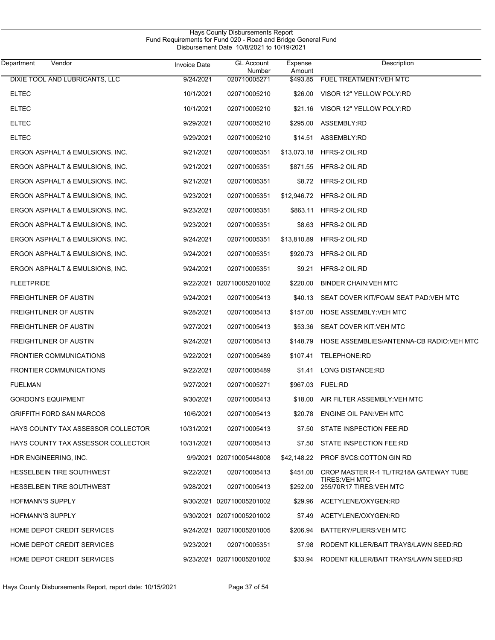| Department        | Vendor                             | <b>Invoice Date</b> | <b>GL Account</b><br>Number | Expense<br>Amount | Description                                       |
|-------------------|------------------------------------|---------------------|-----------------------------|-------------------|---------------------------------------------------|
|                   | DIXIE TOOL AND LUBRICANTS, LLC     | 9/24/2021           | 020710005271                | \$493.85          | FUEL TREATMENT: VEH MTC                           |
| <b>ELTEC</b>      |                                    | 10/1/2021           | 020710005210                | \$26.00           | VISOR 12" YELLOW POLY:RD                          |
| <b>ELTEC</b>      |                                    | 10/1/2021           | 020710005210                | \$21.16           | VISOR 12" YELLOW POLY:RD                          |
| <b>ELTEC</b>      |                                    | 9/29/2021           | 020710005210                | \$295.00          | <b>ASSEMBLY RD</b>                                |
| <b>ELTEC</b>      |                                    | 9/29/2021           | 020710005210                | \$14.51           | ASSEMBLY:RD                                       |
|                   | ERGON ASPHALT & EMULSIONS, INC.    | 9/21/2021           | 020710005351                | \$13,073.18       | HFRS-2 OIL:RD                                     |
|                   | ERGON ASPHALT & EMULSIONS, INC.    | 9/21/2021           | 020710005351                | \$871.55          | HFRS-2 OIL:RD                                     |
|                   | ERGON ASPHALT & EMULSIONS, INC.    | 9/21/2021           | 020710005351                | \$8.72            | HFRS-2 OIL:RD                                     |
|                   | ERGON ASPHALT & EMULSIONS, INC.    | 9/23/2021           | 020710005351                | \$12,946.72       | HFRS-2 OIL:RD                                     |
|                   | ERGON ASPHALT & EMULSIONS, INC.    | 9/23/2021           | 020710005351                | \$863.11          | HFRS-2 OIL:RD                                     |
|                   | ERGON ASPHALT & EMULSIONS, INC.    | 9/23/2021           | 020710005351                | \$8.63            | HFRS-2 OIL:RD                                     |
|                   | ERGON ASPHALT & EMULSIONS, INC.    | 9/24/2021           | 020710005351                | \$13,810.89       | HFRS-2 OIL:RD                                     |
|                   | ERGON ASPHALT & EMULSIONS, INC.    | 9/24/2021           | 020710005351                | \$920.73          | HFRS-2 OIL:RD                                     |
|                   | ERGON ASPHALT & EMULSIONS, INC.    | 9/24/2021           | 020710005351                | \$9.21            | HFRS-2 OIL:RD                                     |
| <b>FLEETPRIDE</b> |                                    |                     | 9/22/2021 020710005201002   | \$220.00          | <b>BINDER CHAIN VEH MTC</b>                       |
|                   | FREIGHTLINER OF AUSTIN             | 9/24/2021           | 020710005413                | \$40.13           | SEAT COVER KIT/FOAM SEAT PAD: VEH MTC             |
|                   | FREIGHTLINER OF AUSTIN             | 9/28/2021           | 020710005413                | \$157.00          | HOSE ASSEMBLY: VEH MTC                            |
|                   | FREIGHTLINER OF AUSTIN             | 9/27/2021           | 020710005413                | \$53.36           | SEAT COVER KIT VEH MTC                            |
|                   | FREIGHTLINER OF AUSTIN             | 9/24/2021           | 020710005413                | \$148.79          | HOSE ASSEMBLIES/ANTENNA-CB RADIO VEH MTC          |
|                   | <b>FRONTIER COMMUNICATIONS</b>     | 9/22/2021           | 020710005489                | \$107.41          | TELEPHONE:RD                                      |
|                   | <b>FRONTIER COMMUNICATIONS</b>     | 9/22/2021           | 020710005489                | \$1.41            | LONG DISTANCE:RD                                  |
| <b>FUELMAN</b>    |                                    | 9/27/2021           | 020710005271                | \$967.03          | <b>FUEL:RD</b>                                    |
|                   | <b>GORDON'S EQUIPMENT</b>          | 9/30/2021           | 020710005413                |                   | \$18.00 AIR FILTER ASSEMBLY: VEH MTC              |
|                   | <b>GRIFFITH FORD SAN MARCOS</b>    | 10/6/2021           | 020710005413                | \$20.78           | ENGINE OIL PAN: VEH MTC                           |
|                   | HAYS COUNTY TAX ASSESSOR COLLECTOR | 10/31/2021          | 020710005413                | \$7.50            | STATE INSPECTION FEE:RD                           |
|                   | HAYS COUNTY TAX ASSESSOR COLLECTOR | 10/31/2021          | 020710005413                | \$7.50            | STATE INSPECTION FEE:RD                           |
|                   | HDR ENGINEERING, INC.              |                     | 9/9/2021 020710005448008    | \$42,148.22       | <b>PROF SVCS:COTTON GIN RD</b>                    |
|                   | HESSELBEIN TIRE SOUTHWEST          | 9/22/2021           | 020710005413                | \$451.00          | CROP MASTER R-1 TL/TR218A GATEWAY TUBE            |
|                   | <b>HESSELBEIN TIRE SOUTHWEST</b>   | 9/28/2021           | 020710005413                | \$252.00          | <b>TIRES: VEH MTC</b><br>255/70R17 TIRES: VEH MTC |
|                   | <b>HOFMANN'S SUPPLY</b>            |                     | 9/30/2021 020710005201002   |                   | \$29.96 ACETYLENE/OXYGEN:RD                       |
|                   | <b>HOFMANN'S SUPPLY</b>            |                     | 9/30/2021 020710005201002   | \$7.49            | ACETYLENE/OXYGEN:RD                               |
|                   | HOME DEPOT CREDIT SERVICES         |                     | 9/24/2021 020710005201005   | \$206.94          | BATTERY/PLIERS: VEH MTC                           |
|                   | HOME DEPOT CREDIT SERVICES         | 9/23/2021           | 020710005351                | \$7.98            | RODENT KILLER/BAIT TRAYS/LAWN SEED:RD             |
|                   | HOME DEPOT CREDIT SERVICES         |                     | 9/23/2021 020710005201002   | \$33.94           | RODENT KILLER/BAIT TRAYS/LAWN SEED:RD             |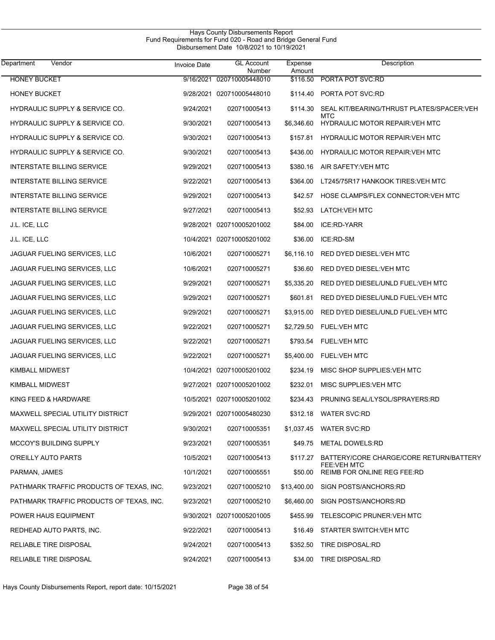| Vendor<br>Department                     | <b>Invoice Date</b> | <b>GL Account</b><br>Number | Expense<br>Amount | Description                                                   |
|------------------------------------------|---------------------|-----------------------------|-------------------|---------------------------------------------------------------|
| <b>HONEY BUCKET</b>                      | 9/16/2021           | 020710005448010             | \$116.50          | PORTA POT SVC:RD                                              |
| <b>HONEY BUCKET</b>                      |                     | 9/28/2021 020710005448010   | \$114.40          | PORTA POT SVC:RD                                              |
| HYDRAULIC SUPPLY & SERVICE CO.           | 9/24/2021           | 020710005413                | \$114.30          | SEAL KIT/BEARING/THRUST PLATES/SPACER: VEH<br>MTC             |
| HYDRAULIC SUPPLY & SERVICE CO.           | 9/30/2021           | 020710005413                | \$6,346.60        | <b>HYDRAULIC MOTOR REPAIR: VEH MTC</b>                        |
| HYDRAULIC SUPPLY & SERVICE CO.           | 9/30/2021           | 020710005413                | \$157.81          | <b>HYDRAULIC MOTOR REPAIR: VEH MTC</b>                        |
| HYDRAULIC SUPPLY & SERVICE CO.           | 9/30/2021           | 020710005413                | \$436.00          | <b>HYDRAULIC MOTOR REPAIR VEH MTC</b>                         |
| <b>INTERSTATE BILLING SERVICE</b>        | 9/29/2021           | 020710005413                | \$380.16          | AIR SAFETY VEH MTC                                            |
| INTERSTATE BILLING SERVICE               | 9/22/2021           | 020710005413                | \$364.00          | LT245/75R17 HANKOOK TIRES: VEH MTC                            |
| <b>INTERSTATE BILLING SERVICE</b>        | 9/29/2021           | 020710005413                | \$42.57           | HOSE CLAMPS/FLEX CONNECTOR: VEH MTC                           |
| <b>INTERSTATE BILLING SERVICE</b>        | 9/27/2021           | 020710005413                | \$52.93           | <b>LATCH:VEH MTC</b>                                          |
| J.L. ICE, LLC                            | 9/28/2021           | 020710005201002             | \$84.00           | ICE:RD-YARR                                                   |
| J.L. ICE, LLC                            |                     | 10/4/2021 020710005201002   | \$36.00           | ICE:RD-SM                                                     |
| JAGUAR FUELING SERVICES, LLC             | 10/6/2021           | 020710005271                | \$6,116.10        | RED DYED DIESEL: VEH MTC                                      |
| JAGUAR FUELING SERVICES, LLC             | 10/6/2021           | 020710005271                | \$36.60           | RED DYED DIESEL: VEH MTC                                      |
| JAGUAR FUELING SERVICES, LLC             | 9/29/2021           | 020710005271                | \$5,335.20        | RED DYED DIESEL/UNLD FUEL: VEH MTC                            |
| JAGUAR FUELING SERVICES, LLC             | 9/29/2021           | 020710005271                | \$601.81          | RED DYED DIESEL/UNLD FUEL: VEH MTC                            |
| JAGUAR FUELING SERVICES, LLC             | 9/29/2021           | 020710005271                | \$3,915.00        | RED DYED DIESEL/UNLD FUEL: VEH MTC                            |
| JAGUAR FUELING SERVICES, LLC             | 9/22/2021           | 020710005271                | \$2,729.50        | <b>FUEL: VEH MTC</b>                                          |
| JAGUAR FUELING SERVICES, LLC             | 9/22/2021           | 020710005271                | \$793.54          | <b>FUEL: VEH MTC</b>                                          |
| JAGUAR FUELING SERVICES, LLC             | 9/22/2021           | 020710005271                | \$5,400.00        | <b>FUEL: VEH MTC</b>                                          |
| KIMBALL MIDWEST                          | 10/4/2021           | 020710005201002             | \$234.19          | MISC SHOP SUPPLIES: VEH MTC                                   |
| KIMBALL MIDWEST                          |                     | 9/27/2021 020710005201002   | \$232.01          | MISC SUPPLIES: VEH MTC                                        |
| KING FEED & HARDWARE                     |                     | 10/5/2021 020710005201002   | \$234.43          | PRUNING SEAL/LYSOL/SPRAYERS:RD                                |
| MAXWELL SPECIAL UTILITY DISTRICT         |                     | 9/29/2021 020710005480230   |                   | \$312.18 WATER SVC:RD                                         |
| MAXWELL SPECIAL UTILITY DISTRICT         | 9/30/2021           | 020710005351                |                   | \$1,037.45 WATER SVC:RD                                       |
| <b>MCCOY'S BUILDING SUPPLY</b>           | 9/23/2021           | 020710005351                |                   | \$49.75 METAL DOWELS:RD                                       |
| O'REILLY AUTO PARTS                      | 10/5/2021           | 020710005413                | \$117.27          | BATTERY/CORE CHARGE/CORE RETURN/BATTERY<br><b>FEE:VEH MTC</b> |
| PARMAN, JAMES                            | 10/1/2021           | 020710005551                | \$50.00           | REIMB FOR ONLINE REG FEE:RD                                   |
| PATHMARK TRAFFIC PRODUCTS OF TEXAS, INC. | 9/23/2021           | 020710005210                | \$13,400.00       | SIGN POSTS/ANCHORS:RD                                         |
| PATHMARK TRAFFIC PRODUCTS OF TEXAS, INC. | 9/23/2021           | 020710005210                | \$6,460.00        | SIGN POSTS/ANCHORS:RD                                         |
| POWER HAUS EQUIPMENT                     |                     | 9/30/2021 020710005201005   | \$455.99          | TELESCOPIC PRUNER: VEH MTC                                    |
| REDHEAD AUTO PARTS, INC.                 | 9/22/2021           | 020710005413                | \$16.49           | STARTER SWITCH: VEH MTC                                       |
| RELIABLE TIRE DISPOSAL                   | 9/24/2021           | 020710005413                | \$352.50          | TIRE DISPOSAL:RD                                              |
| RELIABLE TIRE DISPOSAL                   | 9/24/2021           | 020710005413                | \$34.00           | <b>TIRE DISPOSAL:RD</b>                                       |

Hays County Disbursements Report, report date: 10/15/2021 Page 38 of 54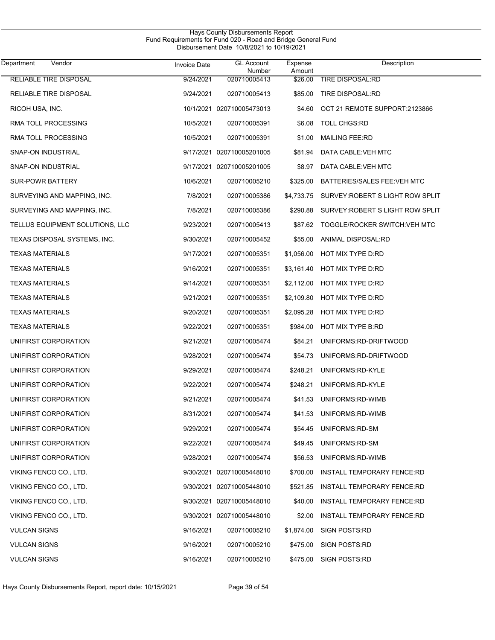| Vendor<br>Department            | <b>Invoice Date</b> | <b>GL Account</b><br>Number | Expense<br>Amount | Description                       |
|---------------------------------|---------------------|-----------------------------|-------------------|-----------------------------------|
| <b>RELIABLE TIRE DISPOSAL</b>   | 9/24/2021           | 020710005413                | \$26.00           | <b>TIRE DISPOSAL:RD</b>           |
| RELIABLE TIRE DISPOSAL          | 9/24/2021           | 020710005413                | \$85.00           | <b>TIRE DISPOSAL:RD</b>           |
| RICOH USA, INC.                 |                     | 10/1/2021 020710005473013   | \$4.60            | OCT 21 REMOTE SUPPORT:2123866     |
| RMA TOLL PROCESSING             | 10/5/2021           | 020710005391                | \$6.08            | <b>TOLL CHGS:RD</b>               |
| RMA TOLL PROCESSING             | 10/5/2021           | 020710005391                | \$1.00            | <b>MAILING FEE:RD</b>             |
| SNAP-ON INDUSTRIAL              |                     | 9/17/2021 020710005201005   | \$81.94           | DATA CABLE: VEH MTC               |
| SNAP-ON INDUSTRIAL              |                     | 9/17/2021 020710005201005   | \$8.97            | DATA CABLE: VEH MTC               |
| <b>SUR-POWR BATTERY</b>         | 10/6/2021           | 020710005210                | \$325.00          | BATTERIES/SALES FEE: VEH MTC      |
| SURVEYING AND MAPPING, INC.     | 7/8/2021            | 020710005386                | \$4,733.75        | SURVEY: ROBERT S LIGHT ROW SPLIT  |
| SURVEYING AND MAPPING, INC.     | 7/8/2021            | 020710005386                | \$290.88          | SURVEY: ROBERT S LIGHT ROW SPLIT  |
| TELLUS EQUIPMENT SOLUTIONS, LLC | 9/23/2021           | 020710005413                | \$87.62           | TOGGLE/ROCKER SWITCH: VEH MTC     |
| TEXAS DISPOSAL SYSTEMS, INC.    | 9/30/2021           | 020710005452                | \$55.00           | ANIMAL DISPOSAL:RD                |
| <b>TEXAS MATERIALS</b>          | 9/17/2021           | 020710005351                | \$1,056.00        | HOT MIX TYPE D:RD                 |
| <b>TEXAS MATERIALS</b>          | 9/16/2021           | 020710005351                | \$3,161.40        | HOT MIX TYPE D:RD                 |
| <b>TEXAS MATERIALS</b>          | 9/14/2021           | 020710005351                | \$2,112.00        | HOT MIX TYPE D:RD                 |
| <b>TEXAS MATERIALS</b>          | 9/21/2021           | 020710005351                | \$2,109.80        | HOT MIX TYPE D:RD                 |
| <b>TEXAS MATERIALS</b>          | 9/20/2021           | 020710005351                | \$2,095.28        | HOT MIX TYPE D:RD                 |
| <b>TEXAS MATERIALS</b>          | 9/22/2021           | 020710005351                | \$984.00          | HOT MIX TYPE B:RD                 |
| UNIFIRST CORPORATION            | 9/21/2021           | 020710005474                | \$84.21           | UNIFORMS:RD-DRIFTWOOD             |
| UNIFIRST CORPORATION            | 9/28/2021           | 020710005474                | \$54.73           | UNIFORMS:RD-DRIFTWOOD             |
| UNIFIRST CORPORATION            | 9/29/2021           | 020710005474                | \$248.21          | UNIFORMS:RD-KYLE                  |
| UNIFIRST CORPORATION            | 9/22/2021           | 020710005474                | \$248.21          | UNIFORMS:RD-KYLE                  |
| UNIFIRST CORPORATION            | 9/21/2021           | 020710005474                |                   | \$41.53 UNIFORMS:RD-WIMB          |
| UNIFIRST CORPORATION            | 8/31/2021           | 020710005474                | \$41.53           | UNIFORMS: RD-WIMB                 |
| UNIFIRST CORPORATION            | 9/29/2021           | 020710005474                | \$54.45           | UNIFORMS:RD-SM                    |
| UNIFIRST CORPORATION            | 9/22/2021           | 020710005474                | \$49.45           | UNIFORMS:RD-SM                    |
| UNIFIRST CORPORATION            | 9/28/2021           | 020710005474                | \$56.53           | UNIFORMS:RD-WIMB                  |
| VIKING FENCO CO., LTD.          |                     | 9/30/2021 020710005448010   | \$700.00          | <b>INSTALL TEMPORARY FENCE:RD</b> |
| VIKING FENCO CO., LTD.          |                     | 9/30/2021 020710005448010   | \$521.85          | <b>INSTALL TEMPORARY FENCE:RD</b> |
| VIKING FENCO CO., LTD.          |                     | 9/30/2021 020710005448010   | \$40.00           | INSTALL TEMPORARY FENCE:RD        |
| VIKING FENCO CO., LTD.          |                     | 9/30/2021 020710005448010   | \$2.00            | <b>INSTALL TEMPORARY FENCE:RD</b> |
| <b>VULCAN SIGNS</b>             | 9/16/2021           | 020710005210                | \$1,874.00        | SIGN POSTS:RD                     |
| <b>VULCAN SIGNS</b>             | 9/16/2021           | 020710005210                | \$475.00          | SIGN POSTS:RD                     |
| <b>VULCAN SIGNS</b>             | 9/16/2021           | 020710005210                | \$475.00          | <b>SIGN POSTS:RD</b>              |

Hays County Disbursements Report, report date: 10/15/2021 Page 39 of 54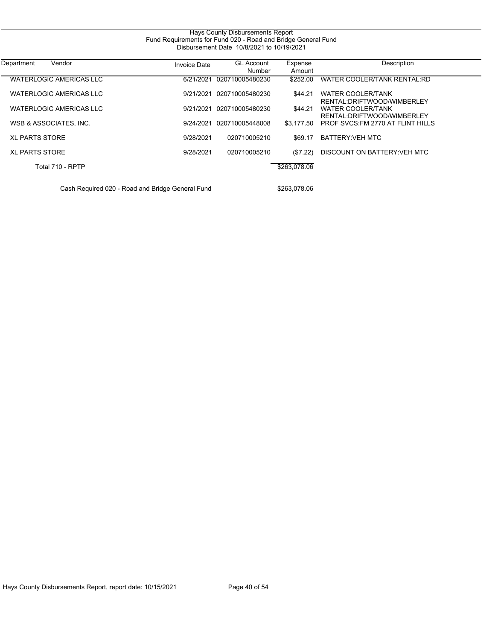| Hays County Disbursements Report<br>Fund Requirements for Fund 020 - Road and Bridge General Fund<br>Disbursement Date 10/8/2021 to 10/19/2021 |                     |                             |                   |                                                        |  |  |
|------------------------------------------------------------------------------------------------------------------------------------------------|---------------------|-----------------------------|-------------------|--------------------------------------------------------|--|--|
| Vendor<br>Department                                                                                                                           | <b>Invoice Date</b> | <b>GL Account</b><br>Number | Expense<br>Amount | Description                                            |  |  |
| <b>WATERLOGIC AMERICAS LLC</b>                                                                                                                 | 6/21/2021           | 020710005480230             | \$252.00          | WATER COOLER/TANK RENTAL:RD                            |  |  |
| WATERLOGIC AMERICAS LLC                                                                                                                        | 9/21/2021           | 020710005480230             | \$44.21           | <b>WATER COOLER/TANK</b><br>RENTAL:DRIFTWOOD/WIMBERLEY |  |  |
| <b>WATERLOGIC AMERICAS LLC</b>                                                                                                                 | 9/21/2021           | 020710005480230             | \$44.21           | <b>WATER COOLER/TANK</b><br>RENTAL:DRIFTWOOD/WIMBERLEY |  |  |
| WSB & ASSOCIATES, INC.                                                                                                                         | 9/24/2021           | 020710005448008             | \$3.177.50        | PROF SVCS. FM 2770 AT FLINT HILLS                      |  |  |
| <b>XL PARTS STORE</b>                                                                                                                          | 9/28/2021           | 020710005210                | \$69.17           | <b>BATTERY: VEH MTC</b>                                |  |  |
| <b>XL PARTS STORE</b>                                                                                                                          | 9/28/2021           | 020710005210                | (\$7.22)          | DISCOUNT ON BATTERY: VEH MTC                           |  |  |
| Total 710 - RPTP                                                                                                                               |                     |                             | \$263,078.06      |                                                        |  |  |
| Cash Required 020 - Road and Bridge General Fund                                                                                               |                     |                             | \$263.078.06      |                                                        |  |  |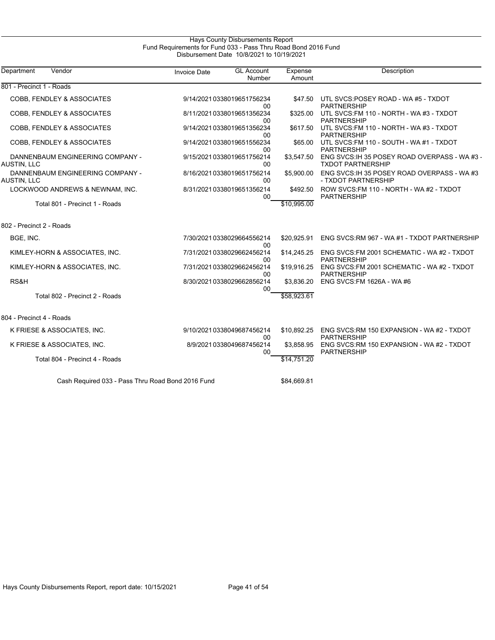| Hays County Disbursements Report                               |  |  |  |  |  |
|----------------------------------------------------------------|--|--|--|--|--|
| Fund Requirements for Fund 033 - Pass Thru Road Bond 2016 Fund |  |  |  |  |  |
| Disbursement Date 10/8/2021 to 10/19/2021                      |  |  |  |  |  |

| Department<br>Vendor                                   | <b>GL Account</b><br><b>Invoice Date</b><br>Number | Expense<br>Amount       | <b>Description</b>                                                        |
|--------------------------------------------------------|----------------------------------------------------|-------------------------|---------------------------------------------------------------------------|
| 801 - Precinct 1 - Roads                               |                                                    |                         |                                                                           |
| COBB, FENDLEY & ASSOCIATES                             | 9/14/20210338019651756234<br>00                    | \$47.50                 | UTL SVCS:POSEY ROAD - WA #5 - TXDOT<br><b>PARTNERSHIP</b>                 |
| COBB, FENDLEY & ASSOCIATES                             | 8/11/20210338019651356234<br>00                    | \$325.00                | UTL SVCS: FM 110 - NORTH - WA #3 - TXDOT<br><b>PARTNERSHIP</b>            |
| COBB, FENDLEY & ASSOCIATES                             | 9/14/20210338019651356234<br>00                    | \$617.50                | UTL SVCS: FM 110 - NORTH - WA #3 - TXDOT<br><b>PARTNERSHIP</b>            |
| COBB, FENDLEY & ASSOCIATES                             | 9/14/20210338019651556234<br>00                    | \$65.00                 | UTL SVCS: FM 110 - SOUTH - WA #1 - TXDOT<br><b>PARTNERSHIP</b>            |
| DANNENBAUM ENGINEERING COMPANY -<br><b>AUSTIN, LLC</b> | 9/15/20210338019651756214<br>00                    | \$3.547.50              | ENG SVCS: IH 35 POSEY ROAD OVERPASS - WA #3 -<br><b>TXDOT PARTNERSHIP</b> |
| DANNENBAUM ENGINEERING COMPANY -<br>AUSTIN, LLC        | 8/16/20210338019651756214<br>00                    | \$5,900.00              | ENG SVCS: IH 35 POSEY ROAD OVERPASS - WA #3<br>- TXDOT PARTNERSHIP        |
| LOCKWOOD ANDREWS & NEWNAM, INC.                        | 8/31/20210338019651356214<br>00                    | \$492.50                | ROW SVCS: FM 110 - NORTH - WA #2 - TXDOT<br><b>PARTNERSHIP</b>            |
| Total 801 - Precinct 1 - Roads                         |                                                    | $\overline{$10,995.00}$ |                                                                           |
| 802 - Precinct 2 - Roads                               |                                                    |                         |                                                                           |
| BGE, INC.                                              | 7/30/20210338029664556214<br>00                    | \$20,925.91             | ENG SVCS: RM 967 - WA #1 - TXDOT PARTNERSHIP                              |
| KIMLEY-HORN & ASSOCIATES, INC.                         | 7/31/20210338029662456214<br>00                    | \$14,245.25             | ENG SVCS: FM 2001 SCHEMATIC - WA #2 - TXDOT<br><b>PARTNERSHIP</b>         |
| KIMLEY-HORN & ASSOCIATES, INC.                         | 7/31/20210338029662456214<br>00                    | \$19,916.25             | ENG SVCS: FM 2001 SCHEMATIC - WA #2 - TXDOT<br><b>PARTNERSHIP</b>         |
| RS&H                                                   | 8/30/20210338029662856214<br>00                    | \$3.836.20              | ENG SVCS: FM 1626A - WA #6                                                |
| Total 802 - Precinct 2 - Roads                         |                                                    | \$58,923.61             |                                                                           |
| 804 - Precinct 4 - Roads                               |                                                    |                         |                                                                           |
| K FRIESE & ASSOCIATES, INC.                            | 9/10/20210338049687456214<br>00                    | \$10,892.25             | ENG SVCS:RM 150 EXPANSION - WA #2 - TXDOT<br><b>PARTNERSHIP</b>           |
| K FRIESE & ASSOCIATES, INC.                            | 8/9/20210338049687456214<br>00                     | \$3,858.95              | ENG SVCS:RM 150 EXPANSION - WA #2 - TXDOT<br><b>PARTNERSHIP</b>           |
| Total 804 - Precinct 4 - Roads                         |                                                    | \$14,751.20             |                                                                           |
| Cash Required 033 - Pass Thru Road Bond 2016 Fund      |                                                    | \$84,669.81             |                                                                           |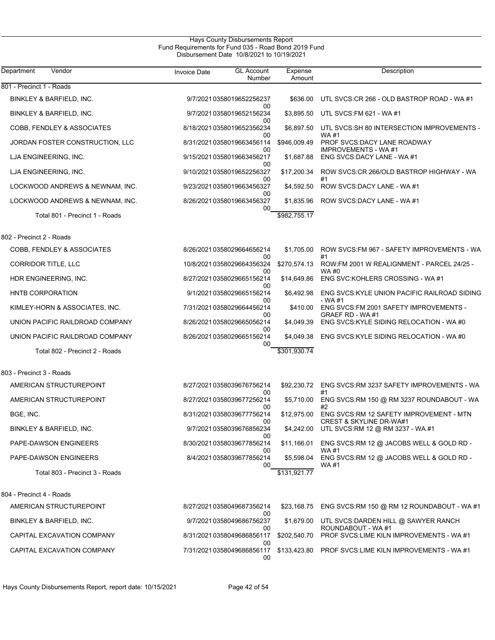| Department<br>Vendor            | <b>Invoice Date</b> | <b>GL Account</b><br>Number           | Expense<br>Amount | Description                                                                   |
|---------------------------------|---------------------|---------------------------------------|-------------------|-------------------------------------------------------------------------------|
| 801 - Precinct 1 - Roads        |                     |                                       |                   |                                                                               |
| BINKLEY & BARFIELD, INC.        |                     | 9/7/2021 0358019652256237<br>00       | \$636.00          | UTL SVCS:CR 266 - OLD BASTROP ROAD - WA #1                                    |
| BINKLEY & BARFIELD, INC.        |                     | 9/7/20210358019652156234              | \$3,895.50        | UTL SVCS: FM 621 - WA #1                                                      |
| COBB, FENDLEY & ASSOCIATES      |                     | 00<br>8/18/20210358019652356234       | \$6,897.50        | UTL SVCS:SH 80 INTERSECTION IMPROVEMENTS -                                    |
| JORDAN FOSTER CONSTRUCTION, LLC |                     | 00<br>8/31/2021 0358019663456114      | \$946,009.49      | WA #1<br>PROF SVCS: DACY LANE ROADWAY                                         |
| LJA ENGINEERING, INC.           |                     | 00<br>9/15/20210358019663456217       | \$1,687.88        | <b>IMPROVEMENTS - WA#1</b><br>ENG SVCS:DACY LANE - WA #1                      |
| LJA ENGINEERING, INC.           |                     | 00<br>9/10/20210358019652256327       | \$17,200.34       | ROW SVCS:CR 266/OLD BASTROP HIGHWAY - WA                                      |
| LOCKWOOD ANDREWS & NEWNAM, INC. |                     | 00<br>9/23/2021 0358019663456327      | \$4,592.50        | ROW SVCS:DACY LANE - WA #1                                                    |
| LOCKWOOD ANDREWS & NEWNAM, INC. |                     | 00<br>8/26/20210358019663456327       | \$1,835.96        | ROW SVCS:DACY LANE - WA #1                                                    |
| Total 801 - Precinct 1 - Roads  |                     | 00                                    | \$982,755.17      |                                                                               |
| 802 - Precinct 2 - Roads        |                     |                                       |                   |                                                                               |
| COBB, FENDLEY & ASSOCIATES      |                     | 8/26/20210358029664656214<br>00       | \$1,705.00        | ROW SVCS: FM 967 - SAFETY IMPROVEMENTS - WA<br>#1                             |
| CORRIDOR TITLE, LLC             |                     | 10/8/20210358029664356324<br>00       | \$270,574.13      | ROW:FM 2001 W REALIGNMENT - PARCEL 24/25 -<br>WA #0                           |
| HDR ENGINEERING, INC.           |                     | 8/27/20210358029665156214<br>00       | \$14,649.86       | ENG SVC: KOHLERS CROSSING - WA #1                                             |
| <b>HNTB CORPORATION</b>         |                     | 9/1/2021 0358029665156214<br>00       | \$6,492.98        | ENG SVCS: KYLE UNION PACIFIC RAILROAD SIDING<br>- WA #1                       |
| KIMLEY-HORN & ASSOCIATES, INC.  |                     | 7/31/2021 0358029664456214<br>00      | \$410.00          | ENG SVCS:FM 2001 SAFETY IMPROVEMENTS -<br>GRAEF RD - WA #1                    |
| UNION PACIFIC RAILDROAD COMPANY |                     | 8/26/20210358029665056214<br>00       | \$4,049.39        | ENG SVCS: KYLE SIDING RELOCATION - WA #0                                      |
| UNION PACIFIC RAILDROAD COMPANY |                     | 8/26/20210358029665156214<br>00       | \$4,049.38        | ENG SVCS: KYLE SIDING RELOCATION - WA #0                                      |
| Total 802 - Precinct 2 - Roads  |                     |                                       | \$301,930.74      |                                                                               |
| 803 - Precinct 3 - Roads        |                     |                                       |                   |                                                                               |
| AMERICAN STRUCTUREPOINT         |                     | 8/27/20210358039676756214<br>00       |                   | \$92,230.72 ENG SVCS:RM 3237 SAFETY IMPROVEMENTS - WA<br>#1                   |
| AMERICAN STRUCTUREPOINT         |                     | 8/27/20210358039677256214<br>00       | \$5,710.00        | ENG SVCS: RM 150 @ RM 3237 ROUNDABOUT - WA<br>#2                              |
| BGE, INC.                       |                     | 8/31/20210358039677756214<br>00       | \$12,975.00       | ENG SVCS:RM 12 SAFETY IMPROVEMENT - MTN<br><b>CREST &amp; SKYLINE DR-WA#1</b> |
| BINKLEY & BARFIELD, INC.        |                     | 9/7/2021 0358039676856234<br>00       |                   | \$4,242.00 UTL SVCS:RM 12 @ RM 3237 - WA #1                                   |
| PAPE-DAWSON ENGINEERS           |                     | 8/30/20210358039677856214<br>00       | \$11,166.01       | ENG SVCS:RM 12 @ JACOBS WELL & GOLD RD -<br>WA #1                             |
| PAPE-DAWSON ENGINEERS           |                     | 8/4/2021 0358039677856214<br>00       | \$5,598.04        | ENG SVCS:RM 12 @ JACOBS WELL & GOLD RD -<br>WA #1                             |
| Total 803 - Precinct 3 - Roads  |                     |                                       | \$131,921.77      |                                                                               |
| 804 - Precinct 4 - Roads        |                     |                                       |                   |                                                                               |
| AMERICAN STRUCTUREPOINT         |                     | 8/27/20210358049687356214             | \$23,168.75       | ENG SVCS:RM 150 @ RM 12 ROUNDABOUT - WA #1                                    |
| BINKLEY & BARFIELD, INC.        |                     | 00<br>9/7/20210358049686756237        | \$1,679.00        | UTL SVCS: DARDEN HILL @ SAWYER RANCH                                          |
| CAPITAL EXCAVATION COMPANY      |                     | 00<br>8/31/20210358049686856117       | \$202,540.70      | ROUNDABOUT - WA #1<br>PROF SVCS:LIME KILN IMPROVEMENTS - WA #1                |
| CAPITAL EXCAVATION COMPANY      |                     | 00<br>7/31/20210358049686856117<br>00 |                   | \$133,423.80 PROF SVCS:LIME KILN IMPROVEMENTS - WA #1                         |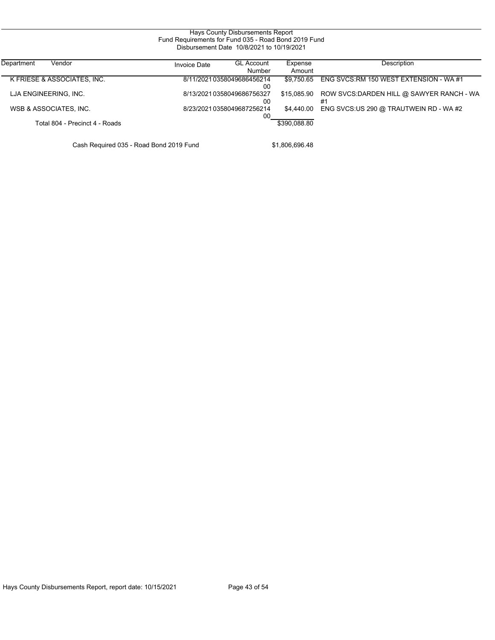| Fund Requirements for Fund 035 - Road Bond 2019 Fund<br>Disbursement Date 10/8/2021 to 10/19/2021 |                     |                                 |                   |                                                 |  |  |
|---------------------------------------------------------------------------------------------------|---------------------|---------------------------------|-------------------|-------------------------------------------------|--|--|
| Department<br>Vendor                                                                              | <b>Invoice Date</b> | <b>GL Account</b><br>Number     | Expense<br>Amount | Description                                     |  |  |
| K FRIESE & ASSOCIATES, INC.                                                                       |                     | 8/11/20210358049686456214<br>00 | \$9.750.65        | ENG SVCS:RM 150 WEST EXTENSION - WA #1          |  |  |
| LJA ENGINEERING, INC.                                                                             |                     | 8/13/20210358049686756327<br>00 | \$15.085.90       | ROW SVCS: DARDEN HILL @ SAWYER RANCH - WA<br>#1 |  |  |
| WSB & ASSOCIATES, INC.                                                                            |                     | 8/23/20210358049687256214<br>00 | \$4.440.00        | ENG SVCS:US 290 @ TRAUTWEIN RD - WA #2          |  |  |
| Total 804 - Precinct 4 - Roads                                                                    |                     |                                 | \$390.088.80      |                                                 |  |  |

Cash Required 035 - Road Bond 2019 Fund \$1,806,696.48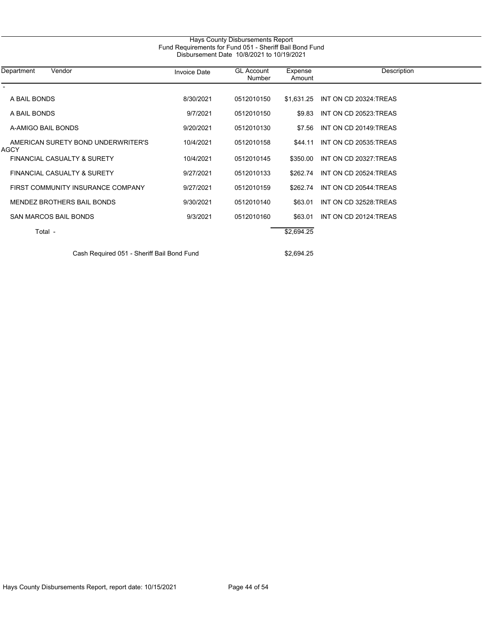| Fund Requirements for Fund 051 - Sheriff Bail Bond Fund<br>Disbursement Date 10/8/2021 to 10/19/2021 |                     |                             |                   |                       |  |  |
|------------------------------------------------------------------------------------------------------|---------------------|-----------------------------|-------------------|-----------------------|--|--|
| Department<br>Vendor                                                                                 | <b>Invoice Date</b> | <b>GL Account</b><br>Number | Expense<br>Amount | Description           |  |  |
| A BAIL BONDS                                                                                         | 8/30/2021           | 0512010150                  | \$1,631.25        | INT ON CD 20324 TREAS |  |  |
| A BAIL BONDS                                                                                         | 9/7/2021            | 0512010150                  | \$9.83            | INT ON CD 20523:TREAS |  |  |
| A-AMIGO BAIL BONDS                                                                                   | 9/20/2021           | 0512010130                  | \$7.56            | INT ON CD 20149.TREAS |  |  |
| AMERICAN SURETY BOND UNDERWRITER'S<br><b>AGCY</b>                                                    | 10/4/2021           | 0512010158                  | \$44.11           | INT ON CD 20535.TREAS |  |  |
| <b>FINANCIAL CASUALTY &amp; SURETY</b>                                                               | 10/4/2021           | 0512010145                  | \$350.00          | INT ON CD 20327:TREAS |  |  |
| <b>FINANCIAL CASUALTY &amp; SURETY</b>                                                               | 9/27/2021           | 0512010133                  | \$262.74          | INT ON CD 20524:TREAS |  |  |
| FIRST COMMUNITY INSURANCE COMPANY                                                                    | 9/27/2021           | 0512010159                  | \$262.74          | INT ON CD 20544.TREAS |  |  |
| <b>MENDEZ BROTHERS BAIL BONDS</b>                                                                    | 9/30/2021           | 0512010140                  | \$63.01           | INT ON CD 32528 TREAS |  |  |
| <b>SAN MARCOS BAIL BONDS</b>                                                                         | 9/3/2021            | 0512010160                  | \$63.01           | INT ON CD 20124.TREAS |  |  |
| Total -                                                                                              |                     |                             | \$2,694.25        |                       |  |  |

Cash Required 051 - Sheriff Bail Bond Fund **\$2,694.25**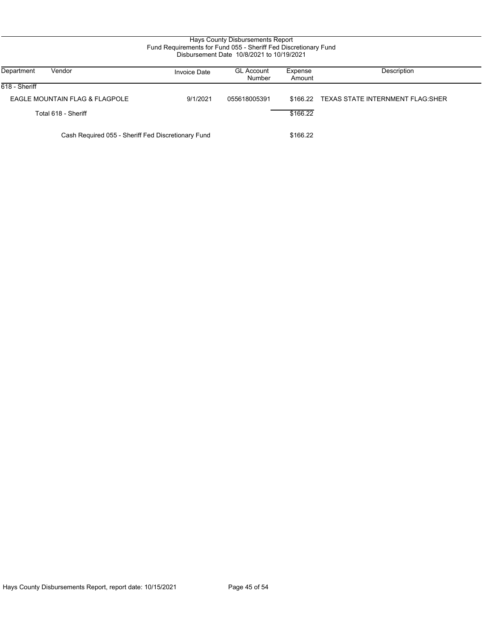## Hays County Disbursements Report Fund Requirements for Fund 055 - Sheriff Fed Discretionary Fund Disbursement Date 10/8/2021 to 10/19/2021

| Vendor<br>Department                               | <b>Invoice Date</b> | <b>GL Account</b><br>Number | Expense<br>Amount | Description                       |
|----------------------------------------------------|---------------------|-----------------------------|-------------------|-----------------------------------|
| 618 - Sheriff                                      |                     |                             |                   |                                   |
| EAGLE MOUNTAIN FLAG & FLAGPOLE                     | 9/1/2021            | 055618005391                | \$166.22          | TEXAS STATE INTERNMENT FLAG: SHER |
| Total 618 - Sheriff                                |                     |                             | \$166.22          |                                   |
| Cash Required 055 - Sheriff Fed Discretionary Fund |                     |                             | \$166.22          |                                   |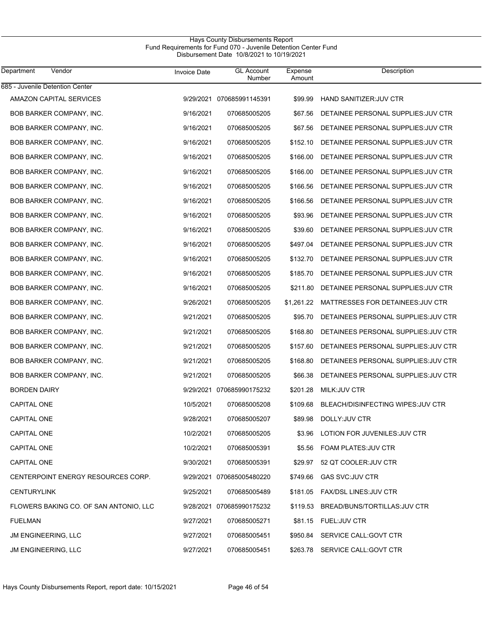## Hays County Disbursements Report Fund Requirements for Fund 070 - Juvenile Detention Center Fund Disbursement Date 10/8/2021 to 10/19/2021

| Department<br>Vendor                   | <b>Invoice Date</b> | <b>GL Account</b><br>Number | Expense<br>Amount | Description                            |
|----------------------------------------|---------------------|-----------------------------|-------------------|----------------------------------------|
| 685 - Juvenile Detention Center        |                     |                             |                   |                                        |
| AMAZON CAPITAL SERVICES                |                     | 9/29/2021 070685991145391   | \$99.99           | HAND SANITIZER JUV CTR                 |
| <b>BOB BARKER COMPANY, INC.</b>        | 9/16/2021           | 070685005205                | \$67.56           | DETAINEE PERSONAL SUPPLIES: JUV CTR    |
| BOB BARKER COMPANY, INC.               | 9/16/2021           | 070685005205                | \$67.56           | DETAINEE PERSONAL SUPPLIES: JUV CTR    |
| BOB BARKER COMPANY, INC.               | 9/16/2021           | 070685005205                | \$152.10          | DETAINEE PERSONAL SUPPLIES: JUV CTR    |
| BOB BARKER COMPANY, INC.               | 9/16/2021           | 070685005205                | \$166.00          | DETAINEE PERSONAL SUPPLIES: JUV CTR    |
| <b>BOB BARKER COMPANY, INC.</b>        | 9/16/2021           | 070685005205                | \$166.00          | DETAINEE PERSONAL SUPPLIES: JUV CTR    |
| BOB BARKER COMPANY, INC.               | 9/16/2021           | 070685005205                | \$166.56          | DETAINEE PERSONAL SUPPLIES: JUV CTR    |
| BOB BARKER COMPANY, INC.               | 9/16/2021           | 070685005205                | \$166.56          | DETAINEE PERSONAL SUPPLIES: JUV CTR    |
| BOB BARKER COMPANY, INC.               | 9/16/2021           | 070685005205                | \$93.96           | DETAINEE PERSONAL SUPPLIES: JUV CTR    |
| BOB BARKER COMPANY, INC.               | 9/16/2021           | 070685005205                | \$39.60           | DETAINEE PERSONAL SUPPLIES: JUV CTR    |
| <b>BOB BARKER COMPANY, INC.</b>        | 9/16/2021           | 070685005205                | \$497.04          | DETAINEE PERSONAL SUPPLIES: JUV CTR    |
| <b>BOB BARKER COMPANY, INC.</b>        | 9/16/2021           | 070685005205                | \$132.70          | DETAINEE PERSONAL SUPPLIES: JUV CTR    |
| <b>BOB BARKER COMPANY, INC.</b>        | 9/16/2021           | 070685005205                | \$185.70          | DETAINEE PERSONAL SUPPLIES: JUV CTR    |
| <b>BOB BARKER COMPANY, INC.</b>        | 9/16/2021           | 070685005205                | \$211.80          | DETAINEE PERSONAL SUPPLIES: JUV CTR    |
| <b>BOB BARKER COMPANY, INC.</b>        | 9/26/2021           | 070685005205                | \$1,261.22        | MATTRESSES FOR DETAINEES: JUV CTR      |
| <b>BOB BARKER COMPANY, INC.</b>        | 9/21/2021           | 070685005205                | \$95.70           | DETAINEES PERSONAL SUPPLIES JUV CTR    |
| <b>BOB BARKER COMPANY, INC.</b>        | 9/21/2021           | 070685005205                | \$168.80          | DETAINEES PERSONAL SUPPLIES: JUV CTR   |
| <b>BOB BARKER COMPANY, INC.</b>        | 9/21/2021           | 070685005205                | \$157.60          | DETAINEES PERSONAL SUPPLIES JUV CTR    |
| <b>BOB BARKER COMPANY, INC.</b>        | 9/21/2021           | 070685005205                | \$168.80          | DETAINEES PERSONAL SUPPLIES JUV CTR    |
| <b>BOB BARKER COMPANY, INC.</b>        | 9/21/2021           | 070685005205                | \$66.38           | DETAINEES PERSONAL SUPPLIES: JUV CTR   |
| <b>BORDEN DAIRY</b>                    |                     | 9/29/2021 070685990175232   | \$201.28          | MILK: JUV CTR                          |
| <b>CAPITAL ONE</b>                     | 10/5/2021           | 070685005208                | \$109.68          | BLEACH/DISINFECTING WIPES: JUV CTR     |
| <b>CAPITAL ONE</b>                     | 9/28/2021           | 070685005207                | \$89.98           | DOLLY: JUV CTR                         |
| CAPITAL ONE                            | 10/2/2021           | 070685005205                |                   | \$3.96 LOTION FOR JUVENILES: JUV CTR   |
| CAPITAL ONE                            | 10/2/2021           | 070685005391                |                   | \$5.56 FOAM PLATES: JUV CTR            |
| <b>CAPITAL ONE</b>                     | 9/30/2021           | 070685005391                | \$29.97           | 52 QT COOLER: JUV CTR                  |
| CENTERPOINT ENERGY RESOURCES CORP.     |                     | 9/29/2021 070685005480220   | \$749.66          | <b>GAS SVC:JUV CTR</b>                 |
| <b>CENTURYLINK</b>                     | 9/25/2021           | 070685005489                |                   | \$181.05 FAX/DSL LINES: JUV CTR        |
| FLOWERS BAKING CO. OF SAN ANTONIO, LLC |                     | 9/28/2021 070685990175232   |                   | \$119.53 BREAD/BUNS/TORTILLAS: JUV CTR |
| <b>FUELMAN</b>                         | 9/27/2021           | 070685005271                |                   | \$81.15 FUEL:JUV CTR                   |
| <b>JM ENGINEERING, LLC</b>             | 9/27/2021           | 070685005451                |                   | \$950.84 SERVICE CALL:GOVT CTR         |
| JM ENGINEERING, LLC                    | 9/27/2021           | 070685005451                |                   | \$263.78 SERVICE CALL:GOVT CTR         |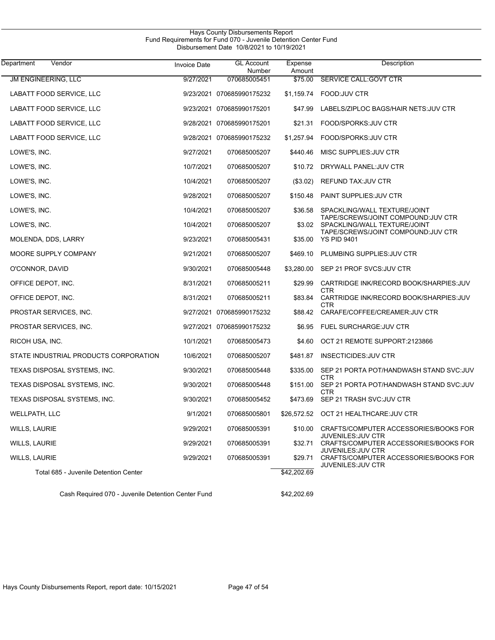| Vendor<br>Department                  | <b>Invoice Date</b> | <b>GL Account</b><br>Number | Expense<br>Amount | Description                                                         |
|---------------------------------------|---------------------|-----------------------------|-------------------|---------------------------------------------------------------------|
| <b>JM ENGINEERING, LLC</b>            | 9/27/2021           | 070685005451                | \$75.00           | SERVICE CALL: GOVT CTR                                              |
| LABATT FOOD SERVICE, LLC              |                     | 9/23/2021 070685990175232   | \$1,159.74        | FOOD: JUV CTR                                                       |
| LABATT FOOD SERVICE, LLC              |                     | 9/23/2021 070685990175201   | \$47.99           | LABELS/ZIPLOC BAGS/HAIR NETS: JUV CTR                               |
| LABATT FOOD SERVICE, LLC              |                     | 9/28/2021 070685990175201   | \$21.31           | FOOD/SPORKS: JUV CTR                                                |
| LABATT FOOD SERVICE, LLC              |                     | 9/28/2021 070685990175232   | \$1,257.94        | FOOD/SPORKS: JUV CTR                                                |
| LOWE'S, INC.                          | 9/27/2021           | 070685005207                | \$440.46          | MISC SUPPLIES: JUV CTR                                              |
| LOWE'S, INC.                          | 10/7/2021           | 070685005207                | \$10.72           | DRYWALL PANEL: JUV CTR                                              |
| LOWE'S, INC.                          | 10/4/2021           | 070685005207                | (\$3.02)          | REFUND TAX: JUV CTR                                                 |
| LOWE'S, INC.                          | 9/28/2021           | 070685005207                | \$150.48          | PAINT SUPPLIES: JUV CTR                                             |
| LOWE'S, INC.                          | 10/4/2021           | 070685005207                | \$36.58           | SPACKLING/WALL TEXTURE/JOINT                                        |
| LOWE'S, INC.                          | 10/4/2021           | 070685005207                | \$3.02            | TAPE/SCREWS/JOINT COMPOUND: JUV CTR<br>SPACKLING/WALL TEXTURE/JOINT |
| MOLENDA, DDS, LARRY                   | 9/23/2021           | 070685005431                | \$35.00           | TAPE/SCREWS/JOINT COMPOUND: JUV CTR<br><b>YS PID 9401</b>           |
| MOORE SUPPLY COMPANY                  | 9/21/2021           | 070685005207                | \$469.10          | PLUMBING SUPPLIES: JUV CTR                                          |
| O'CONNOR, DAVID                       | 9/30/2021           | 070685005448                | \$3.280.00        | SEP 21 PROF SVCS: JUV CTR                                           |
| OFFICE DEPOT, INC.                    | 8/31/2021           | 070685005211                | \$29.99           | CARTRIDGE INK/RECORD BOOK/SHARPIES: JUV                             |
| OFFICE DEPOT, INC.                    | 8/31/2021           | 070685005211                | \$83.84           | CTR<br>CARTRIDGE INK/RECORD BOOK/SHARPIES: JUV                      |
| PROSTAR SERVICES, INC.                |                     | 9/27/2021 070685990175232   | \$88.42           | CTR<br>CARAFE/COFFEE/CREAMER: JUV CTR                               |
| PROSTAR SERVICES, INC.                |                     | 9/27/2021 070685990175232   | \$6.95            | FUEL SURCHARGE: JUV CTR                                             |
| RICOH USA, INC.                       | 10/1/2021           | 070685005473                | \$4.60            | OCT 21 REMOTE SUPPORT:2123866                                       |
| STATE INDUSTRIAL PRODUCTS CORPORATION | 10/6/2021           | 070685005207                | \$481.87          | <b>INSECTICIDES: JUV CTR</b>                                        |
| TEXAS DISPOSAL SYSTEMS, INC.          | 9/30/2021           | 070685005448                | \$335.00          | SEP 21 PORTA POT/HANDWASH STAND SVC: JUV                            |
| TEXAS DISPOSAL SYSTEMS, INC.          | 9/30/2021           | 070685005448                | \$151.00          | <b>CTR</b><br>SEP 21 PORTA POT/HANDWASH STAND SVC:JUV               |
| TEXAS DISPOSAL SYSTEMS, INC.          | 9/30/2021           | 070685005452                | \$473.69          | CTR<br>SEP 21 TRASH SVC:JUV CTR                                     |
| <b>WELLPATH, LLC</b>                  | 9/1/2021            | 070685005801                |                   | \$26,572.52 OCT 21 HEALTHCARE.JUV CTR                               |
| <b>WILLS, LAURIE</b>                  | 9/29/2021           | 070685005391                | \$10.00           | CRAFTS/COMPUTER ACCESSORIES/BOOKS FOR                               |
| <b>WILLS, LAURIE</b>                  | 9/29/2021           | 070685005391                | \$32.71           | <b>JUVENILES: JUV CTR</b><br>CRAFTS/COMPUTER ACCESSORIES/BOOKS FOR  |
| <b>WILLS, LAURIE</b>                  | 9/29/2021           | 070685005391                | \$29.71           | <b>JUVENILES: JUV CTR</b><br>CRAFTS/COMPUTER ACCESSORIES/BOOKS FOR  |
| Total 685 - Juvenile Detention Center |                     |                             | \$42,202.69       | JUVENILES: JUV CTR                                                  |

Cash Required 070 - Juvenile Detention Center Fund \$42,202.69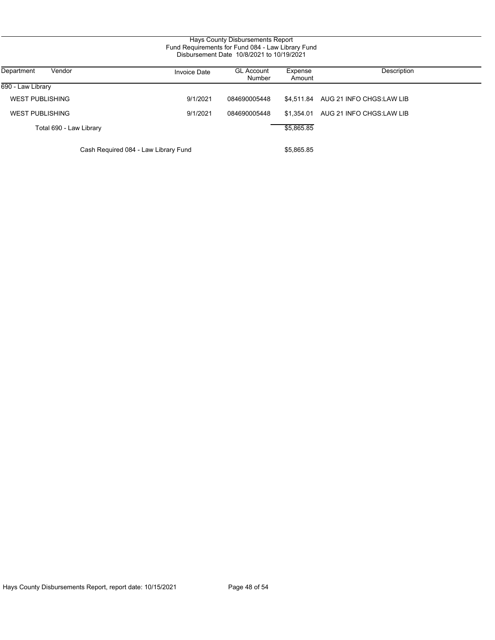| Department<br>Vendor                 | <b>Invoice Date</b> | <b>GL Account</b><br>Number | Expense<br>Amount | Description                         |
|--------------------------------------|---------------------|-----------------------------|-------------------|-------------------------------------|
| 690 - Law Library                    |                     |                             |                   |                                     |
| <b>WEST PUBLISHING</b>               | 9/1/2021            | 084690005448                |                   | \$4.511.84 AUG 21 INFO CHGS:LAW LIB |
| <b>WEST PUBLISHING</b>               | 9/1/2021            | 084690005448                | \$1.354.01        | AUG 21 INFO CHGS:LAW LIB            |
| Total 690 - Law Library              |                     |                             | \$5,865.85        |                                     |
| Cash Required 084 - Law Library Fund |                     |                             | \$5,865.85        |                                     |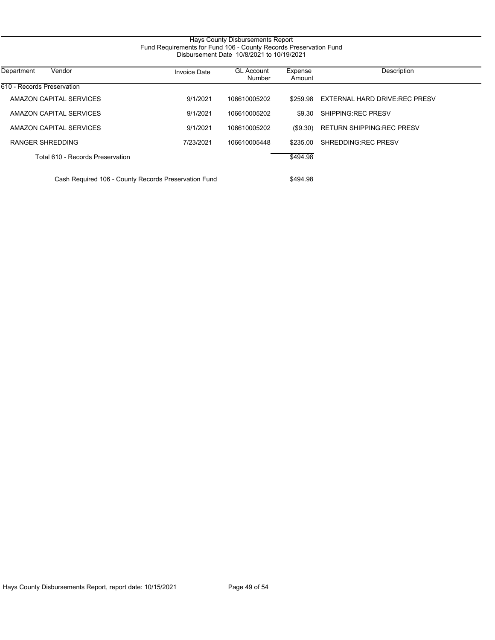# Hays County Disbursements Report Fund Requirements for Fund 106 - County Records Preservation Fund Disbursement Date 10/8/2021 to 10/19/2021

| Vendor<br>Department                                 | <b>Invoice Date</b> | <b>GL Account</b><br>Number | Expense<br>Amount | Description                      |
|------------------------------------------------------|---------------------|-----------------------------|-------------------|----------------------------------|
| 610 - Records Preservation                           |                     |                             |                   |                                  |
| AMAZON CAPITAL SERVICES                              | 9/1/2021            | 106610005202                | \$259.98          | EXTERNAL HARD DRIVE:REC PRESV    |
| AMAZON CAPITAL SERVICES                              | 9/1/2021            | 106610005202                | \$9.30            | SHIPPING REC PRESV               |
| AMAZON CAPITAL SERVICES                              | 9/1/2021            | 106610005202                | (S9.30)           | <b>RETURN SHIPPING REC PRESV</b> |
| RANGER SHREDDING                                     | 7/23/2021           | 106610005448                | \$235.00          | SHREDDING REC PRESV              |
| Total 610 - Records Preservation                     |                     |                             | \$494.98          |                                  |
| Cash Required 106 - County Records Preservation Fund |                     |                             | \$494.98          |                                  |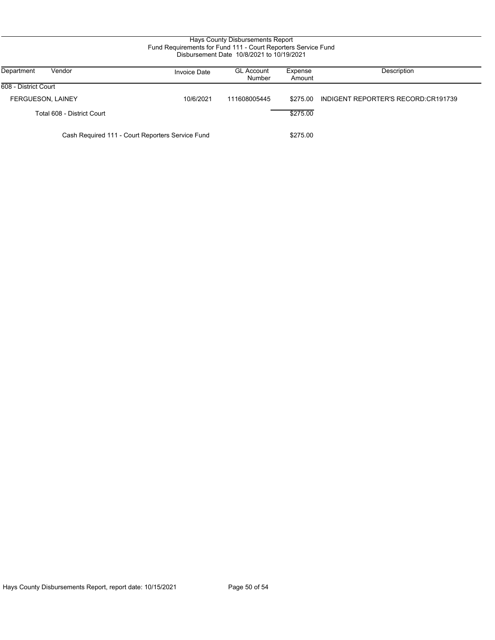## Hays County Disbursements Report Fund Requirements for Fund 111 - Court Reporters Service Fund Disbursement Date 10/8/2021 to 10/19/2021

| Department<br>Vendor                             | <b>Invoice Date</b> | <b>GL Account</b><br>Number | Expense<br>Amount | Description                         |
|--------------------------------------------------|---------------------|-----------------------------|-------------------|-------------------------------------|
| 608 - District Court                             |                     |                             |                   |                                     |
| <b>FERGUESON, LAINEY</b>                         | 10/6/2021           | 111608005445                | \$275.00          | INDIGENT REPORTER'S RECORD:CR191739 |
| Total 608 - District Court                       |                     |                             | \$275.00          |                                     |
| Cash Required 111 - Court Reporters Service Fund |                     |                             | \$275.00          |                                     |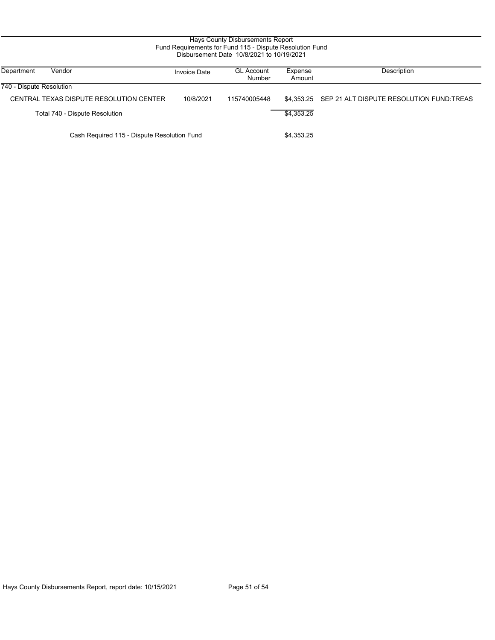| Fund Requirements for Fund 115 - Dispute Resolution Fund<br>Disbursement Date 10/8/2021 to 10/19/2021 |                                             |                     |                             |                   |                                                     |  |
|-------------------------------------------------------------------------------------------------------|---------------------------------------------|---------------------|-----------------------------|-------------------|-----------------------------------------------------|--|
| Department                                                                                            | Vendor                                      | <b>Invoice Date</b> | <b>GL Account</b><br>Number | Expense<br>Amount | Description                                         |  |
| 740 - Dispute Resolution                                                                              |                                             |                     |                             |                   |                                                     |  |
|                                                                                                       | CENTRAL TEXAS DISPUTE RESOLUTION CENTER     | 10/8/2021           | 115740005448                |                   | \$4,353.25 SEP 21 ALT DISPUTE RESOLUTION FUND TREAS |  |
|                                                                                                       | Total 740 - Dispute Resolution              |                     |                             | \$4,353.25        |                                                     |  |
|                                                                                                       | Cash Required 115 - Dispute Resolution Fund |                     |                             | \$4,353.25        |                                                     |  |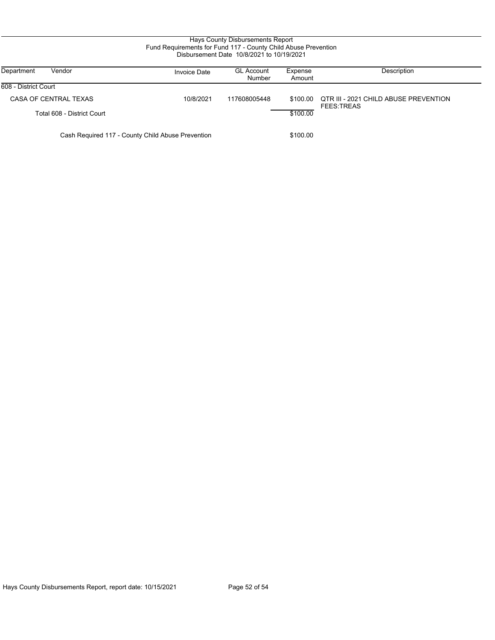## Hays County Disbursements Report Fund Requirements for Fund 117 - County Child Abuse Prevention Disbursement Date 10/8/2021 to 10/19/2021

| Department<br>Vendor                              | Invoice Date | <b>GL Account</b><br>Number | Expense<br>Amount | Description                                                |
|---------------------------------------------------|--------------|-----------------------------|-------------------|------------------------------------------------------------|
| 608 - District Court                              |              |                             |                   |                                                            |
| CASA OF CENTRAL TEXAS                             | 10/8/2021    | 117608005448                | \$100.00          | QTR III - 2021 CHILD ABUSE PREVENTION<br><b>FEES TREAS</b> |
| Total 608 - District Court                        |              |                             | \$100.00          |                                                            |
| Cash Required 117 - County Child Abuse Prevention |              |                             | \$100.00          |                                                            |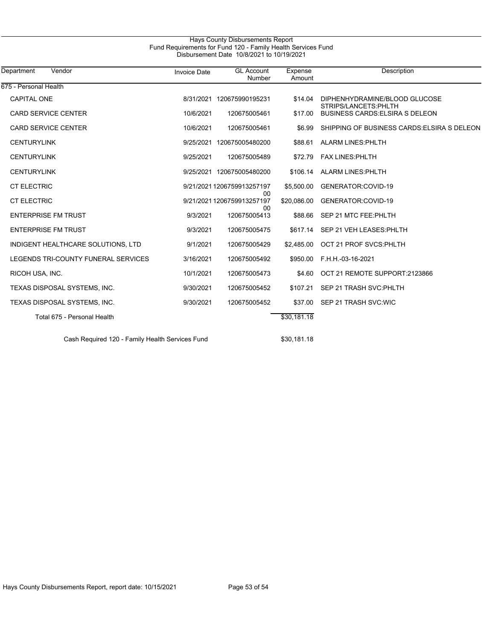## Hays County Disbursements Report Fund Requirements for Fund 120 - Family Health Services Fund Disbursement Date 10/8/2021 to 10/19/2021

| Vendor<br>Department                            | <b>Invoice Date</b> | <b>GL</b> Account<br>Number      | Expense<br>Amount | Description                                            |
|-------------------------------------------------|---------------------|----------------------------------|-------------------|--------------------------------------------------------|
| 675 - Personal Health                           |                     |                                  |                   |                                                        |
| <b>CAPITAL ONE</b>                              |                     | 8/31/2021 120675990195231        | \$14.04           | DIPHENHYDRAMINE/BLOOD GLUCOSE<br>STRIPS/LANCETS: PHLTH |
| <b>CARD SERVICE CENTER</b>                      | 10/6/2021           | 120675005461                     | \$17.00           | <b>BUSINESS CARDS: ELSIRA S DELEON</b>                 |
| <b>CARD SERVICE CENTER</b>                      | 10/6/2021           | 120675005461                     | \$6.99            | SHIPPING OF BUSINESS CARDS ELSIRA S DELEON             |
| <b>CENTURYLINK</b>                              | 9/25/2021           | 120675005480200                  | \$88.61           | ALARM LINES: PHLTH                                     |
| <b>CENTURYLINK</b>                              | 9/25/2021           | 120675005489                     | \$72.79           | <b>FAX LINES: PHLTH</b>                                |
| <b>CENTURYLINK</b>                              |                     | 9/25/2021 120675005480200        |                   | \$106.14 ALARM LINES: PHLTH                            |
| <b>CT ELECTRIC</b>                              |                     | 9/21/2021 1206759913257197<br>00 | \$5,500.00        | GENERATOR:COVID-19                                     |
| <b>CT ELECTRIC</b>                              |                     | 9/21/2021 1206759913257197<br>00 | \$20,086.00       | GENERATOR:COVID-19                                     |
| <b>ENTERPRISE FM TRUST</b>                      | 9/3/2021            | 120675005413                     | \$88.66           | SEP 21 MTC FEE: PHLTH                                  |
| <b>ENTERPRISE FM TRUST</b>                      | 9/3/2021            | 120675005475                     | \$617.14          | SEP 21 VEH LEASES:PHLTH                                |
| INDIGENT HEALTHCARE SOLUTIONS, LTD              | 9/1/2021            | 120675005429                     | \$2.485.00        | OCT 21 PROF SVCS PHLTH                                 |
| LEGENDS TRI-COUNTY FUNERAL SERVICES             | 3/16/2021           | 120675005492                     | \$950.00          | F.H.H.-03-16-2021                                      |
| RICOH USA, INC.                                 | 10/1/2021           | 120675005473                     | \$4.60            | OCT 21 REMOTE SUPPORT:2123866                          |
| TEXAS DISPOSAL SYSTEMS, INC.                    | 9/30/2021           | 120675005452                     | \$107.21          | SEP 21 TRASH SVC: PHLTH                                |
| TEXAS DISPOSAL SYSTEMS, INC.                    | 9/30/2021           | 120675005452                     | \$37.00           | SEP 21 TRASH SVC:WIC                                   |
| Total 675 - Personal Health                     |                     |                                  | \$30,181.18       |                                                        |
| Cash Required 120 - Family Health Services Fund |                     |                                  | \$30.181.18       |                                                        |